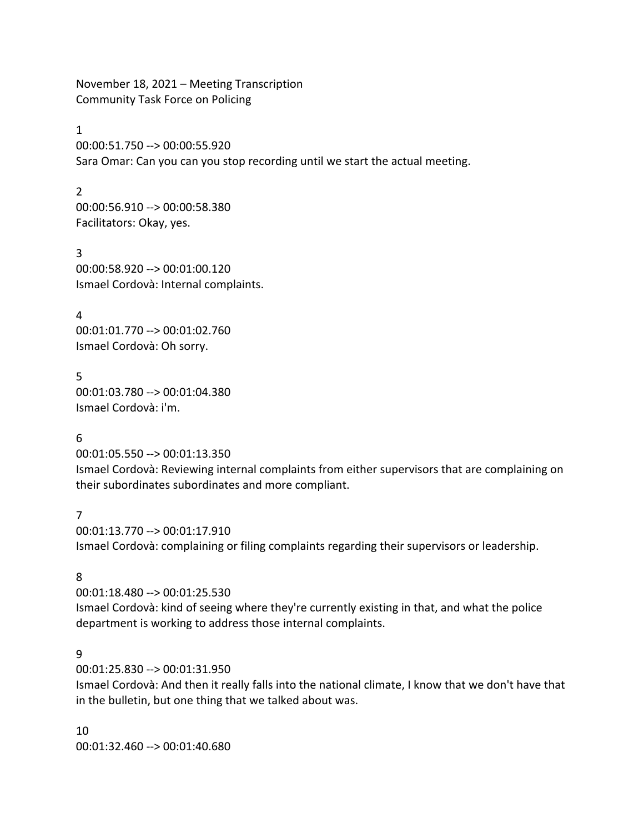November 18, 2021 – Meeting Transcription Community Task Force on Policing

#### 1

00:00:51.750 --> 00:00:55.920 Sara Omar: Can you can you stop recording until we start the actual meeting.

#### $\mathfrak{D}$

00:00:56.910 --> 00:00:58.380 Facilitators: Okay, yes.

3 00:00:58.920 --> 00:01:00.120 Ismael Cordovà: Internal complaints.

4 00:01:01.770 --> 00:01:02.760 Ismael Cordovà: Oh sorry.

5 00:01:03.780 --> 00:01:04.380 Ismael Cordovà: i'm.

## 6

00:01:05.550 --> 00:01:13.350

Ismael Cordovà: Reviewing internal complaints from either supervisors that are complaining on their subordinates subordinates and more compliant.

#### 7

00:01:13.770 --> 00:01:17.910 Ismael Cordovà: complaining or filing complaints regarding their supervisors or leadership.

## 8

00:01:18.480 --> 00:01:25.530 Ismael Cordovà: kind of seeing where they're currently existing in that, and what the police department is working to address those internal complaints.

## 9

00:01:25.830 --> 00:01:31.950

Ismael Cordovà: And then it really falls into the national climate, I know that we don't have that in the bulletin, but one thing that we talked about was.

10 00:01:32.460 --> 00:01:40.680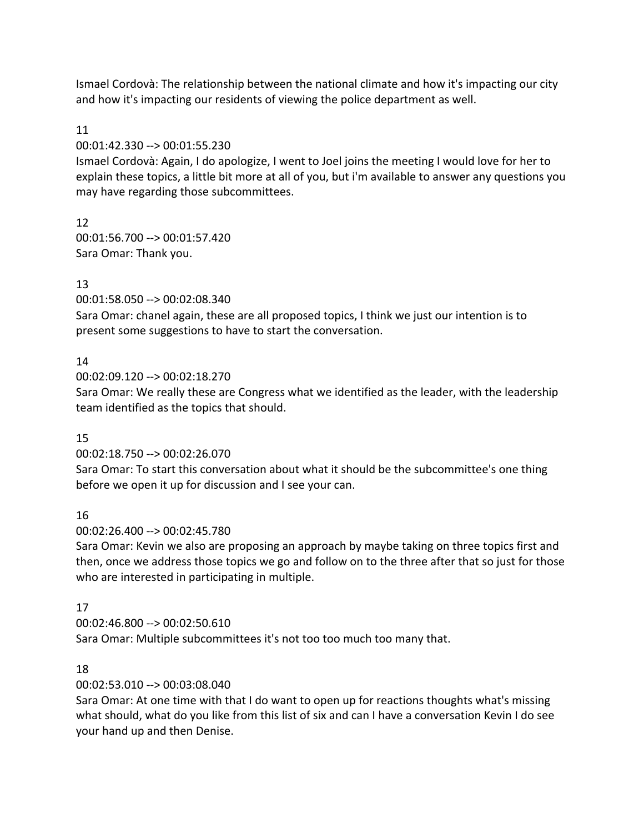Ismael Cordovà: The relationship between the national climate and how it's impacting our city and how it's impacting our residents of viewing the police department as well.

## 11

00:01:42.330 --> 00:01:55.230

Ismael Cordovà: Again, I do apologize, I went to Joel joins the meeting I would love for her to explain these topics, a little bit more at all of you, but i'm available to answer any questions you may have regarding those subcommittees.

# 12

00:01:56.700 --> 00:01:57.420 Sara Omar: Thank you.

# 13

00:01:58.050 --> 00:02:08.340

Sara Omar: chanel again, these are all proposed topics, I think we just our intention is to present some suggestions to have to start the conversation.

# 14

00:02:09.120 --> 00:02:18.270

Sara Omar: We really these are Congress what we identified as the leader, with the leadership team identified as the topics that should.

# 15

00:02:18.750 --> 00:02:26.070

Sara Omar: To start this conversation about what it should be the subcommittee's one thing before we open it up for discussion and I see your can.

# 16

00:02:26.400 --> 00:02:45.780

Sara Omar: Kevin we also are proposing an approach by maybe taking on three topics first and then, once we address those topics we go and follow on to the three after that so just for those who are interested in participating in multiple.

# 17

00:02:46.800 --> 00:02:50.610

Sara Omar: Multiple subcommittees it's not too too much too many that.

# 18

00:02:53.010 --> 00:03:08.040

Sara Omar: At one time with that I do want to open up for reactions thoughts what's missing what should, what do you like from this list of six and can I have a conversation Kevin I do see your hand up and then Denise.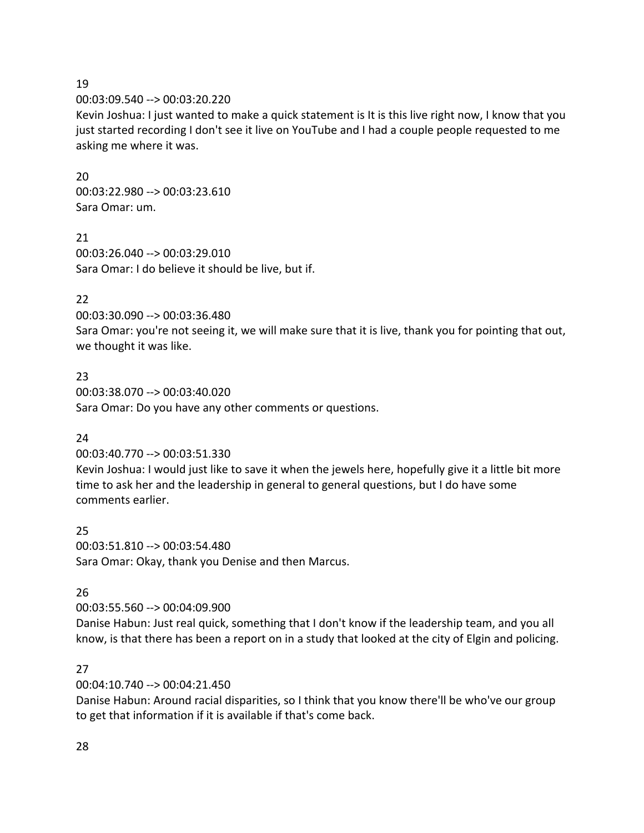00:03:09.540 --> 00:03:20.220

Kevin Joshua: I just wanted to make a quick statement is It is this live right now, I know that you just started recording I don't see it live on YouTube and I had a couple people requested to me asking me where it was.

20 00:03:22.980 --> 00:03:23.610 Sara Omar: um.

21 00:03:26.040 --> 00:03:29.010 Sara Omar: I do believe it should be live, but if.

#### 22

00:03:30.090 --> 00:03:36.480

Sara Omar: you're not seeing it, we will make sure that it is live, thank you for pointing that out, we thought it was like.

23 00:03:38.070 --> 00:03:40.020 Sara Omar: Do you have any other comments or questions.

#### 24

00:03:40.770 --> 00:03:51.330

Kevin Joshua: I would just like to save it when the jewels here, hopefully give it a little bit more time to ask her and the leadership in general to general questions, but I do have some comments earlier.

25 00:03:51.810 --> 00:03:54.480 Sara Omar: Okay, thank you Denise and then Marcus.

## 26

00:03:55.560 --> 00:04:09.900

Danise Habun: Just real quick, something that I don't know if the leadership team, and you all know, is that there has been a report on in a study that looked at the city of Elgin and policing.

#### 27

00:04:10.740 --> 00:04:21.450

Danise Habun: Around racial disparities, so I think that you know there'll be who've our group to get that information if it is available if that's come back.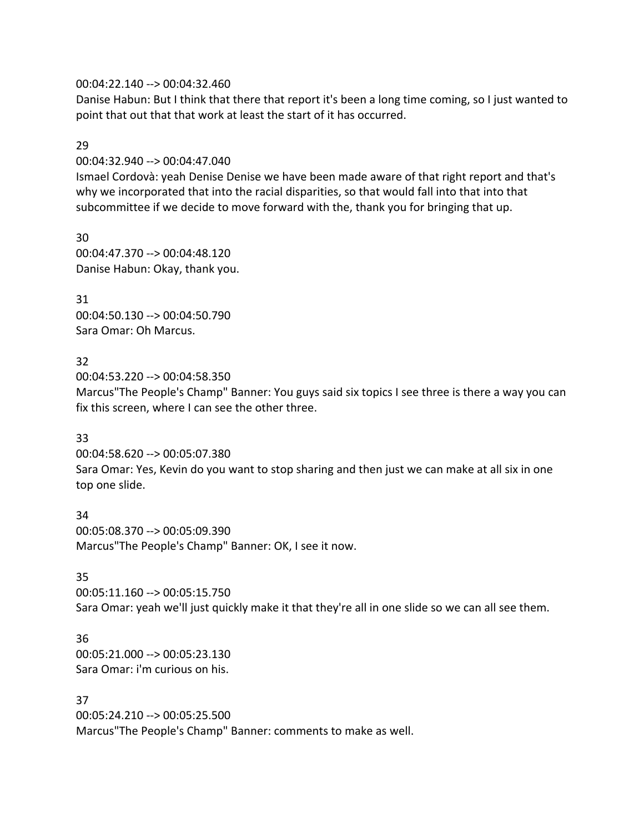#### 00:04:22.140 --> 00:04:32.460

Danise Habun: But I think that there that report it's been a long time coming, so I just wanted to point that out that that work at least the start of it has occurred.

#### 29

00:04:32.940 --> 00:04:47.040

Ismael Cordovà: yeah Denise Denise we have been made aware of that right report and that's why we incorporated that into the racial disparities, so that would fall into that into that subcommittee if we decide to move forward with the, thank you for bringing that up.

30 00:04:47.370 --> 00:04:48.120 Danise Habun: Okay, thank you.

31

00:04:50.130 --> 00:04:50.790 Sara Omar: Oh Marcus.

## 32

00:04:53.220 --> 00:04:58.350 Marcus"The People's Champ" Banner: You guys said six topics I see three is there a way you can fix this screen, where I can see the other three.

## 33

00:04:58.620 --> 00:05:07.380

Sara Omar: Yes, Kevin do you want to stop sharing and then just we can make at all six in one top one slide.

34 00:05:08.370 --> 00:05:09.390 Marcus"The People's Champ" Banner: OK, I see it now.

## 35

00:05:11.160 --> 00:05:15.750 Sara Omar: yeah we'll just quickly make it that they're all in one slide so we can all see them.

36

00:05:21.000 --> 00:05:23.130 Sara Omar: i'm curious on his.

37

00:05:24.210 --> 00:05:25.500 Marcus"The People's Champ" Banner: comments to make as well.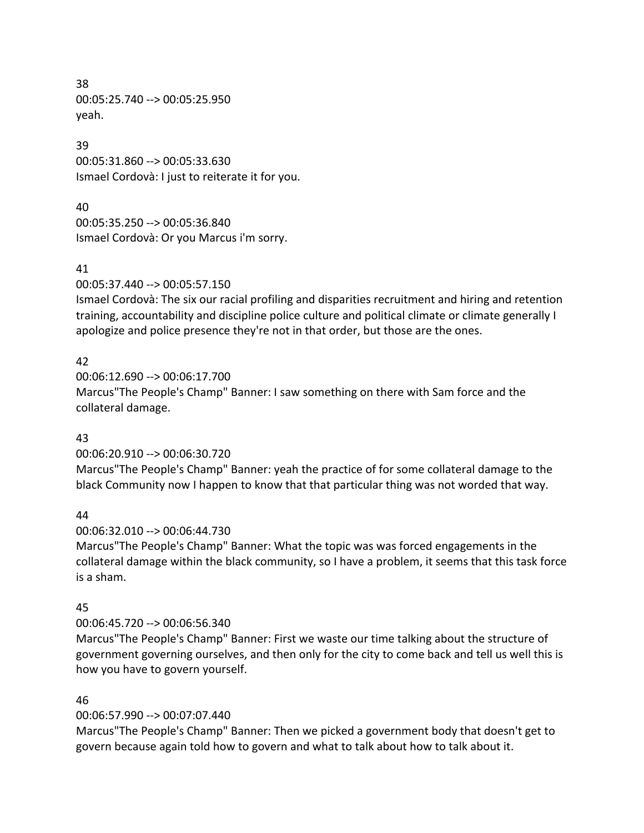38 00:05:25.740 --> 00:05:25.950 yeah.

39 00:05:31.860 --> 00:05:33.630 Ismael Cordovà: I just to reiterate it for you.

#### 40

00:05:35.250 --> 00:05:36.840 Ismael Cordovà: Or you Marcus i'm sorry.

#### 41

00:05:37.440 --> 00:05:57.150

Ismael Cordovà: The six our racial profiling and disparities recruitment and hiring and retention training, accountability and discipline police culture and political climate or climate generally I apologize and police presence they're not in that order, but those are the ones.

## 42

00:06:12.690 --> 00:06:17.700 Marcus"The People's Champ" Banner: I saw something on there with Sam force and the collateral damage.

#### 43

00:06:20.910 --> 00:06:30.720

Marcus"The People's Champ" Banner: yeah the practice of for some collateral damage to the black Community now I happen to know that that particular thing was not worded that way.

#### 44

00:06:32.010 --> 00:06:44.730

Marcus"The People's Champ" Banner: What the topic was was forced engagements in the collateral damage within the black community, so I have a problem, it seems that this task force is a sham.

#### 45

#### 00:06:45.720 --> 00:06:56.340

Marcus"The People's Champ" Banner: First we waste our time talking about the structure of government governing ourselves, and then only for the city to come back and tell us well this is how you have to govern yourself.

#### 46

## 00:06:57.990 --> 00:07:07.440

Marcus"The People's Champ" Banner: Then we picked a government body that doesn't get to govern because again told how to govern and what to talk about how to talk about it.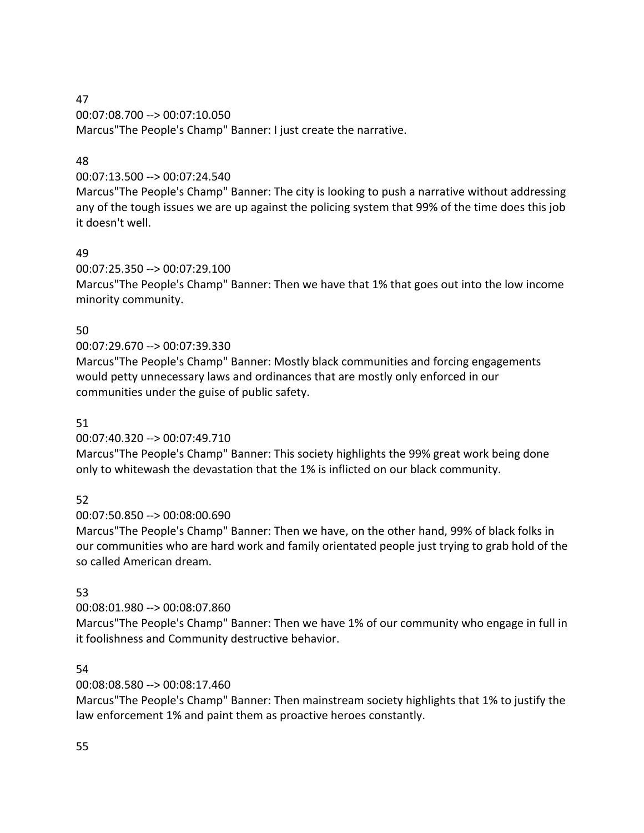# 00:07:08.700 --> 00:07:10.050

Marcus"The People's Champ" Banner: I just create the narrative.

# 48

# 00:07:13.500 --> 00:07:24.540

Marcus"The People's Champ" Banner: The city is looking to push a narrative without addressing any of the tough issues we are up against the policing system that 99% of the time does this job it doesn't well.

# 49

# 00:07:25.350 --> 00:07:29.100

Marcus"The People's Champ" Banner: Then we have that 1% that goes out into the low income minority community.

# 50

# 00:07:29.670 --> 00:07:39.330

Marcus"The People's Champ" Banner: Mostly black communities and forcing engagements would petty unnecessary laws and ordinances that are mostly only enforced in our communities under the guise of public safety.

# 51

# 00:07:40.320 --> 00:07:49.710

Marcus"The People's Champ" Banner: This society highlights the 99% great work being done only to whitewash the devastation that the 1% is inflicted on our black community.

# 52

# 00:07:50.850 --> 00:08:00.690

Marcus"The People's Champ" Banner: Then we have, on the other hand, 99% of black folks in our communities who are hard work and family orientated people just trying to grab hold of the so called American dream.

# 53

# 00:08:01.980 --> 00:08:07.860

Marcus"The People's Champ" Banner: Then we have 1% of our community who engage in full in it foolishness and Community destructive behavior.

# 54

# 00:08:08.580 --> 00:08:17.460

Marcus"The People's Champ" Banner: Then mainstream society highlights that 1% to justify the law enforcement 1% and paint them as proactive heroes constantly.

#### 47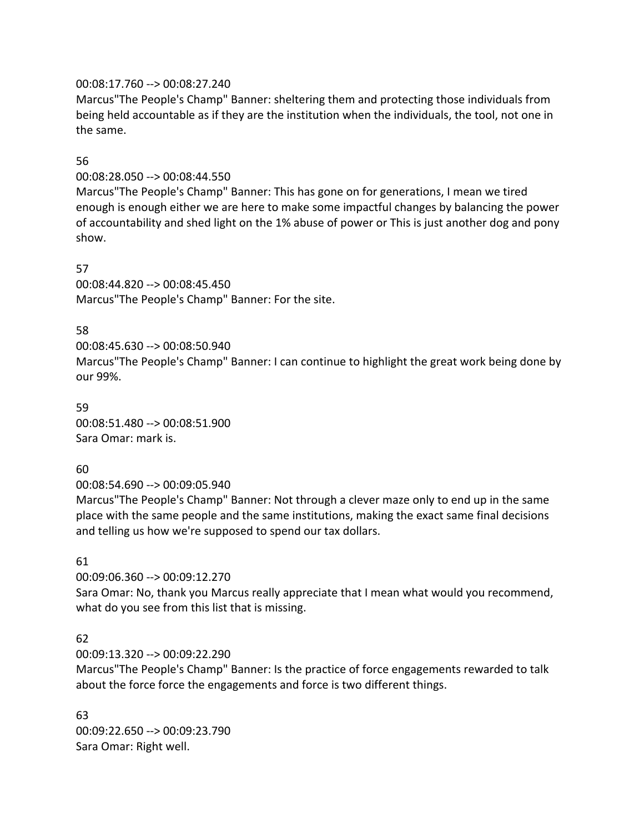#### 00:08:17.760 --> 00:08:27.240

Marcus"The People's Champ" Banner: sheltering them and protecting those individuals from being held accountable as if they are the institution when the individuals, the tool, not one in the same.

## 56

00:08:28.050 --> 00:08:44.550

Marcus"The People's Champ" Banner: This has gone on for generations, I mean we tired enough is enough either we are here to make some impactful changes by balancing the power of accountability and shed light on the 1% abuse of power or This is just another dog and pony show.

#### 57

00:08:44.820 --> 00:08:45.450 Marcus"The People's Champ" Banner: For the site.

#### 58

00:08:45.630 --> 00:08:50.940 Marcus"The People's Champ" Banner: I can continue to highlight the great work being done by our 99%.

## 59 00:08:51.480 --> 00:08:51.900 Sara Omar: mark is.

## 60

00:08:54.690 --> 00:09:05.940

Marcus"The People's Champ" Banner: Not through a clever maze only to end up in the same place with the same people and the same institutions, making the exact same final decisions and telling us how we're supposed to spend our tax dollars.

# 61

00:09:06.360 --> 00:09:12.270

Sara Omar: No, thank you Marcus really appreciate that I mean what would you recommend, what do you see from this list that is missing.

## 62

00:09:13.320 --> 00:09:22.290

Marcus"The People's Champ" Banner: Is the practice of force engagements rewarded to talk about the force force the engagements and force is two different things.

63 00:09:22.650 --> 00:09:23.790 Sara Omar: Right well.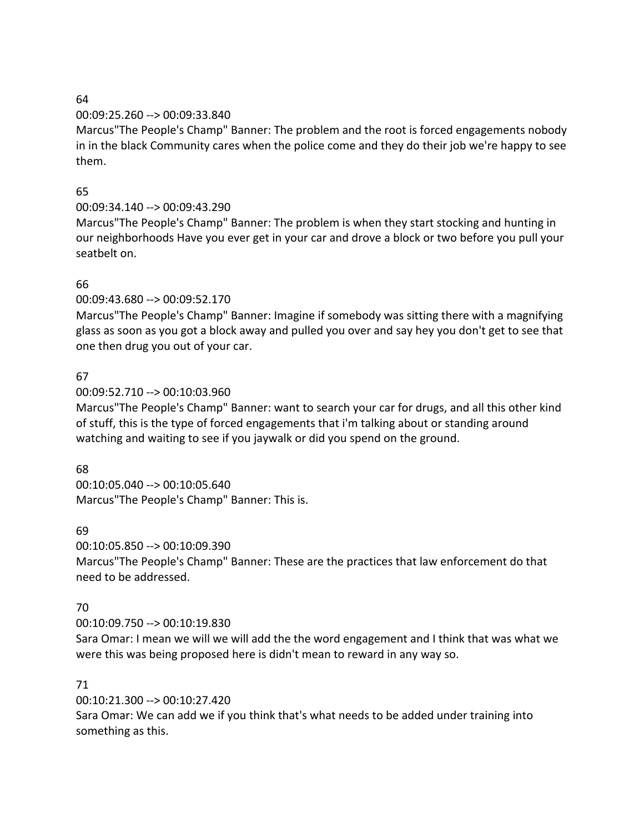#### 00:09:25.260 --> 00:09:33.840

Marcus"The People's Champ" Banner: The problem and the root is forced engagements nobody in in the black Community cares when the police come and they do their job we're happy to see them.

## 65

# 00:09:34.140 --> 00:09:43.290

Marcus"The People's Champ" Banner: The problem is when they start stocking and hunting in our neighborhoods Have you ever get in your car and drove a block or two before you pull your seatbelt on.

# 66

00:09:43.680 --> 00:09:52.170

Marcus"The People's Champ" Banner: Imagine if somebody was sitting there with a magnifying glass as soon as you got a block away and pulled you over and say hey you don't get to see that one then drug you out of your car.

## 67

## 00:09:52.710 --> 00:10:03.960

Marcus"The People's Champ" Banner: want to search your car for drugs, and all this other kind of stuff, this is the type of forced engagements that i'm talking about or standing around watching and waiting to see if you jaywalk or did you spend on the ground.

## 68

00:10:05.040 --> 00:10:05.640 Marcus"The People's Champ" Banner: This is.

## 69

00:10:05.850 --> 00:10:09.390 Marcus"The People's Champ" Banner: These are the practices that law enforcement do that need to be addressed.

## 70

## 00:10:09.750 --> 00:10:19.830

Sara Omar: I mean we will we will add the the word engagement and I think that was what we were this was being proposed here is didn't mean to reward in any way so.

## 71

00:10:21.300 --> 00:10:27.420

Sara Omar: We can add we if you think that's what needs to be added under training into something as this.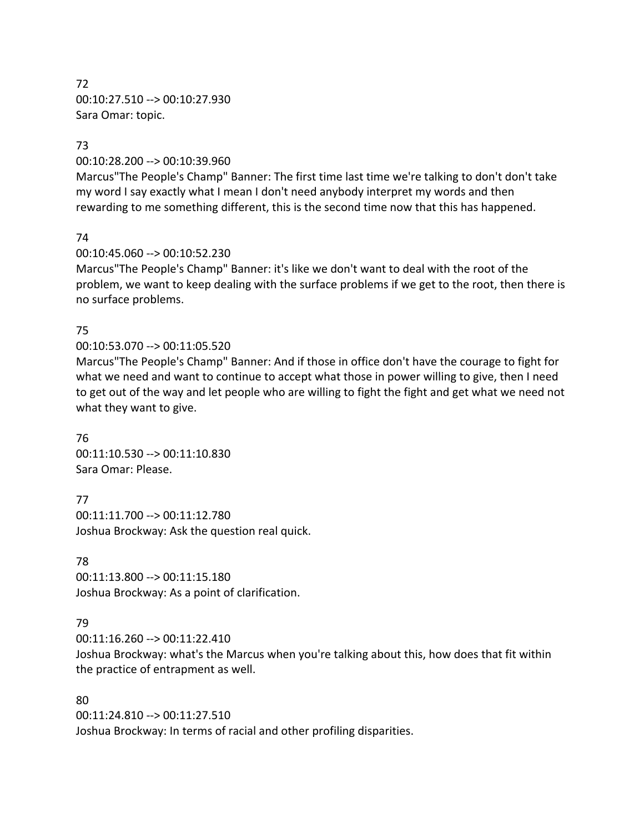72 00:10:27.510 --> 00:10:27.930 Sara Omar: topic.

#### 73

00:10:28.200 --> 00:10:39.960

Marcus"The People's Champ" Banner: The first time last time we're talking to don't don't take my word I say exactly what I mean I don't need anybody interpret my words and then rewarding to me something different, this is the second time now that this has happened.

#### 74

00:10:45.060 --> 00:10:52.230

Marcus"The People's Champ" Banner: it's like we don't want to deal with the root of the problem, we want to keep dealing with the surface problems if we get to the root, then there is no surface problems.

#### 75

#### 00:10:53.070 --> 00:11:05.520

Marcus"The People's Champ" Banner: And if those in office don't have the courage to fight for what we need and want to continue to accept what those in power willing to give, then I need to get out of the way and let people who are willing to fight the fight and get what we need not what they want to give.

76 00:11:10.530 --> 00:11:10.830 Sara Omar: Please.

77 00:11:11.700 --> 00:11:12.780 Joshua Brockway: Ask the question real quick.

#### 78

00:11:13.800 --> 00:11:15.180 Joshua Brockway: As a point of clarification.

## 79

00:11:16.260 --> 00:11:22.410

Joshua Brockway: what's the Marcus when you're talking about this, how does that fit within the practice of entrapment as well.

#### 80

00:11:24.810 --> 00:11:27.510 Joshua Brockway: In terms of racial and other profiling disparities.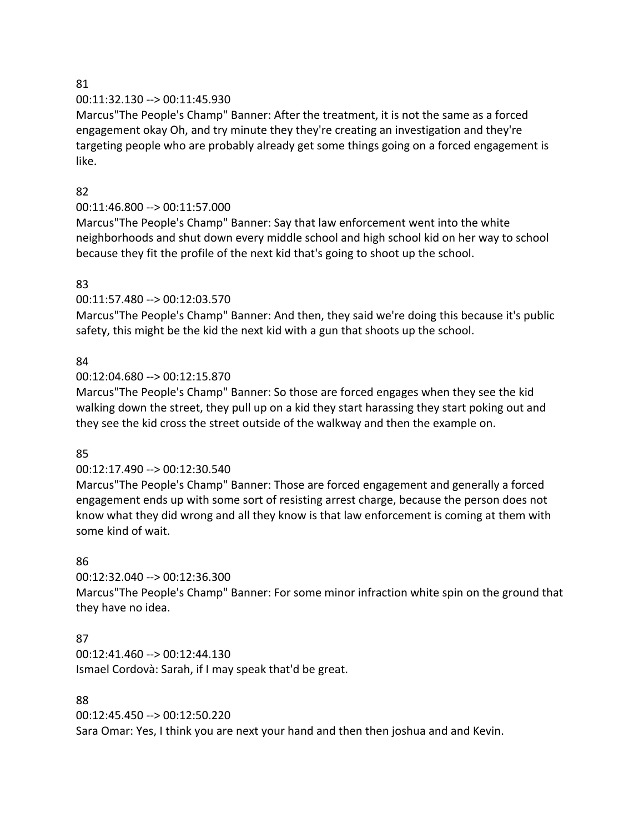#### 00:11:32.130 --> 00:11:45.930

Marcus"The People's Champ" Banner: After the treatment, it is not the same as a forced engagement okay Oh, and try minute they they're creating an investigation and they're targeting people who are probably already get some things going on a forced engagement is like.

#### 82

## 00:11:46.800 --> 00:11:57.000

Marcus"The People's Champ" Banner: Say that law enforcement went into the white neighborhoods and shut down every middle school and high school kid on her way to school because they fit the profile of the next kid that's going to shoot up the school.

## 83

## 00:11:57.480 --> 00:12:03.570

Marcus"The People's Champ" Banner: And then, they said we're doing this because it's public safety, this might be the kid the next kid with a gun that shoots up the school.

#### 84

#### 00:12:04.680 --> 00:12:15.870

Marcus"The People's Champ" Banner: So those are forced engages when they see the kid walking down the street, they pull up on a kid they start harassing they start poking out and they see the kid cross the street outside of the walkway and then the example on.

## 85

## 00:12:17.490 --> 00:12:30.540

Marcus"The People's Champ" Banner: Those are forced engagement and generally a forced engagement ends up with some sort of resisting arrest charge, because the person does not know what they did wrong and all they know is that law enforcement is coming at them with some kind of wait.

## 86

## 00:12:32.040 --> 00:12:36.300

Marcus"The People's Champ" Banner: For some minor infraction white spin on the ground that they have no idea.

## 87

00:12:41.460 --> 00:12:44.130 Ismael Cordovà: Sarah, if I may speak that'd be great.

## 88

00:12:45.450 --> 00:12:50.220 Sara Omar: Yes, I think you are next your hand and then then joshua and and Kevin.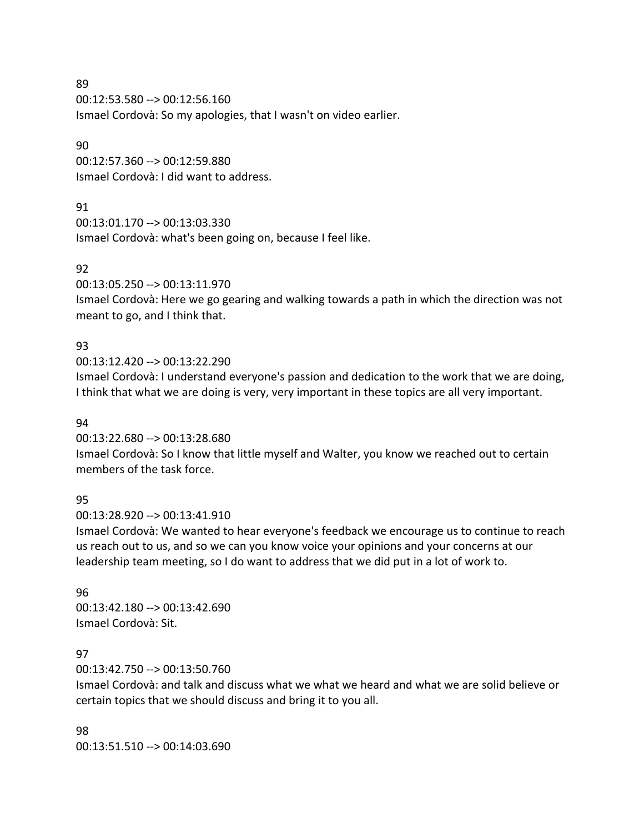00:12:53.580 --> 00:12:56.160 Ismael Cordovà: So my apologies, that I wasn't on video earlier.

#### 90

00:12:57.360 --> 00:12:59.880 Ismael Cordovà: I did want to address.

#### 91

00:13:01.170 --> 00:13:03.330 Ismael Cordovà: what's been going on, because I feel like.

#### 92

00:13:05.250 --> 00:13:11.970

Ismael Cordovà: Here we go gearing and walking towards a path in which the direction was not meant to go, and I think that.

## 93

00:13:12.420 --> 00:13:22.290

Ismael Cordovà: I understand everyone's passion and dedication to the work that we are doing, I think that what we are doing is very, very important in these topics are all very important.

#### 94

00:13:22.680 --> 00:13:28.680 Ismael Cordovà: So I know that little myself and Walter, you know we reached out to certain members of the task force.

## 95

00:13:28.920 --> 00:13:41.910

Ismael Cordovà: We wanted to hear everyone's feedback we encourage us to continue to reach us reach out to us, and so we can you know voice your opinions and your concerns at our leadership team meeting, so I do want to address that we did put in a lot of work to.

#### 96

00:13:42.180 --> 00:13:42.690 Ismael Cordovà: Sit.

#### 97

00:13:42.750 --> 00:13:50.760

Ismael Cordovà: and talk and discuss what we what we heard and what we are solid believe or certain topics that we should discuss and bring it to you all.

#### 98

00:13:51.510 --> 00:14:03.690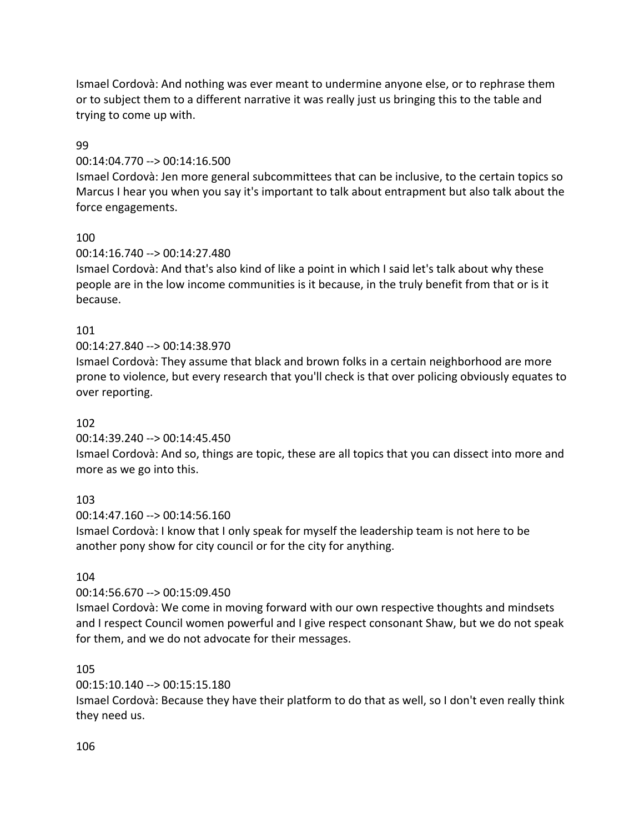Ismael Cordovà: And nothing was ever meant to undermine anyone else, or to rephrase them or to subject them to a different narrative it was really just us bringing this to the table and trying to come up with.

## 99

## 00:14:04.770 --> 00:14:16.500

Ismael Cordovà: Jen more general subcommittees that can be inclusive, to the certain topics so Marcus I hear you when you say it's important to talk about entrapment but also talk about the force engagements.

## 100

## 00:14:16.740 --> 00:14:27.480

Ismael Cordovà: And that's also kind of like a point in which I said let's talk about why these people are in the low income communities is it because, in the truly benefit from that or is it because.

## 101

# 00:14:27.840 --> 00:14:38.970

Ismael Cordovà: They assume that black and brown folks in a certain neighborhood are more prone to violence, but every research that you'll check is that over policing obviously equates to over reporting.

## 102

## 00:14:39.240 --> 00:14:45.450

Ismael Cordovà: And so, things are topic, these are all topics that you can dissect into more and more as we go into this.

# 103

00:14:47.160 --> 00:14:56.160

Ismael Cordovà: I know that I only speak for myself the leadership team is not here to be another pony show for city council or for the city for anything.

## 104

# 00:14:56.670 --> 00:15:09.450

Ismael Cordovà: We come in moving forward with our own respective thoughts and mindsets and I respect Council women powerful and I give respect consonant Shaw, but we do not speak for them, and we do not advocate for their messages.

## 105

# 00:15:10.140 --> 00:15:15.180

Ismael Cordovà: Because they have their platform to do that as well, so I don't even really think they need us.

## 106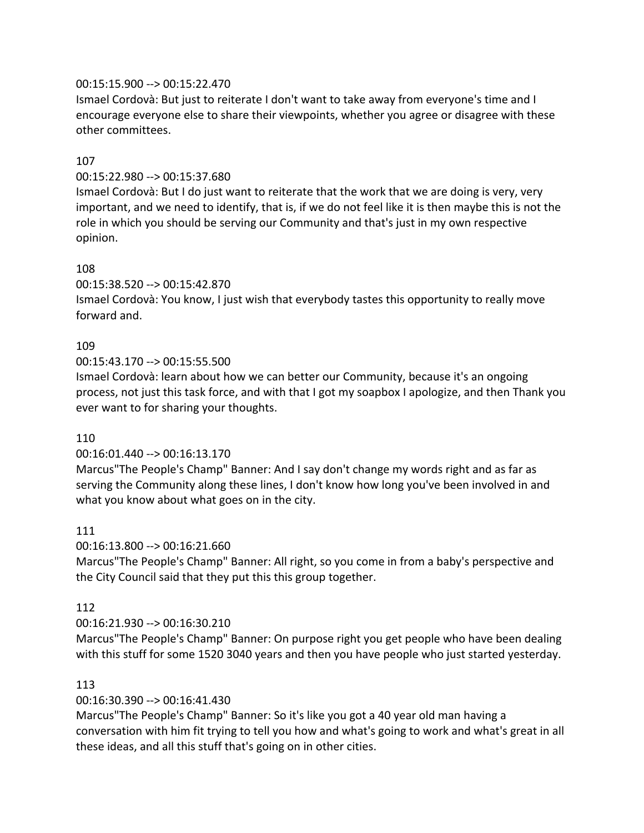#### 00:15:15.900 --> 00:15:22.470

Ismael Cordovà: But just to reiterate I don't want to take away from everyone's time and I encourage everyone else to share their viewpoints, whether you agree or disagree with these other committees.

#### 107

#### 00:15:22.980 --> 00:15:37.680

Ismael Cordovà: But I do just want to reiterate that the work that we are doing is very, very important, and we need to identify, that is, if we do not feel like it is then maybe this is not the role in which you should be serving our Community and that's just in my own respective opinion.

#### 108

00:15:38.520 --> 00:15:42.870

Ismael Cordovà: You know, I just wish that everybody tastes this opportunity to really move forward and.

#### 109

00:15:43.170 --> 00:15:55.500

Ismael Cordovà: learn about how we can better our Community, because it's an ongoing process, not just this task force, and with that I got my soapbox I apologize, and then Thank you ever want to for sharing your thoughts.

#### 110

#### 00:16:01.440 --> 00:16:13.170

Marcus"The People's Champ" Banner: And I say don't change my words right and as far as serving the Community along these lines, I don't know how long you've been involved in and what you know about what goes on in the city.

#### 111

00:16:13.800 --> 00:16:21.660

Marcus"The People's Champ" Banner: All right, so you come in from a baby's perspective and the City Council said that they put this this group together.

## 112

## 00:16:21.930 --> 00:16:30.210

Marcus"The People's Champ" Banner: On purpose right you get people who have been dealing with this stuff for some 1520 3040 years and then you have people who just started yesterday.

#### 113

## 00:16:30.390 --> 00:16:41.430

Marcus"The People's Champ" Banner: So it's like you got a 40 year old man having a conversation with him fit trying to tell you how and what's going to work and what's great in all these ideas, and all this stuff that's going on in other cities.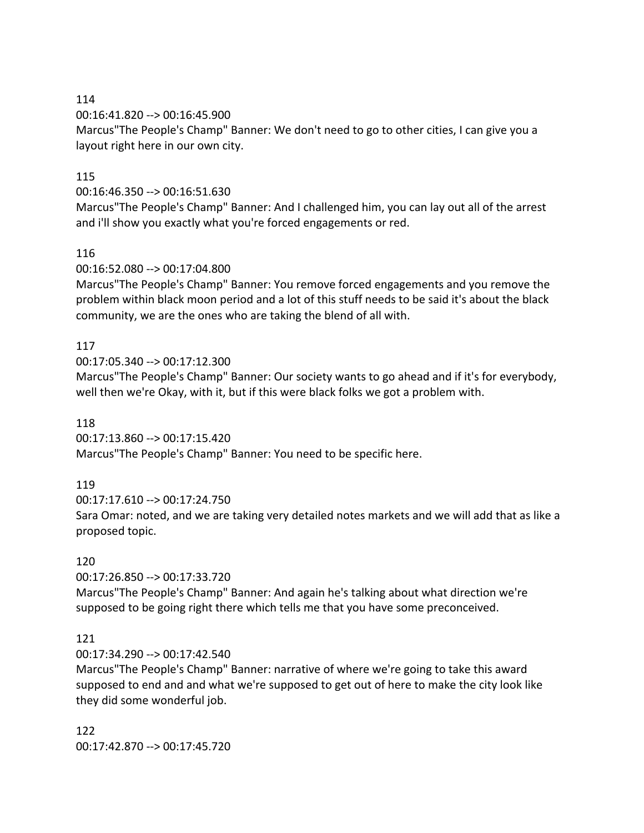00:16:41.820 --> 00:16:45.900

Marcus"The People's Champ" Banner: We don't need to go to other cities, I can give you a layout right here in our own city.

# 115

00:16:46.350 --> 00:16:51.630

Marcus"The People's Champ" Banner: And I challenged him, you can lay out all of the arrest and i'll show you exactly what you're forced engagements or red.

## 116

00:16:52.080 --> 00:17:04.800

Marcus"The People's Champ" Banner: You remove forced engagements and you remove the problem within black moon period and a lot of this stuff needs to be said it's about the black community, we are the ones who are taking the blend of all with.

## 117

00:17:05.340 --> 00:17:12.300

Marcus"The People's Champ" Banner: Our society wants to go ahead and if it's for everybody, well then we're Okay, with it, but if this were black folks we got a problem with.

## 118

00:17:13.860 --> 00:17:15.420 Marcus"The People's Champ" Banner: You need to be specific here.

# 119

00:17:17.610 --> 00:17:24.750

Sara Omar: noted, and we are taking very detailed notes markets and we will add that as like a proposed topic.

# 120

00:17:26.850 --> 00:17:33.720 Marcus"The People's Champ" Banner: And again he's talking about what direction we're supposed to be going right there which tells me that you have some preconceived.

# 121

00:17:34.290 --> 00:17:42.540

Marcus"The People's Champ" Banner: narrative of where we're going to take this award supposed to end and and what we're supposed to get out of here to make the city look like they did some wonderful job.

122 00:17:42.870 --> 00:17:45.720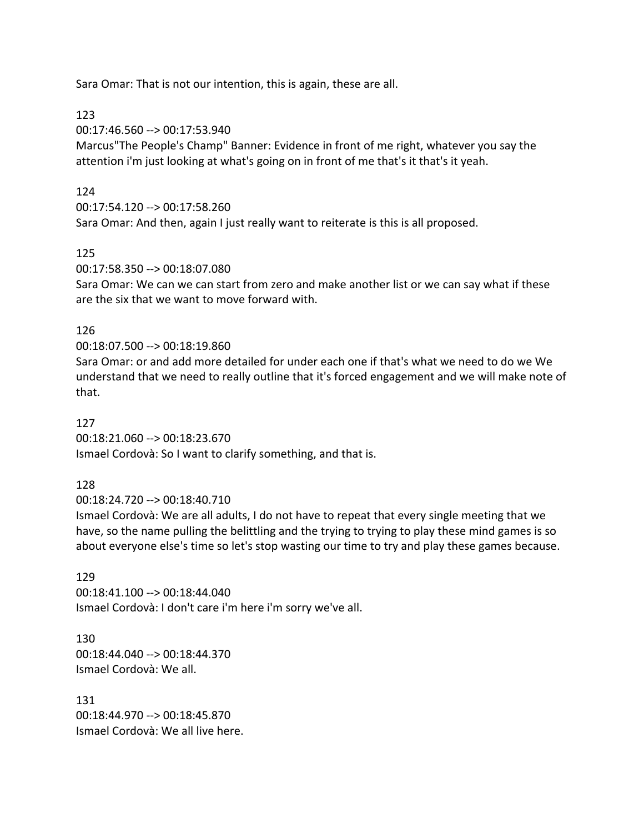Sara Omar: That is not our intention, this is again, these are all.

123

00:17:46.560 --> 00:17:53.940

Marcus"The People's Champ" Banner: Evidence in front of me right, whatever you say the attention i'm just looking at what's going on in front of me that's it that's it yeah.

#### 124

00:17:54.120 --> 00:17:58.260

Sara Omar: And then, again I just really want to reiterate is this is all proposed.

125

00:17:58.350 --> 00:18:07.080

Sara Omar: We can we can start from zero and make another list or we can say what if these are the six that we want to move forward with.

#### 126

00:18:07.500 --> 00:18:19.860

Sara Omar: or and add more detailed for under each one if that's what we need to do we We understand that we need to really outline that it's forced engagement and we will make note of that.

127

00:18:21.060 --> 00:18:23.670 Ismael Cordovà: So I want to clarify something, and that is.

128

00:18:24.720 --> 00:18:40.710

Ismael Cordovà: We are all adults, I do not have to repeat that every single meeting that we have, so the name pulling the belittling and the trying to trying to play these mind games is so about everyone else's time so let's stop wasting our time to try and play these games because.

#### 129

00:18:41.100 --> 00:18:44.040 Ismael Cordovà: I don't care i'm here i'm sorry we've all.

130 00:18:44.040 --> 00:18:44.370 Ismael Cordovà: We all.

131 00:18:44.970 --> 00:18:45.870 Ismael Cordovà: We all live here.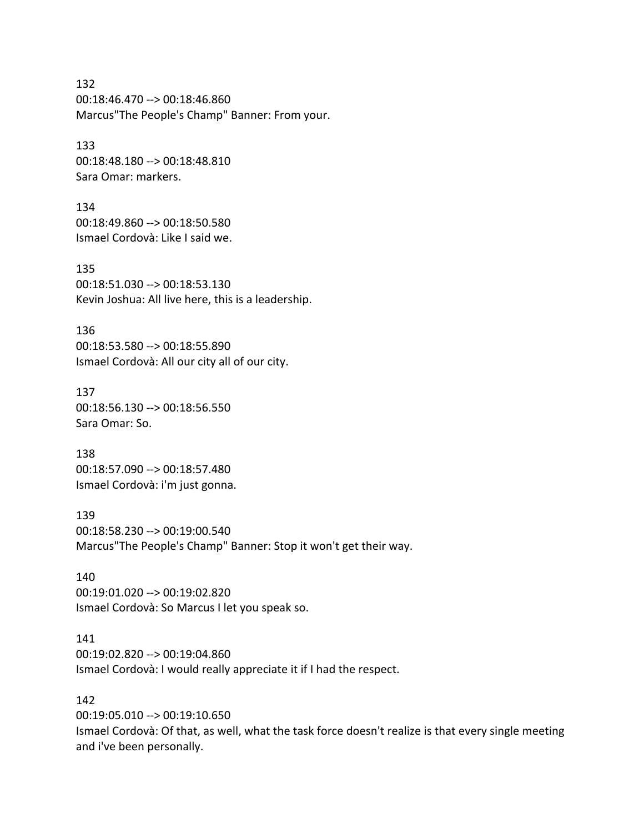132 00:18:46.470 --> 00:18:46.860 Marcus"The People's Champ" Banner: From your.

133 00:18:48.180 --> 00:18:48.810 Sara Omar: markers.

134 00:18:49.860 --> 00:18:50.580 Ismael Cordovà: Like I said we.

135 00:18:51.030 --> 00:18:53.130 Kevin Joshua: All live here, this is a leadership.

136 00:18:53.580 --> 00:18:55.890 Ismael Cordovà: All our city all of our city.

137 00:18:56.130 --> 00:18:56.550 Sara Omar: So.

138 00:18:57.090 --> 00:18:57.480 Ismael Cordovà: i'm just gonna.

139 00:18:58.230 --> 00:19:00.540 Marcus"The People's Champ" Banner: Stop it won't get their way.

140 00:19:01.020 --> 00:19:02.820 Ismael Cordovà: So Marcus I let you speak so.

141 00:19:02.820 --> 00:19:04.860 Ismael Cordovà: I would really appreciate it if I had the respect.

142 00:19:05.010 --> 00:19:10.650 Ismael Cordovà: Of that, as well, what the task force doesn't realize is that every single meeting and i've been personally.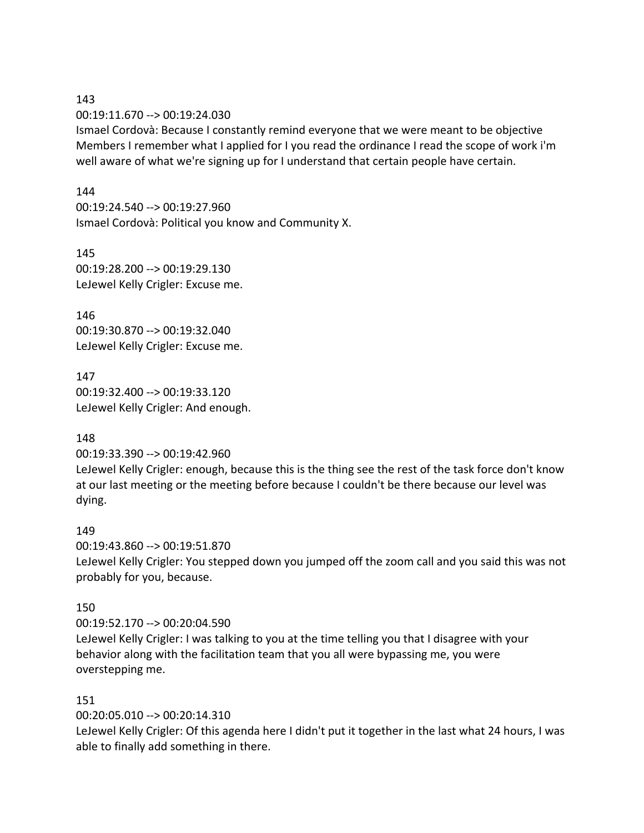00:19:11.670 --> 00:19:24.030

Ismael Cordovà: Because I constantly remind everyone that we were meant to be objective Members I remember what I applied for I you read the ordinance I read the scope of work i'm well aware of what we're signing up for I understand that certain people have certain.

#### 144

00:19:24.540 --> 00:19:27.960 Ismael Cordovà: Political you know and Community X.

145 00:19:28.200 --> 00:19:29.130 LeJewel Kelly Crigler: Excuse me.

146 00:19:30.870 --> 00:19:32.040 LeJewel Kelly Crigler: Excuse me.

147 00:19:32.400 --> 00:19:33.120 LeJewel Kelly Crigler: And enough.

#### 148

00:19:33.390 --> 00:19:42.960

LeJewel Kelly Crigler: enough, because this is the thing see the rest of the task force don't know at our last meeting or the meeting before because I couldn't be there because our level was dying.

#### 149

00:19:43.860 --> 00:19:51.870 LeJewel Kelly Crigler: You stepped down you jumped off the zoom call and you said this was not probably for you, because.

#### 150

00:19:52.170 --> 00:20:04.590 LeJewel Kelly Crigler: I was talking to you at the time telling you that I disagree with your behavior along with the facilitation team that you all were bypassing me, you were overstepping me.

#### 151

00:20:05.010 --> 00:20:14.310

LeJewel Kelly Crigler: Of this agenda here I didn't put it together in the last what 24 hours, I was able to finally add something in there.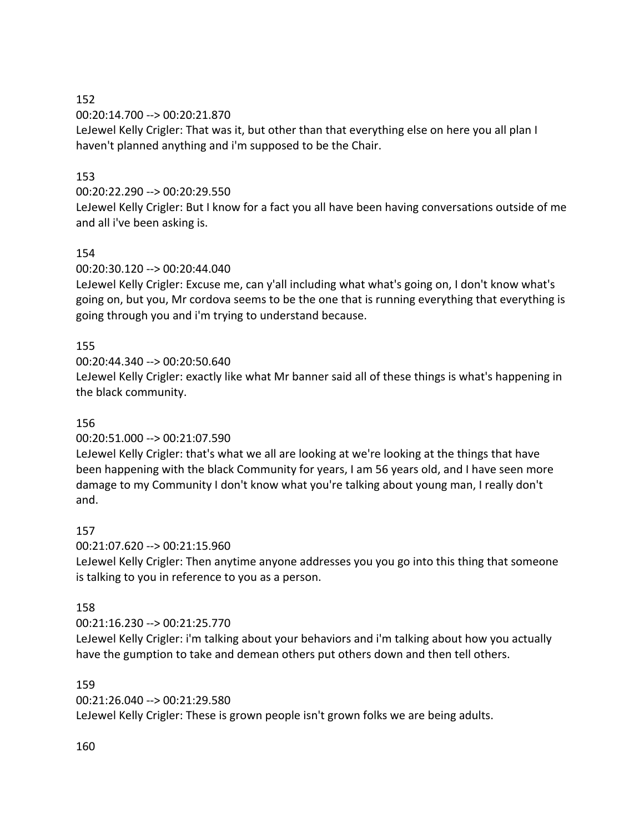00:20:14.700 --> 00:20:21.870

LeJewel Kelly Crigler: That was it, but other than that everything else on here you all plan I haven't planned anything and i'm supposed to be the Chair.

## 153

## 00:20:22.290 --> 00:20:29.550

LeJewel Kelly Crigler: But I know for a fact you all have been having conversations outside of me and all i've been asking is.

# 154

## 00:20:30.120 --> 00:20:44.040

LeJewel Kelly Crigler: Excuse me, can y'all including what what's going on, I don't know what's going on, but you, Mr cordova seems to be the one that is running everything that everything is going through you and i'm trying to understand because.

## 155

## 00:20:44.340 --> 00:20:50.640

LeJewel Kelly Crigler: exactly like what Mr banner said all of these things is what's happening in the black community.

# 156

# 00:20:51.000 --> 00:21:07.590

LeJewel Kelly Crigler: that's what we all are looking at we're looking at the things that have been happening with the black Community for years, I am 56 years old, and I have seen more damage to my Community I don't know what you're talking about young man, I really don't and.

## 157

## 00:21:07.620 --> 00:21:15.960

LeJewel Kelly Crigler: Then anytime anyone addresses you you go into this thing that someone is talking to you in reference to you as a person.

## 158

## 00:21:16.230 --> 00:21:25.770

LeJewel Kelly Crigler: i'm talking about your behaviors and i'm talking about how you actually have the gumption to take and demean others put others down and then tell others.

## 159

00:21:26.040 --> 00:21:29.580

LeJewel Kelly Crigler: These is grown people isn't grown folks we are being adults.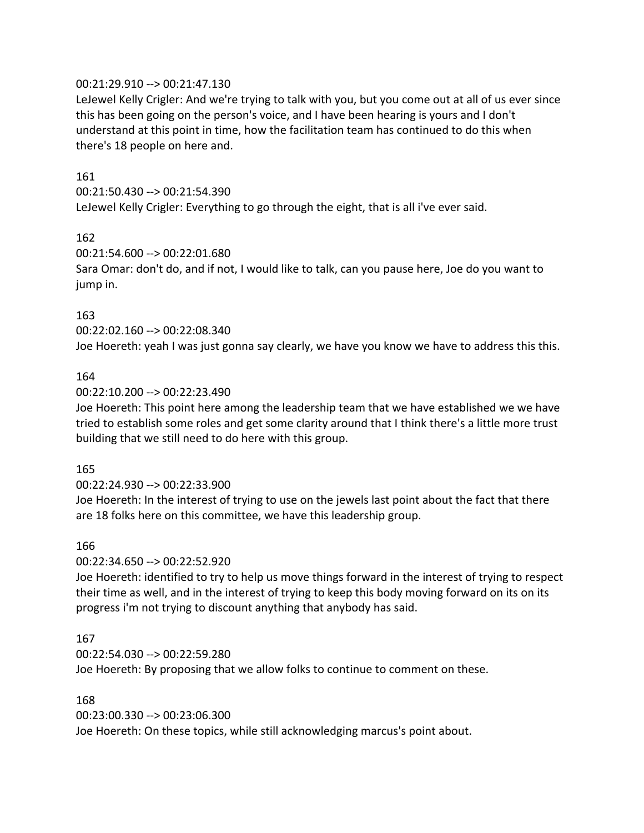#### 00:21:29.910 --> 00:21:47.130

LeJewel Kelly Crigler: And we're trying to talk with you, but you come out at all of us ever since this has been going on the person's voice, and I have been hearing is yours and I don't understand at this point in time, how the facilitation team has continued to do this when there's 18 people on here and.

#### 161

00:21:50.430 --> 00:21:54.390

LeJewel Kelly Crigler: Everything to go through the eight, that is all i've ever said.

#### 162

00:21:54.600 --> 00:22:01.680

Sara Omar: don't do, and if not, I would like to talk, can you pause here, Joe do you want to jump in.

#### 163

00:22:02.160 --> 00:22:08.340

Joe Hoereth: yeah I was just gonna say clearly, we have you know we have to address this this.

#### 164

#### 00:22:10.200 --> 00:22:23.490

Joe Hoereth: This point here among the leadership team that we have established we we have tried to establish some roles and get some clarity around that I think there's a little more trust building that we still need to do here with this group.

#### 165

#### 00:22:24.930 --> 00:22:33.900

Joe Hoereth: In the interest of trying to use on the jewels last point about the fact that there are 18 folks here on this committee, we have this leadership group.

#### 166

00:22:34.650 --> 00:22:52.920

Joe Hoereth: identified to try to help us move things forward in the interest of trying to respect their time as well, and in the interest of trying to keep this body moving forward on its on its progress i'm not trying to discount anything that anybody has said.

#### 167

00:22:54.030 --> 00:22:59.280

Joe Hoereth: By proposing that we allow folks to continue to comment on these.

#### 168

00:23:00.330 --> 00:23:06.300 Joe Hoereth: On these topics, while still acknowledging marcus's point about.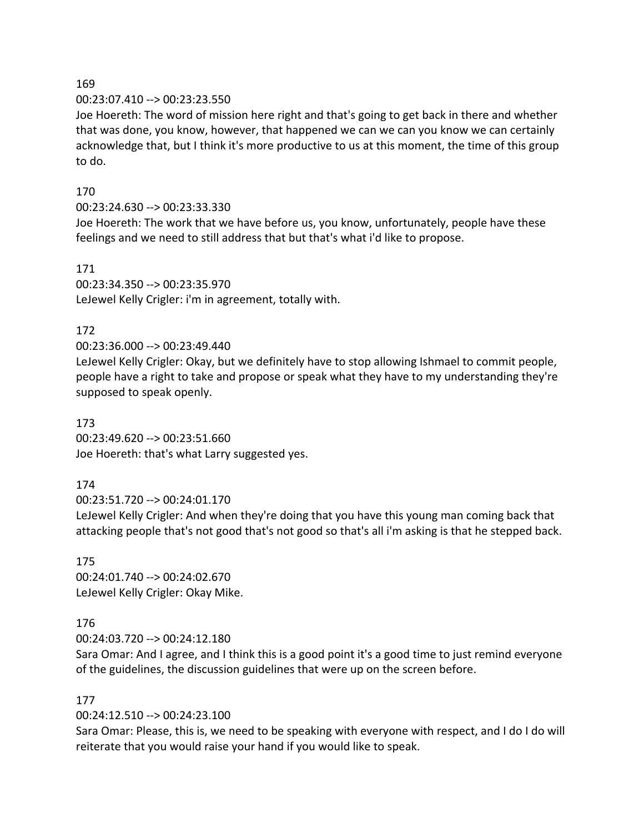#### 00:23:07.410 --> 00:23:23.550

Joe Hoereth: The word of mission here right and that's going to get back in there and whether that was done, you know, however, that happened we can we can you know we can certainly acknowledge that, but I think it's more productive to us at this moment, the time of this group to do.

## 170

## 00:23:24.630 --> 00:23:33.330

Joe Hoereth: The work that we have before us, you know, unfortunately, people have these feelings and we need to still address that but that's what i'd like to propose.

#### 171

00:23:34.350 --> 00:23:35.970 LeJewel Kelly Crigler: i'm in agreement, totally with.

## 172

## 00:23:36.000 --> 00:23:49.440

LeJewel Kelly Crigler: Okay, but we definitely have to stop allowing Ishmael to commit people, people have a right to take and propose or speak what they have to my understanding they're supposed to speak openly.

#### 173

00:23:49.620 --> 00:23:51.660 Joe Hoereth: that's what Larry suggested yes.

## 174

00:23:51.720 --> 00:24:01.170

LeJewel Kelly Crigler: And when they're doing that you have this young man coming back that attacking people that's not good that's not good so that's all i'm asking is that he stepped back.

# 175

00:24:01.740 --> 00:24:02.670 LeJewel Kelly Crigler: Okay Mike.

# 176

00:24:03.720 --> 00:24:12.180

Sara Omar: And I agree, and I think this is a good point it's a good time to just remind everyone of the guidelines, the discussion guidelines that were up on the screen before.

## 177

00:24:12.510 --> 00:24:23.100

Sara Omar: Please, this is, we need to be speaking with everyone with respect, and I do I do will reiterate that you would raise your hand if you would like to speak.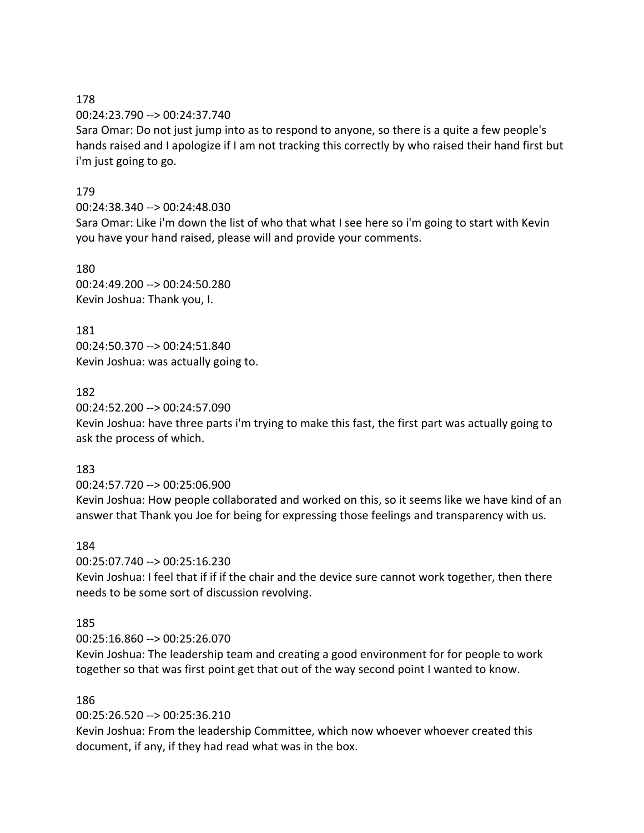00:24:23.790 --> 00:24:37.740

Sara Omar: Do not just jump into as to respond to anyone, so there is a quite a few people's hands raised and I apologize if I am not tracking this correctly by who raised their hand first but i'm just going to go.

#### 179

#### 00:24:38.340 --> 00:24:48.030

Sara Omar: Like i'm down the list of who that what I see here so i'm going to start with Kevin you have your hand raised, please will and provide your comments.

180

00:24:49.200 --> 00:24:50.280 Kevin Joshua: Thank you, I.

181 00:24:50.370 --> 00:24:51.840 Kevin Joshua: was actually going to.

## 182

00:24:52.200 --> 00:24:57.090

Kevin Joshua: have three parts i'm trying to make this fast, the first part was actually going to ask the process of which.

#### 183

00:24:57.720 --> 00:25:06.900

Kevin Joshua: How people collaborated and worked on this, so it seems like we have kind of an answer that Thank you Joe for being for expressing those feelings and transparency with us.

#### 184

00:25:07.740 --> 00:25:16.230

Kevin Joshua: I feel that if if if the chair and the device sure cannot work together, then there needs to be some sort of discussion revolving.

## 185

00:25:16.860 --> 00:25:26.070

Kevin Joshua: The leadership team and creating a good environment for for people to work together so that was first point get that out of the way second point I wanted to know.

## 186

00:25:26.520 --> 00:25:36.210

Kevin Joshua: From the leadership Committee, which now whoever whoever created this document, if any, if they had read what was in the box.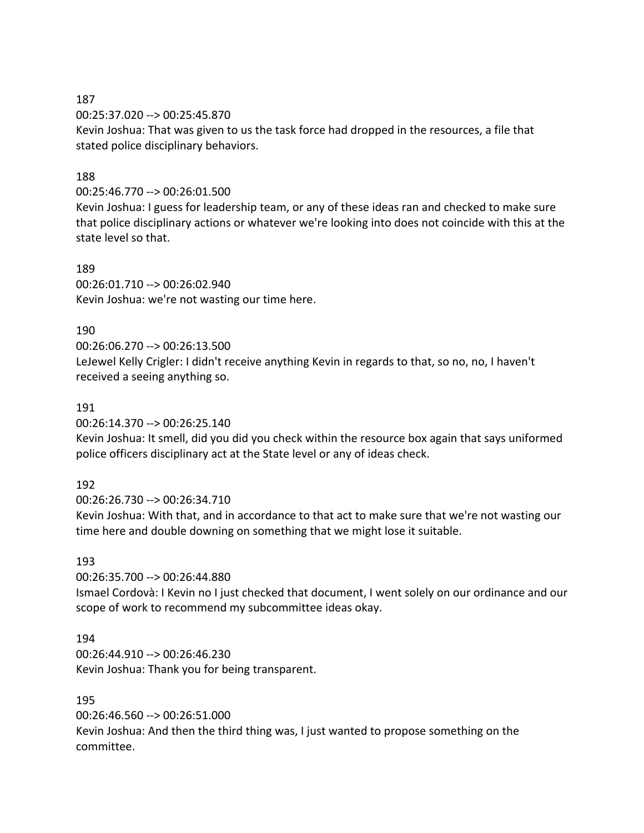00:25:37.020 --> 00:25:45.870 Kevin Joshua: That was given to us the task force had dropped in the resources, a file that stated police disciplinary behaviors.

#### 188

00:25:46.770 --> 00:26:01.500

Kevin Joshua: I guess for leadership team, or any of these ideas ran and checked to make sure that police disciplinary actions or whatever we're looking into does not coincide with this at the state level so that.

#### 189

00:26:01.710 --> 00:26:02.940 Kevin Joshua: we're not wasting our time here.

#### 190

00:26:06.270 --> 00:26:13.500 LeJewel Kelly Crigler: I didn't receive anything Kevin in regards to that, so no, no, I haven't received a seeing anything so.

#### 191

00:26:14.370 --> 00:26:25.140

Kevin Joshua: It smell, did you did you check within the resource box again that says uniformed police officers disciplinary act at the State level or any of ideas check.

## 192

00:26:26.730 --> 00:26:34.710

Kevin Joshua: With that, and in accordance to that act to make sure that we're not wasting our time here and double downing on something that we might lose it suitable.

#### 193

00:26:35.700 --> 00:26:44.880

Ismael Cordovà: I Kevin no I just checked that document, I went solely on our ordinance and our scope of work to recommend my subcommittee ideas okay.

#### 194

00:26:44.910 --> 00:26:46.230 Kevin Joshua: Thank you for being transparent.

## 195

00:26:46.560 --> 00:26:51.000

Kevin Joshua: And then the third thing was, I just wanted to propose something on the committee.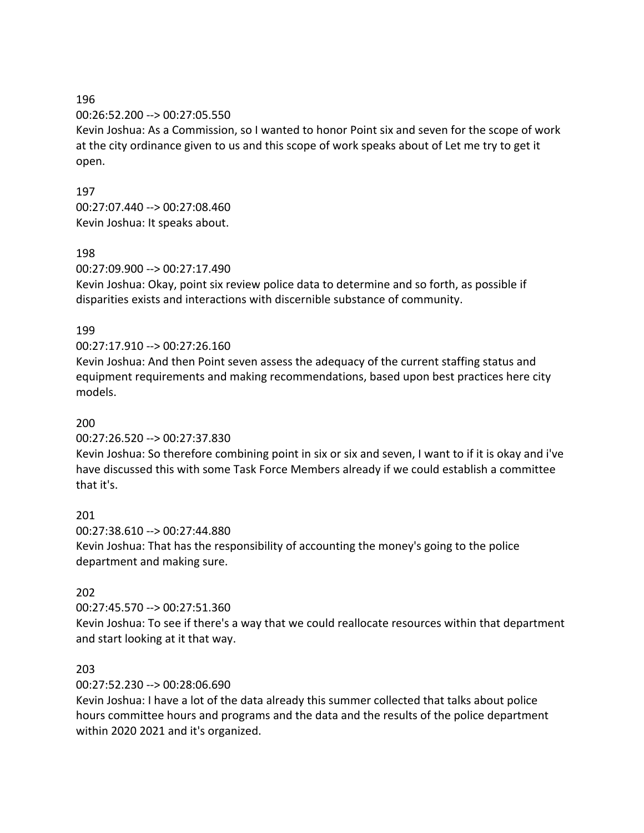00:26:52.200 --> 00:27:05.550

Kevin Joshua: As a Commission, so I wanted to honor Point six and seven for the scope of work at the city ordinance given to us and this scope of work speaks about of Let me try to get it open.

197 00:27:07.440 --> 00:27:08.460 Kevin Joshua: It speaks about.

#### 198

00:27:09.900 --> 00:27:17.490

Kevin Joshua: Okay, point six review police data to determine and so forth, as possible if disparities exists and interactions with discernible substance of community.

#### 199

#### 00:27:17.910 --> 00:27:26.160

Kevin Joshua: And then Point seven assess the adequacy of the current staffing status and equipment requirements and making recommendations, based upon best practices here city models.

#### 200

00:27:26.520 --> 00:27:37.830

Kevin Joshua: So therefore combining point in six or six and seven, I want to if it is okay and i've have discussed this with some Task Force Members already if we could establish a committee that it's.

## 201

00:27:38.610 --> 00:27:44.880 Kevin Joshua: That has the responsibility of accounting the money's going to the police department and making sure.

## 202

00:27:45.570 --> 00:27:51.360

Kevin Joshua: To see if there's a way that we could reallocate resources within that department and start looking at it that way.

## 203

00:27:52.230 --> 00:28:06.690

Kevin Joshua: I have a lot of the data already this summer collected that talks about police hours committee hours and programs and the data and the results of the police department within 2020 2021 and it's organized.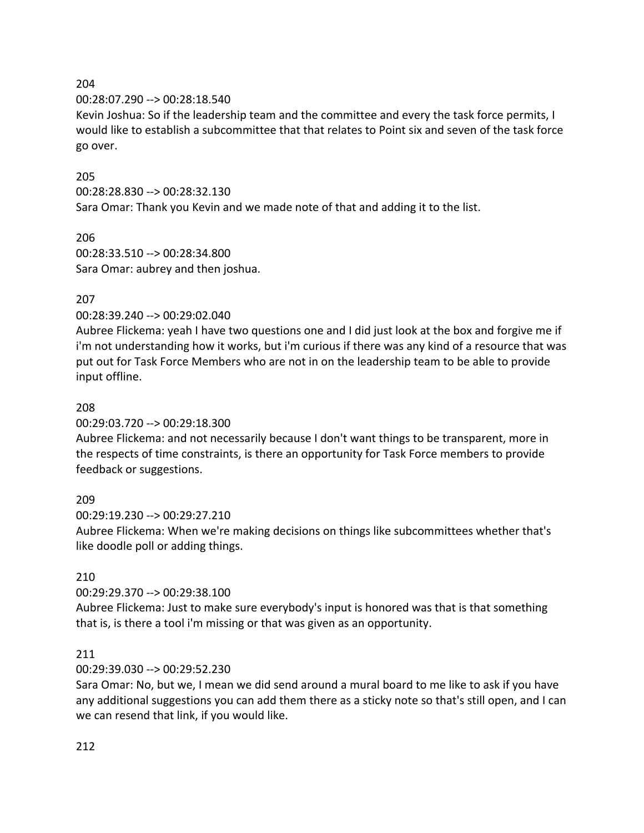00:28:07.290 --> 00:28:18.540

Kevin Joshua: So if the leadership team and the committee and every the task force permits, I would like to establish a subcommittee that that relates to Point six and seven of the task force go over.

#### 205

00:28:28.830 --> 00:28:32.130

Sara Omar: Thank you Kevin and we made note of that and adding it to the list.

#### 206 00:28:33.510 --> 00:28:34.800 Sara Omar: aubrey and then joshua.

## 207

#### 00:28:39.240 --> 00:29:02.040

Aubree Flickema: yeah I have two questions one and I did just look at the box and forgive me if i'm not understanding how it works, but i'm curious if there was any kind of a resource that was put out for Task Force Members who are not in on the leadership team to be able to provide input offline.

#### 208

00:29:03.720 --> 00:29:18.300

Aubree Flickema: and not necessarily because I don't want things to be transparent, more in the respects of time constraints, is there an opportunity for Task Force members to provide feedback or suggestions.

## 209

00:29:19.230 --> 00:29:27.210

Aubree Flickema: When we're making decisions on things like subcommittees whether that's like doodle poll or adding things.

## 210

00:29:29.370 --> 00:29:38.100

Aubree Flickema: Just to make sure everybody's input is honored was that is that something that is, is there a tool i'm missing or that was given as an opportunity.

#### 211

#### 00:29:39.030 --> 00:29:52.230

Sara Omar: No, but we, I mean we did send around a mural board to me like to ask if you have any additional suggestions you can add them there as a sticky note so that's still open, and I can we can resend that link, if you would like.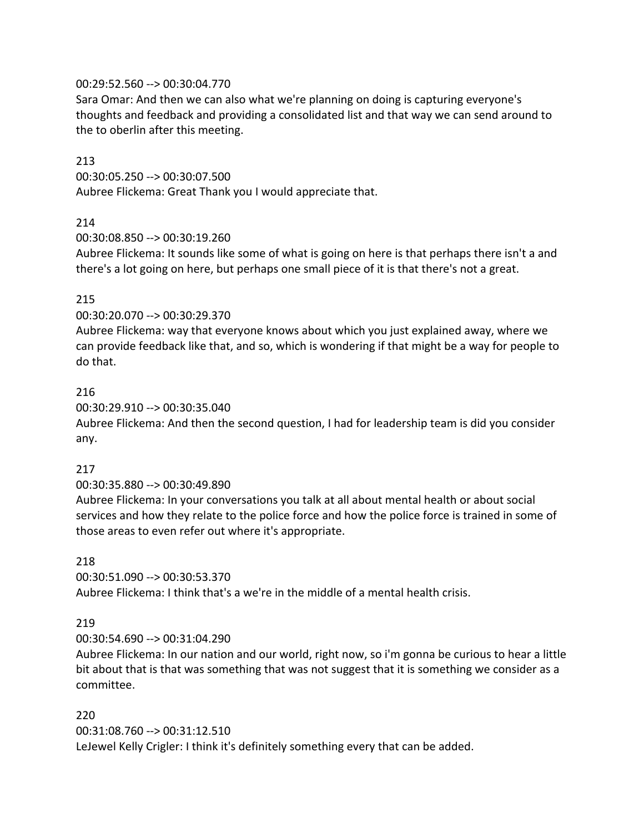#### 00:29:52.560 --> 00:30:04.770

Sara Omar: And then we can also what we're planning on doing is capturing everyone's thoughts and feedback and providing a consolidated list and that way we can send around to the to oberlin after this meeting.

#### 213

00:30:05.250 --> 00:30:07.500 Aubree Flickema: Great Thank you I would appreciate that.

#### 214

00:30:08.850 --> 00:30:19.260

Aubree Flickema: It sounds like some of what is going on here is that perhaps there isn't a and there's a lot going on here, but perhaps one small piece of it is that there's not a great.

#### 215

00:30:20.070 --> 00:30:29.370

Aubree Flickema: way that everyone knows about which you just explained away, where we can provide feedback like that, and so, which is wondering if that might be a way for people to do that.

#### 216

00:30:29.910 --> 00:30:35.040

Aubree Flickema: And then the second question, I had for leadership team is did you consider any.

#### 217

#### 00:30:35.880 --> 00:30:49.890

Aubree Flickema: In your conversations you talk at all about mental health or about social services and how they relate to the police force and how the police force is trained in some of those areas to even refer out where it's appropriate.

#### 218

00:30:51.090 --> 00:30:53.370 Aubree Flickema: I think that's a we're in the middle of a mental health crisis.

#### 219

00:30:54.690 --> 00:31:04.290

Aubree Flickema: In our nation and our world, right now, so i'm gonna be curious to hear a little bit about that is that was something that was not suggest that it is something we consider as a committee.

#### 220

00:31:08.760 --> 00:31:12.510 LeJewel Kelly Crigler: I think it's definitely something every that can be added.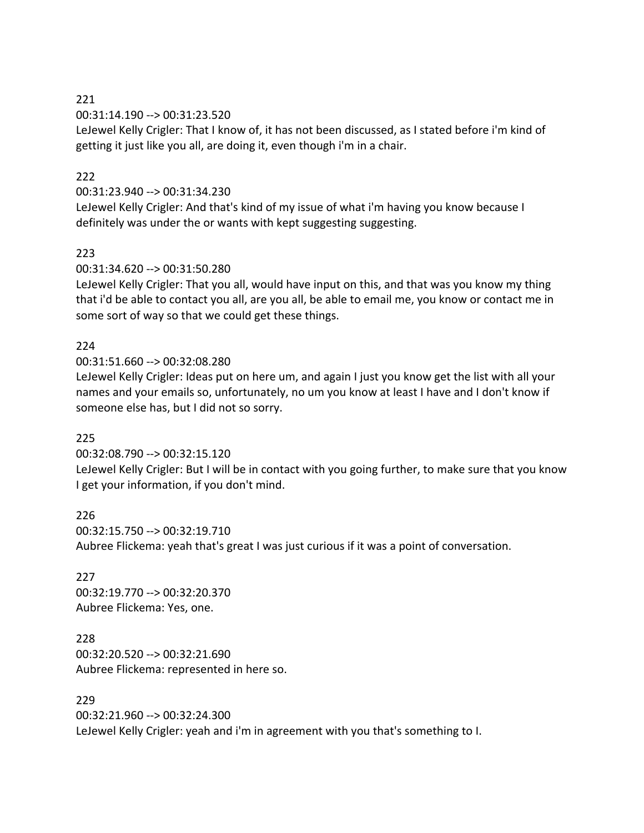00:31:14.190 --> 00:31:23.520

LeJewel Kelly Crigler: That I know of, it has not been discussed, as I stated before i'm kind of getting it just like you all, are doing it, even though i'm in a chair.

#### $222$

#### 00:31:23.940 --> 00:31:34.230

LeJewel Kelly Crigler: And that's kind of my issue of what i'm having you know because I definitely was under the or wants with kept suggesting suggesting.

#### 223

00:31:34.620 --> 00:31:50.280

LeJewel Kelly Crigler: That you all, would have input on this, and that was you know my thing that i'd be able to contact you all, are you all, be able to email me, you know or contact me in some sort of way so that we could get these things.

#### 224

00:31:51.660 --> 00:32:08.280

LeJewel Kelly Crigler: Ideas put on here um, and again I just you know get the list with all your names and your emails so, unfortunately, no um you know at least I have and I don't know if someone else has, but I did not so sorry.

## 225

00:32:08.790 --> 00:32:15.120

LeJewel Kelly Crigler: But I will be in contact with you going further, to make sure that you know I get your information, if you don't mind.

226 00:32:15.750 --> 00:32:19.710 Aubree Flickema: yeah that's great I was just curious if it was a point of conversation.

227 00:32:19.770 --> 00:32:20.370 Aubree Flickema: Yes, one.

228 00:32:20.520 --> 00:32:21.690 Aubree Flickema: represented in here so.

229

00:32:21.960 --> 00:32:24.300 LeJewel Kelly Crigler: yeah and i'm in agreement with you that's something to I.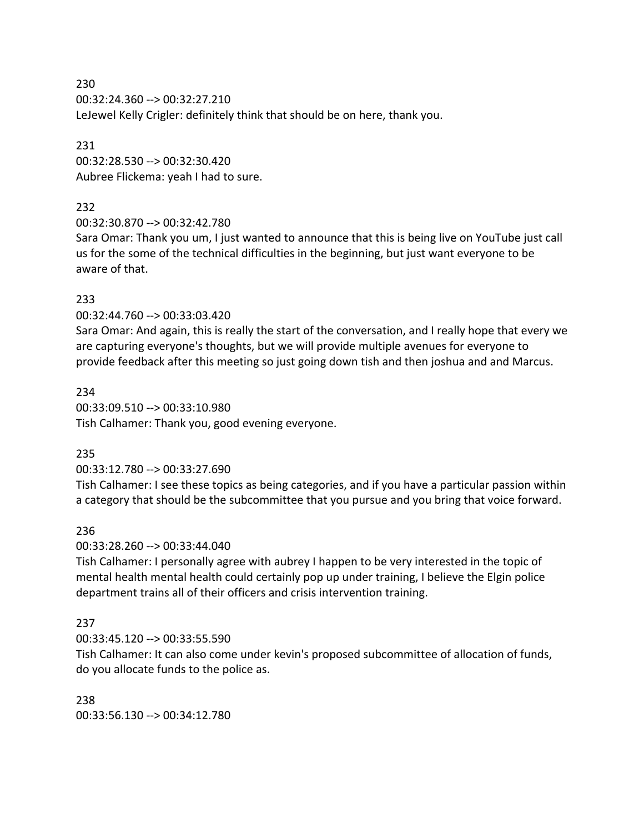230 00:32:24.360 --> 00:32:27.210 LeJewel Kelly Crigler: definitely think that should be on here, thank you.

231 00:32:28.530 --> 00:32:30.420 Aubree Flickema: yeah I had to sure.

## 232

00:32:30.870 --> 00:32:42.780

Sara Omar: Thank you um, I just wanted to announce that this is being live on YouTube just call us for the some of the technical difficulties in the beginning, but just want everyone to be aware of that.

# 233

00:32:44.760 --> 00:33:03.420

Sara Omar: And again, this is really the start of the conversation, and I really hope that every we are capturing everyone's thoughts, but we will provide multiple avenues for everyone to provide feedback after this meeting so just going down tish and then joshua and and Marcus.

234 00:33:09.510 --> 00:33:10.980 Tish Calhamer: Thank you, good evening everyone.

# 235

00:33:12.780 --> 00:33:27.690

Tish Calhamer: I see these topics as being categories, and if you have a particular passion within a category that should be the subcommittee that you pursue and you bring that voice forward.

## 236

00:33:28.260 --> 00:33:44.040

Tish Calhamer: I personally agree with aubrey I happen to be very interested in the topic of mental health mental health could certainly pop up under training, I believe the Elgin police department trains all of their officers and crisis intervention training.

# 237

00:33:45.120 --> 00:33:55.590

Tish Calhamer: It can also come under kevin's proposed subcommittee of allocation of funds, do you allocate funds to the police as.

# 238

00:33:56.130 --> 00:34:12.780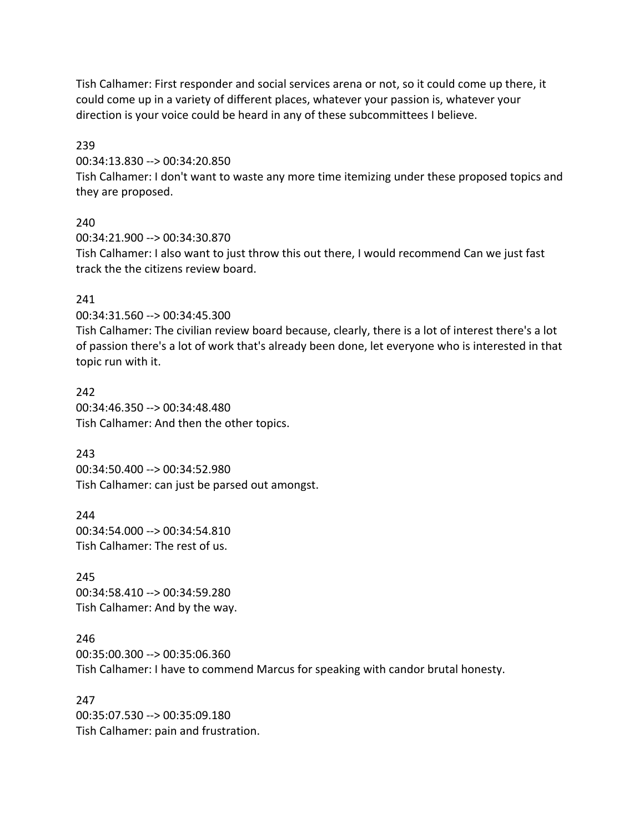Tish Calhamer: First responder and social services arena or not, so it could come up there, it could come up in a variety of different places, whatever your passion is, whatever your direction is your voice could be heard in any of these subcommittees I believe.

239

00:34:13.830 --> 00:34:20.850

Tish Calhamer: I don't want to waste any more time itemizing under these proposed topics and they are proposed.

240

00:34:21.900 --> 00:34:30.870 Tish Calhamer: I also want to just throw this out there, I would recommend Can we just fast track the the citizens review board.

## 241

00:34:31.560 --> 00:34:45.300

Tish Calhamer: The civilian review board because, clearly, there is a lot of interest there's a lot of passion there's a lot of work that's already been done, let everyone who is interested in that topic run with it.

242 00:34:46.350 --> 00:34:48.480 Tish Calhamer: And then the other topics.

243

00:34:50.400 --> 00:34:52.980 Tish Calhamer: can just be parsed out amongst.

244 00:34:54.000 --> 00:34:54.810 Tish Calhamer: The rest of us.

245 00:34:58.410 --> 00:34:59.280 Tish Calhamer: And by the way.

246

00:35:00.300 --> 00:35:06.360 Tish Calhamer: I have to commend Marcus for speaking with candor brutal honesty.

247 00:35:07.530 --> 00:35:09.180 Tish Calhamer: pain and frustration.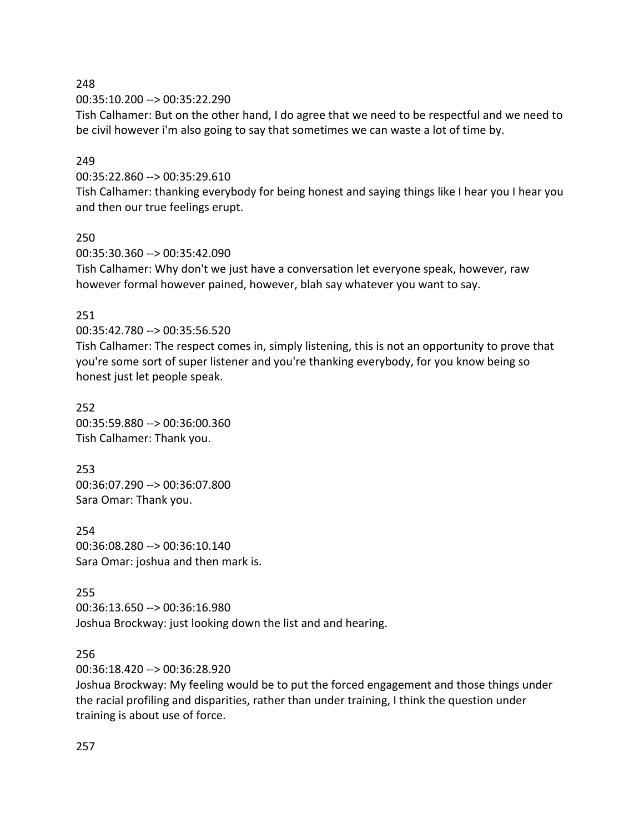00:35:10.200 --> 00:35:22.290

Tish Calhamer: But on the other hand, I do agree that we need to be respectful and we need to be civil however i'm also going to say that sometimes we can waste a lot of time by.

#### 249

00:35:22.860 --> 00:35:29.610

Tish Calhamer: thanking everybody for being honest and saying things like I hear you I hear you and then our true feelings erupt.

#### 250

00:35:30.360 --> 00:35:42.090 Tish Calhamer: Why don't we just have a conversation let everyone speak, however, raw however formal however pained, however, blah say whatever you want to say.

#### 251

00:35:42.780 --> 00:35:56.520

Tish Calhamer: The respect comes in, simply listening, this is not an opportunity to prove that you're some sort of super listener and you're thanking everybody, for you know being so honest just let people speak.

252 00:35:59.880 --> 00:36:00.360 Tish Calhamer: Thank you.

253 00:36:07.290 --> 00:36:07.800 Sara Omar: Thank you.

254 00:36:08.280 --> 00:36:10.140 Sara Omar: joshua and then mark is.

255 00:36:13.650 --> 00:36:16.980 Joshua Brockway: just looking down the list and and hearing.

#### 256

00:36:18.420 --> 00:36:28.920

Joshua Brockway: My feeling would be to put the forced engagement and those things under the racial profiling and disparities, rather than under training, I think the question under training is about use of force.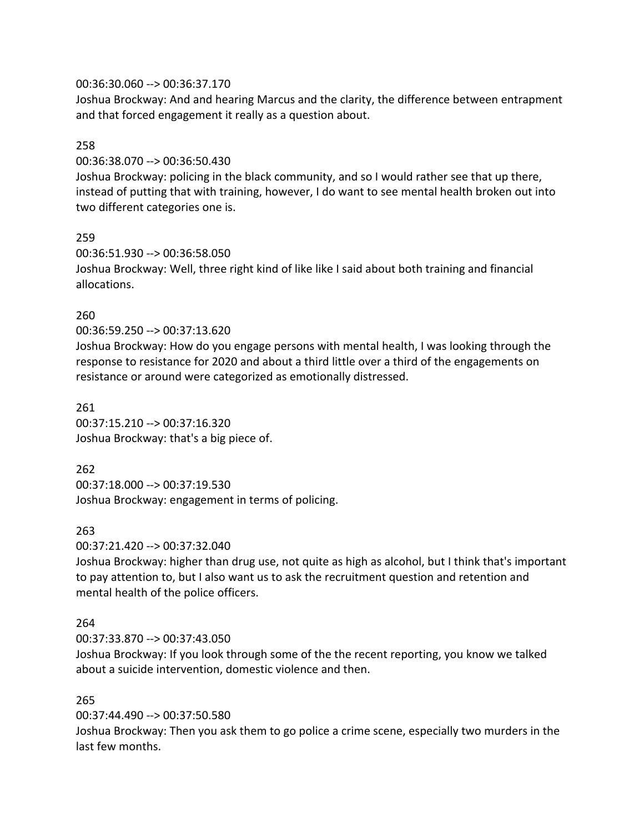#### 00:36:30.060 --> 00:36:37.170

Joshua Brockway: And and hearing Marcus and the clarity, the difference between entrapment and that forced engagement it really as a question about.

#### 258

00:36:38.070 --> 00:36:50.430

Joshua Brockway: policing in the black community, and so I would rather see that up there, instead of putting that with training, however, I do want to see mental health broken out into two different categories one is.

#### 259

00:36:51.930 --> 00:36:58.050 Joshua Brockway: Well, three right kind of like like I said about both training and financial allocations.

## 260

00:36:59.250 --> 00:37:13.620

Joshua Brockway: How do you engage persons with mental health, I was looking through the response to resistance for 2020 and about a third little over a third of the engagements on resistance or around were categorized as emotionally distressed.

261 00:37:15.210 --> 00:37:16.320 Joshua Brockway: that's a big piece of.

262

00:37:18.000 --> 00:37:19.530 Joshua Brockway: engagement in terms of policing.

## 263

00:37:21.420 --> 00:37:32.040

Joshua Brockway: higher than drug use, not quite as high as alcohol, but I think that's important to pay attention to, but I also want us to ask the recruitment question and retention and mental health of the police officers.

## 264

00:37:33.870 --> 00:37:43.050

Joshua Brockway: If you look through some of the the recent reporting, you know we talked about a suicide intervention, domestic violence and then.

#### 265

00:37:44.490 --> 00:37:50.580

Joshua Brockway: Then you ask them to go police a crime scene, especially two murders in the last few months.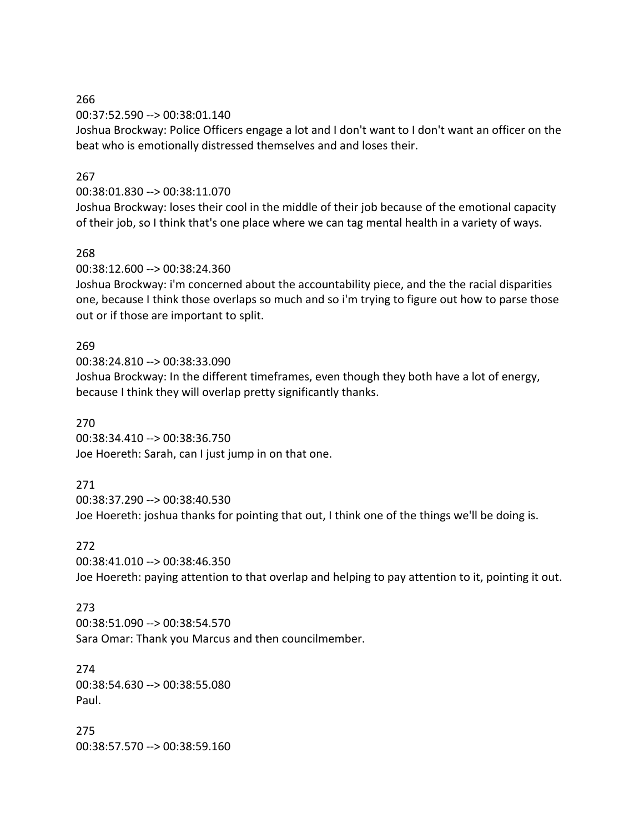00:37:52.590 --> 00:38:01.140

Joshua Brockway: Police Officers engage a lot and I don't want to I don't want an officer on the beat who is emotionally distressed themselves and and loses their.

#### 267

#### 00:38:01.830 --> 00:38:11.070

Joshua Brockway: loses their cool in the middle of their job because of the emotional capacity of their job, so I think that's one place where we can tag mental health in a variety of ways.

#### 268

00:38:12.600 --> 00:38:24.360

Joshua Brockway: i'm concerned about the accountability piece, and the the racial disparities one, because I think those overlaps so much and so i'm trying to figure out how to parse those out or if those are important to split.

#### 269

00:38:24.810 --> 00:38:33.090

Joshua Brockway: In the different timeframes, even though they both have a lot of energy, because I think they will overlap pretty significantly thanks.

#### 270

00:38:34.410 --> 00:38:36.750 Joe Hoereth: Sarah, can I just jump in on that one.

## 271

00:38:37.290 --> 00:38:40.530

Joe Hoereth: joshua thanks for pointing that out, I think one of the things we'll be doing is.

#### 272

00:38:41.010 --> 00:38:46.350

Joe Hoereth: paying attention to that overlap and helping to pay attention to it, pointing it out.

#### 273

00:38:51.090 --> 00:38:54.570 Sara Omar: Thank you Marcus and then councilmember.

274 00:38:54.630 --> 00:38:55.080 Paul.

275 00:38:57.570 --> 00:38:59.160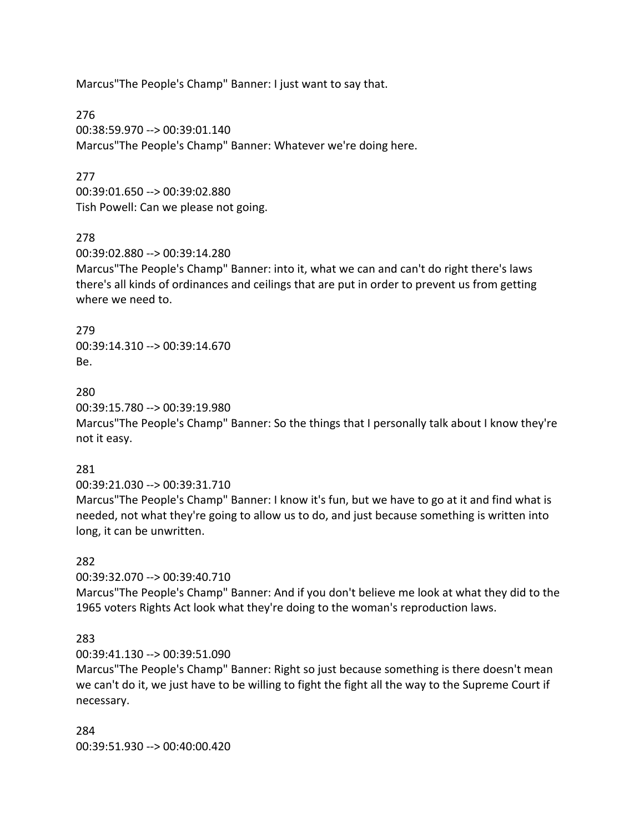Marcus"The People's Champ" Banner: I just want to say that.

276 00:38:59.970 --> 00:39:01.140 Marcus"The People's Champ" Banner: Whatever we're doing here.

#### 277

00:39:01.650 --> 00:39:02.880 Tish Powell: Can we please not going.

#### 278

00:39:02.880 --> 00:39:14.280

Marcus"The People's Champ" Banner: into it, what we can and can't do right there's laws there's all kinds of ordinances and ceilings that are put in order to prevent us from getting where we need to.

279 00:39:14.310 --> 00:39:14.670 Be.

280

00:39:15.780 --> 00:39:19.980

Marcus"The People's Champ" Banner: So the things that I personally talk about I know they're not it easy.

#### 281

00:39:21.030 --> 00:39:31.710

Marcus"The People's Champ" Banner: I know it's fun, but we have to go at it and find what is needed, not what they're going to allow us to do, and just because something is written into long, it can be unwritten.

## 282

00:39:32.070 --> 00:39:40.710

Marcus"The People's Champ" Banner: And if you don't believe me look at what they did to the 1965 voters Rights Act look what they're doing to the woman's reproduction laws.

## 283

00:39:41.130 --> 00:39:51.090

Marcus"The People's Champ" Banner: Right so just because something is there doesn't mean we can't do it, we just have to be willing to fight the fight all the way to the Supreme Court if necessary.

284 00:39:51.930 --> 00:40:00.420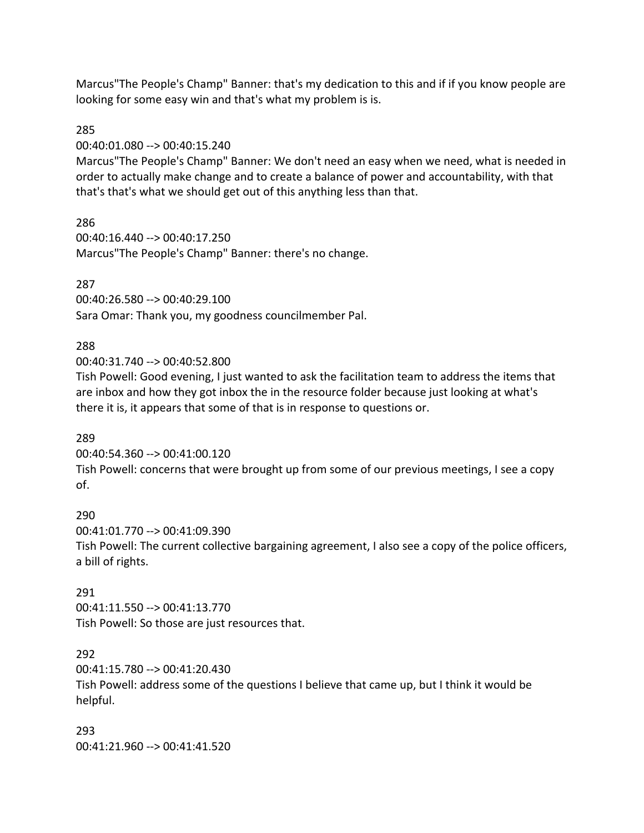Marcus"The People's Champ" Banner: that's my dedication to this and if if you know people are looking for some easy win and that's what my problem is is.

#### 285

00:40:01.080 --> 00:40:15.240

Marcus"The People's Champ" Banner: We don't need an easy when we need, what is needed in order to actually make change and to create a balance of power and accountability, with that that's that's what we should get out of this anything less than that.

#### 286

00:40:16.440 --> 00:40:17.250 Marcus"The People's Champ" Banner: there's no change.

#### 287

00:40:26.580 --> 00:40:29.100 Sara Omar: Thank you, my goodness councilmember Pal.

#### 288

00:40:31.740 --> 00:40:52.800

Tish Powell: Good evening, I just wanted to ask the facilitation team to address the items that are inbox and how they got inbox the in the resource folder because just looking at what's there it is, it appears that some of that is in response to questions or.

#### 289

00:40:54.360 --> 00:41:00.120

Tish Powell: concerns that were brought up from some of our previous meetings, I see a copy of.

#### 290

00:41:01.770 --> 00:41:09.390 Tish Powell: The current collective bargaining agreement, I also see a copy of the police officers, a bill of rights.

#### 291

00:41:11.550 --> 00:41:13.770 Tish Powell: So those are just resources that.

#### 292

00:41:15.780 --> 00:41:20.430 Tish Powell: address some of the questions I believe that came up, but I think it would be helpful.

293 00:41:21.960 --> 00:41:41.520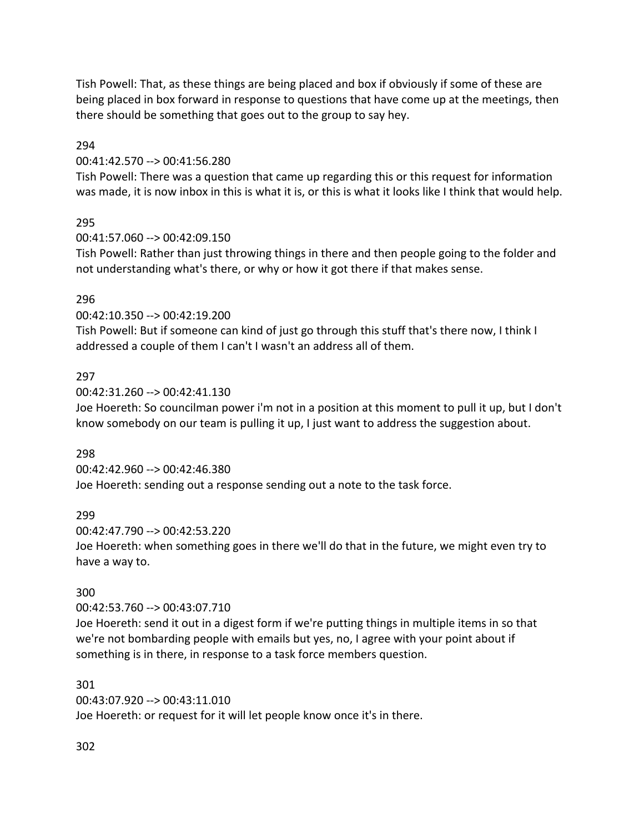Tish Powell: That, as these things are being placed and box if obviously if some of these are being placed in box forward in response to questions that have come up at the meetings, then there should be something that goes out to the group to say hey.

294

00:41:42.570 --> 00:41:56.280

Tish Powell: There was a question that came up regarding this or this request for information was made, it is now inbox in this is what it is, or this is what it looks like I think that would help.

## 295

00:41:57.060 --> 00:42:09.150

Tish Powell: Rather than just throwing things in there and then people going to the folder and not understanding what's there, or why or how it got there if that makes sense.

#### 296

00:42:10.350 --> 00:42:19.200

Tish Powell: But if someone can kind of just go through this stuff that's there now, I think I addressed a couple of them I can't I wasn't an address all of them.

#### 297

00:42:31.260 --> 00:42:41.130

Joe Hoereth: So councilman power i'm not in a position at this moment to pull it up, but I don't know somebody on our team is pulling it up, I just want to address the suggestion about.

## 298

00:42:42.960 --> 00:42:46.380

Joe Hoereth: sending out a response sending out a note to the task force.

## 299

00:42:47.790 --> 00:42:53.220

Joe Hoereth: when something goes in there we'll do that in the future, we might even try to have a way to.

## 300

00:42:53.760 --> 00:43:07.710

Joe Hoereth: send it out in a digest form if we're putting things in multiple items in so that we're not bombarding people with emails but yes, no, I agree with your point about if something is in there, in response to a task force members question.

301 00:43:07.920 --> 00:43:11.010 Joe Hoereth: or request for it will let people know once it's in there.

302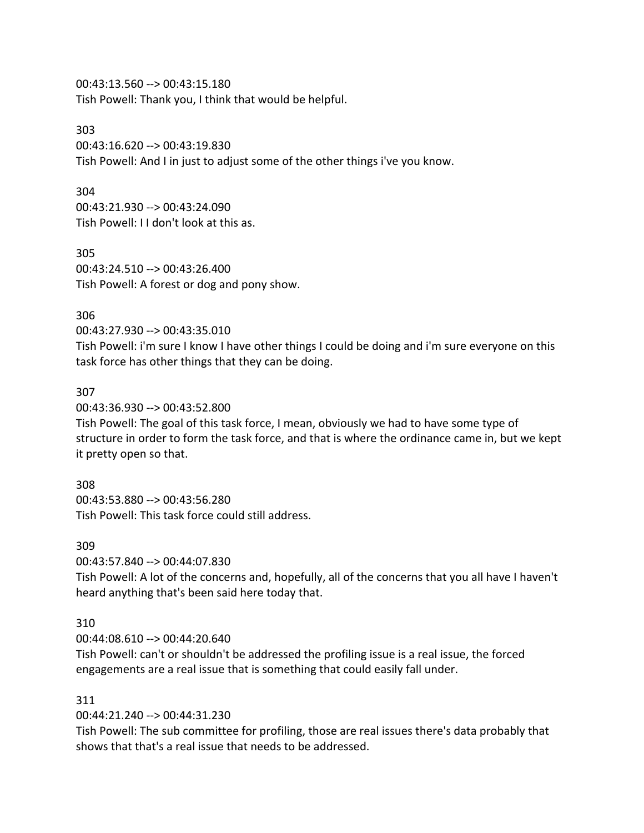00:43:13.560 --> 00:43:15.180 Tish Powell: Thank you, I think that would be helpful.

#### 303

00:43:16.620 --> 00:43:19.830 Tish Powell: And I in just to adjust some of the other things i've you know.

#### 304

00:43:21.930 --> 00:43:24.090 Tish Powell: I I don't look at this as.

305 00:43:24.510 --> 00:43:26.400 Tish Powell: A forest or dog and pony show.

## 306

00:43:27.930 --> 00:43:35.010

Tish Powell: i'm sure I know I have other things I could be doing and i'm sure everyone on this task force has other things that they can be doing.

#### 307

00:43:36.930 --> 00:43:52.800

Tish Powell: The goal of this task force, I mean, obviously we had to have some type of structure in order to form the task force, and that is where the ordinance came in, but we kept it pretty open so that.

#### 308

00:43:53.880 --> 00:43:56.280 Tish Powell: This task force could still address.

#### 309

00:43:57.840 --> 00:44:07.830

Tish Powell: A lot of the concerns and, hopefully, all of the concerns that you all have I haven't heard anything that's been said here today that.

## 310

00:44:08.610 --> 00:44:20.640

Tish Powell: can't or shouldn't be addressed the profiling issue is a real issue, the forced engagements are a real issue that is something that could easily fall under.

#### 311

00:44:21.240 --> 00:44:31.230

Tish Powell: The sub committee for profiling, those are real issues there's data probably that shows that that's a real issue that needs to be addressed.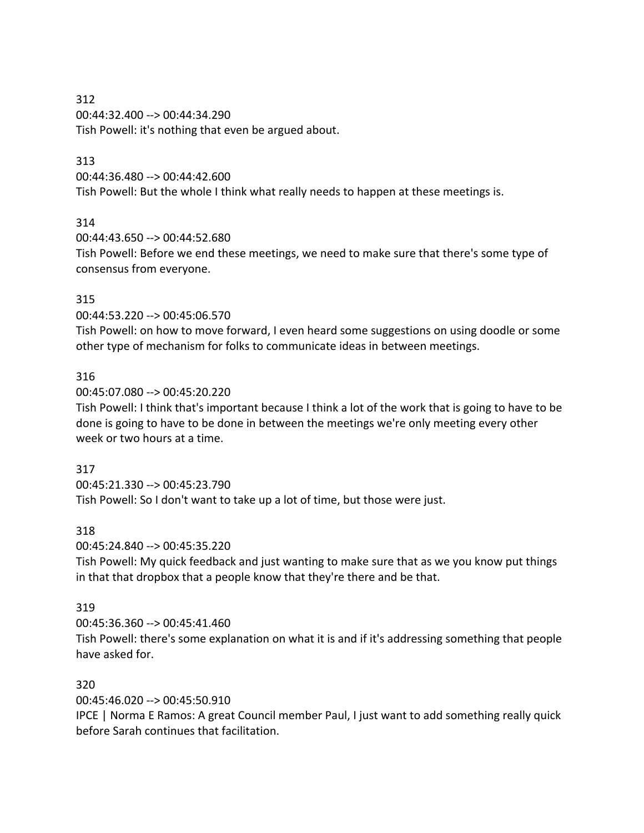312 00:44:32.400 --> 00:44:34.290 Tish Powell: it's nothing that even be argued about.

## 313

00:44:36.480 --> 00:44:42.600 Tish Powell: But the whole I think what really needs to happen at these meetings is.

## 314

00:44:43.650 --> 00:44:52.680

Tish Powell: Before we end these meetings, we need to make sure that there's some type of consensus from everyone.

## 315

00:44:53.220 --> 00:45:06.570

Tish Powell: on how to move forward, I even heard some suggestions on using doodle or some other type of mechanism for folks to communicate ideas in between meetings.

## 316

00:45:07.080 --> 00:45:20.220

Tish Powell: I think that's important because I think a lot of the work that is going to have to be done is going to have to be done in between the meetings we're only meeting every other week or two hours at a time.

## 317

00:45:21.330 --> 00:45:23.790

Tish Powell: So I don't want to take up a lot of time, but those were just.

## 318

00:45:24.840 --> 00:45:35.220

Tish Powell: My quick feedback and just wanting to make sure that as we you know put things in that that dropbox that a people know that they're there and be that.

## 319

00:45:36.360 --> 00:45:41.460

Tish Powell: there's some explanation on what it is and if it's addressing something that people have asked for.

## 320

00:45:46.020 --> 00:45:50.910

IPCE | Norma E Ramos: A great Council member Paul, I just want to add something really quick before Sarah continues that facilitation.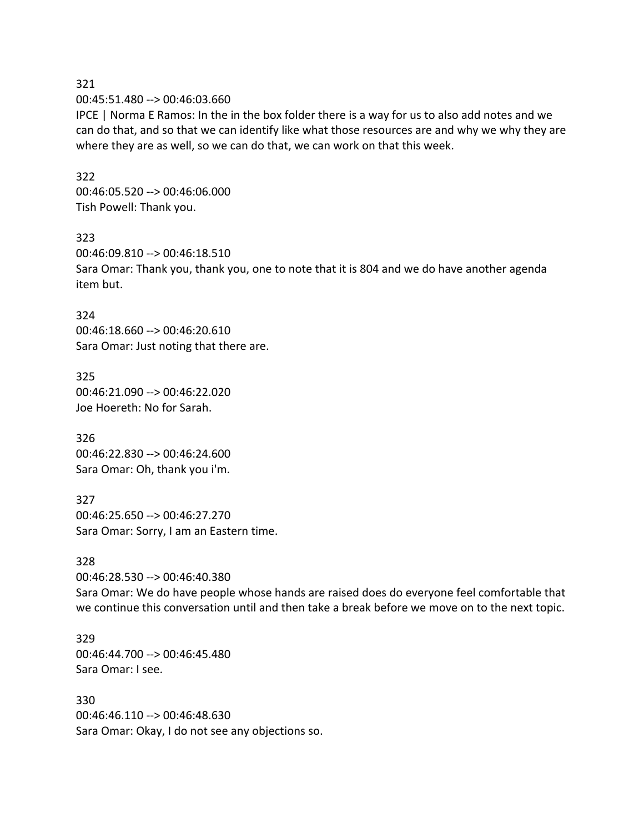#### 321 00:45:51.480 --> 00:46:03.660

IPCE | Norma E Ramos: In the in the box folder there is a way for us to also add notes and we can do that, and so that we can identify like what those resources are and why we why they are where they are as well, so we can do that, we can work on that this week.

## 322

00:46:05.520 --> 00:46:06.000 Tish Powell: Thank you.

### 323

00:46:09.810 --> 00:46:18.510 Sara Omar: Thank you, thank you, one to note that it is 804 and we do have another agenda item but.

### 324

00:46:18.660 --> 00:46:20.610 Sara Omar: Just noting that there are.

325 00:46:21.090 --> 00:46:22.020 Joe Hoereth: No for Sarah.

326 00:46:22.830 --> 00:46:24.600 Sara Omar: Oh, thank you i'm.

327 00:46:25.650 --> 00:46:27.270 Sara Omar: Sorry, I am an Eastern time.

## 328

00:46:28.530 --> 00:46:40.380 Sara Omar: We do have people whose hands are raised does do everyone feel comfortable that we continue this conversation until and then take a break before we move on to the next topic.

### 329 00:46:44.700 --> 00:46:45.480 Sara Omar: I see.

330 00:46:46.110 --> 00:46:48.630 Sara Omar: Okay, I do not see any objections so.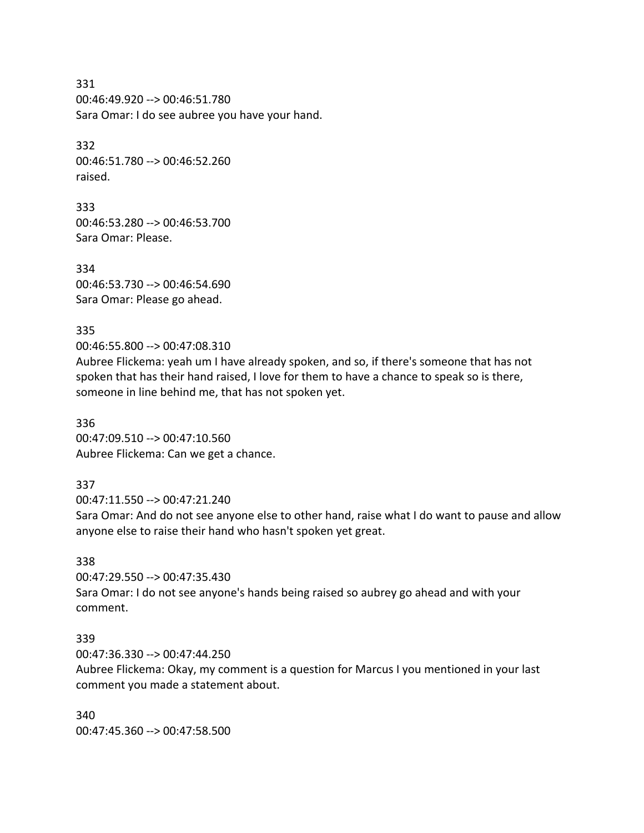331 00:46:49.920 --> 00:46:51.780 Sara Omar: I do see aubree you have your hand.

332 00:46:51.780 --> 00:46:52.260 raised.

333 00:46:53.280 --> 00:46:53.700 Sara Omar: Please.

334 00:46:53.730 --> 00:46:54.690 Sara Omar: Please go ahead.

335

00:46:55.800 --> 00:47:08.310

Aubree Flickema: yeah um I have already spoken, and so, if there's someone that has not spoken that has their hand raised, I love for them to have a chance to speak so is there, someone in line behind me, that has not spoken yet.

336 00:47:09.510 --> 00:47:10.560 Aubree Flickema: Can we get a chance.

## 337

00:47:11.550 --> 00:47:21.240

Sara Omar: And do not see anyone else to other hand, raise what I do want to pause and allow anyone else to raise their hand who hasn't spoken yet great.

## 338

00:47:29.550 --> 00:47:35.430 Sara Omar: I do not see anyone's hands being raised so aubrey go ahead and with your comment.

### 339

00:47:36.330 --> 00:47:44.250

Aubree Flickema: Okay, my comment is a question for Marcus I you mentioned in your last comment you made a statement about.

340 00:47:45.360 --> 00:47:58.500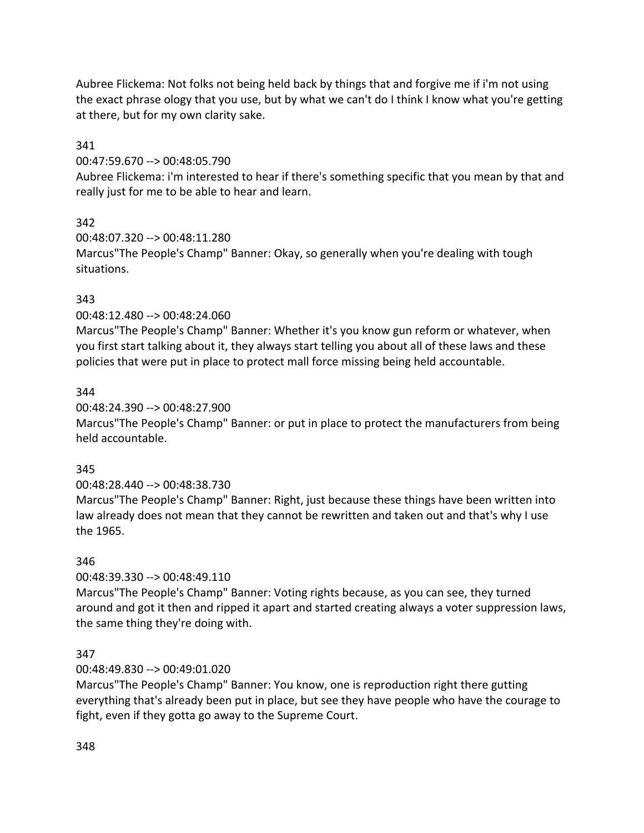Aubree Flickema: Not folks not being held back by things that and forgive me if i'm not using the exact phrase ology that you use, but by what we can't do I think I know what you're getting at there, but for my own clarity sake.

### 341

00:47:59.670 --> 00:48:05.790

Aubree Flickema: i'm interested to hear if there's something specific that you mean by that and really just for me to be able to hear and learn.

# 342

00:48:07.320 --> 00:48:11.280 Marcus"The People's Champ" Banner: Okay, so generally when you're dealing with tough situations.

# 343

00:48:12.480 --> 00:48:24.060

Marcus"The People's Champ" Banner: Whether it's you know gun reform or whatever, when you first start talking about it, they always start telling you about all of these laws and these policies that were put in place to protect mall force missing being held accountable.

## 344

## 00:48:24.390 --> 00:48:27.900

Marcus"The People's Champ" Banner: or put in place to protect the manufacturers from being held accountable.

## 345

00:48:28.440 --> 00:48:38.730

Marcus"The People's Champ" Banner: Right, just because these things have been written into law already does not mean that they cannot be rewritten and taken out and that's why I use the 1965.

## 346

00:48:39.330 --> 00:48:49.110

Marcus"The People's Champ" Banner: Voting rights because, as you can see, they turned around and got it then and ripped it apart and started creating always a voter suppression laws, the same thing they're doing with.

## 347

## 00:48:49.830 --> 00:49:01.020

Marcus"The People's Champ" Banner: You know, one is reproduction right there gutting everything that's already been put in place, but see they have people who have the courage to fight, even if they gotta go away to the Supreme Court.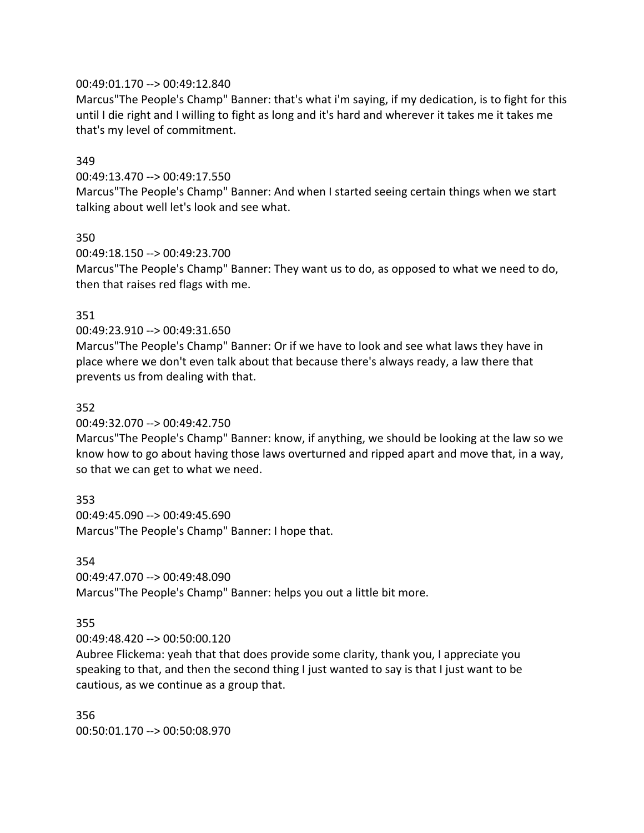### 00:49:01.170 --> 00:49:12.840

Marcus"The People's Champ" Banner: that's what i'm saying, if my dedication, is to fight for this until I die right and I willing to fight as long and it's hard and wherever it takes me it takes me that's my level of commitment.

### 349

00:49:13.470 --> 00:49:17.550

Marcus"The People's Champ" Banner: And when I started seeing certain things when we start talking about well let's look and see what.

### 350

00:49:18.150 --> 00:49:23.700

Marcus"The People's Champ" Banner: They want us to do, as opposed to what we need to do, then that raises red flags with me.

### 351

00:49:23.910 --> 00:49:31.650

Marcus"The People's Champ" Banner: Or if we have to look and see what laws they have in place where we don't even talk about that because there's always ready, a law there that prevents us from dealing with that.

### 352

00:49:32.070 --> 00:49:42.750

Marcus"The People's Champ" Banner: know, if anything, we should be looking at the law so we know how to go about having those laws overturned and ripped apart and move that, in a way, so that we can get to what we need.

## 353

00:49:45.090 --> 00:49:45.690 Marcus"The People's Champ" Banner: I hope that.

### 354

00:49:47.070 --> 00:49:48.090 Marcus"The People's Champ" Banner: helps you out a little bit more.

## 355

00:49:48.420 --> 00:50:00.120

Aubree Flickema: yeah that that does provide some clarity, thank you, I appreciate you speaking to that, and then the second thing I just wanted to say is that I just want to be cautious, as we continue as a group that.

356 00:50:01.170 --> 00:50:08.970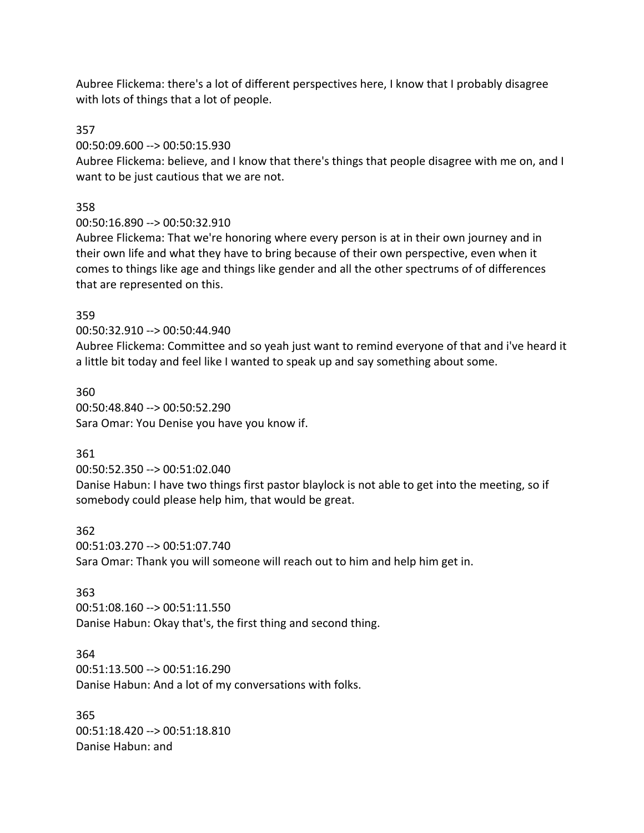Aubree Flickema: there's a lot of different perspectives here, I know that I probably disagree with lots of things that a lot of people.

### 357

00:50:09.600 --> 00:50:15.930

Aubree Flickema: believe, and I know that there's things that people disagree with me on, and I want to be just cautious that we are not.

### 358

00:50:16.890 --> 00:50:32.910

Aubree Flickema: That we're honoring where every person is at in their own journey and in their own life and what they have to bring because of their own perspective, even when it comes to things like age and things like gender and all the other spectrums of of differences that are represented on this.

### 359

00:50:32.910 --> 00:50:44.940

Aubree Flickema: Committee and so yeah just want to remind everyone of that and i've heard it a little bit today and feel like I wanted to speak up and say something about some.

360 00:50:48.840 --> 00:50:52.290 Sara Omar: You Denise you have you know if.

### 361

00:50:52.350 --> 00:51:02.040

Danise Habun: I have two things first pastor blaylock is not able to get into the meeting, so if somebody could please help him, that would be great.

#### 362

00:51:03.270 --> 00:51:07.740 Sara Omar: Thank you will someone will reach out to him and help him get in.

### 363

00:51:08.160 --> 00:51:11.550 Danise Habun: Okay that's, the first thing and second thing.

#### 364

00:51:13.500 --> 00:51:16.290 Danise Habun: And a lot of my conversations with folks.

365 00:51:18.420 --> 00:51:18.810 Danise Habun: and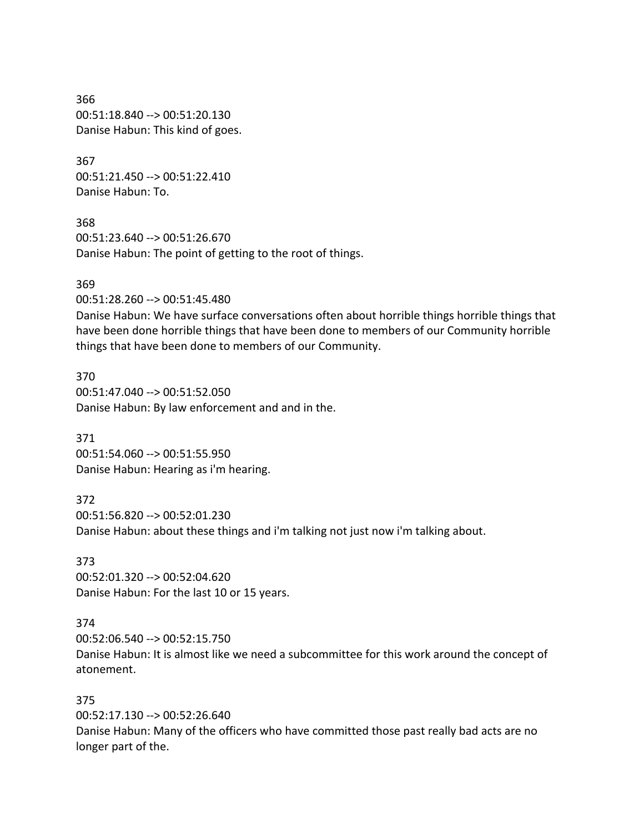366 00:51:18.840 --> 00:51:20.130 Danise Habun: This kind of goes.

367 00:51:21.450 --> 00:51:22.410 Danise Habun: To.

368 00:51:23.640 --> 00:51:26.670 Danise Habun: The point of getting to the root of things.

#### 369

00:51:28.260 --> 00:51:45.480

Danise Habun: We have surface conversations often about horrible things horrible things that have been done horrible things that have been done to members of our Community horrible things that have been done to members of our Community.

370 00:51:47.040 --> 00:51:52.050 Danise Habun: By law enforcement and and in the.

371 00:51:54.060 --> 00:51:55.950 Danise Habun: Hearing as i'm hearing.

372 00:51:56.820 --> 00:52:01.230 Danise Habun: about these things and i'm talking not just now i'm talking about.

373 00:52:01.320 --> 00:52:04.620 Danise Habun: For the last 10 or 15 years.

#### 374

00:52:06.540 --> 00:52:15.750 Danise Habun: It is almost like we need a subcommittee for this work around the concept of atonement.

### 375

00:52:17.130 --> 00:52:26.640 Danise Habun: Many of the officers who have committed those past really bad acts are no longer part of the.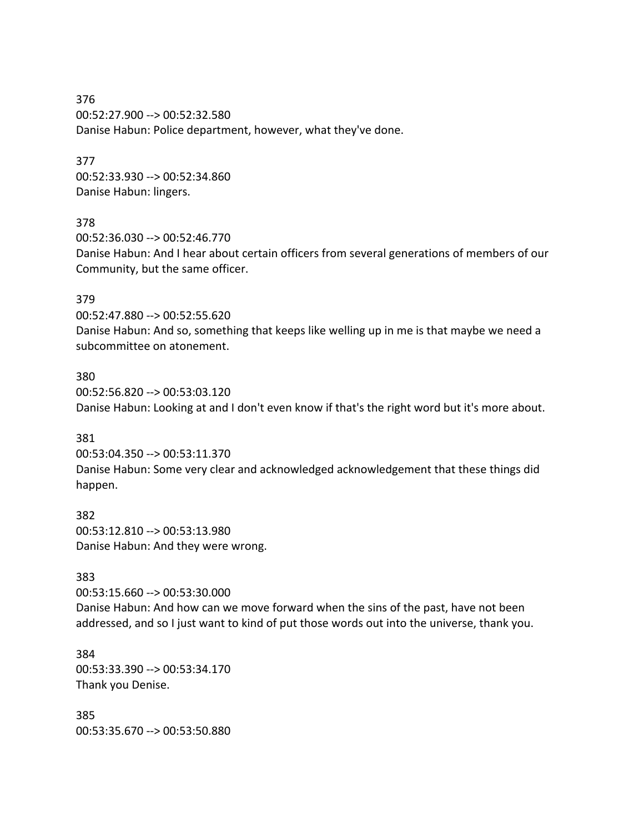376 00:52:27.900 --> 00:52:32.580 Danise Habun: Police department, however, what they've done.

377 00:52:33.930 --> 00:52:34.860 Danise Habun: lingers.

### 378

00:52:36.030 --> 00:52:46.770 Danise Habun: And I hear about certain officers from several generations of members of our Community, but the same officer.

### 379

00:52:47.880 --> 00:52:55.620 Danise Habun: And so, something that keeps like welling up in me is that maybe we need a subcommittee on atonement.

### 380

00:52:56.820 --> 00:53:03.120 Danise Habun: Looking at and I don't even know if that's the right word but it's more about.

### 381

00:53:04.350 --> 00:53:11.370 Danise Habun: Some very clear and acknowledged acknowledgement that these things did happen.

382 00:53:12.810 --> 00:53:13.980 Danise Habun: And they were wrong.

### 383

00:53:15.660 --> 00:53:30.000 Danise Habun: And how can we move forward when the sins of the past, have not been addressed, and so I just want to kind of put those words out into the universe, thank you.

384 00:53:33.390 --> 00:53:34.170 Thank you Denise.

385 00:53:35.670 --> 00:53:50.880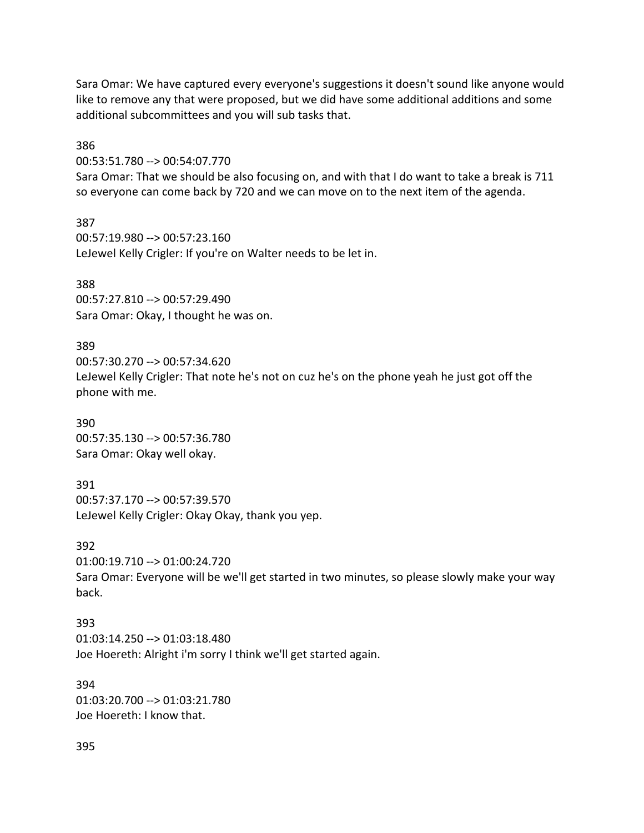Sara Omar: We have captured every everyone's suggestions it doesn't sound like anyone would like to remove any that were proposed, but we did have some additional additions and some additional subcommittees and you will sub tasks that.

386

00:53:51.780 --> 00:54:07.770

Sara Omar: That we should be also focusing on, and with that I do want to take a break is 711 so everyone can come back by 720 and we can move on to the next item of the agenda.

387 00:57:19.980 --> 00:57:23.160 LeJewel Kelly Crigler: If you're on Walter needs to be let in.

388

00:57:27.810 --> 00:57:29.490 Sara Omar: Okay, I thought he was on.

389

00:57:30.270 --> 00:57:34.620 LeJewel Kelly Crigler: That note he's not on cuz he's on the phone yeah he just got off the phone with me.

390 00:57:35.130 --> 00:57:36.780 Sara Omar: Okay well okay.

391 00:57:37.170 --> 00:57:39.570 LeJewel Kelly Crigler: Okay Okay, thank you yep.

392 01:00:19.710 --> 01:00:24.720

Sara Omar: Everyone will be we'll get started in two minutes, so please slowly make your way back.

393 01:03:14.250 --> 01:03:18.480 Joe Hoereth: Alright i'm sorry I think we'll get started again.

394 01:03:20.700 --> 01:03:21.780 Joe Hoereth: I know that.

395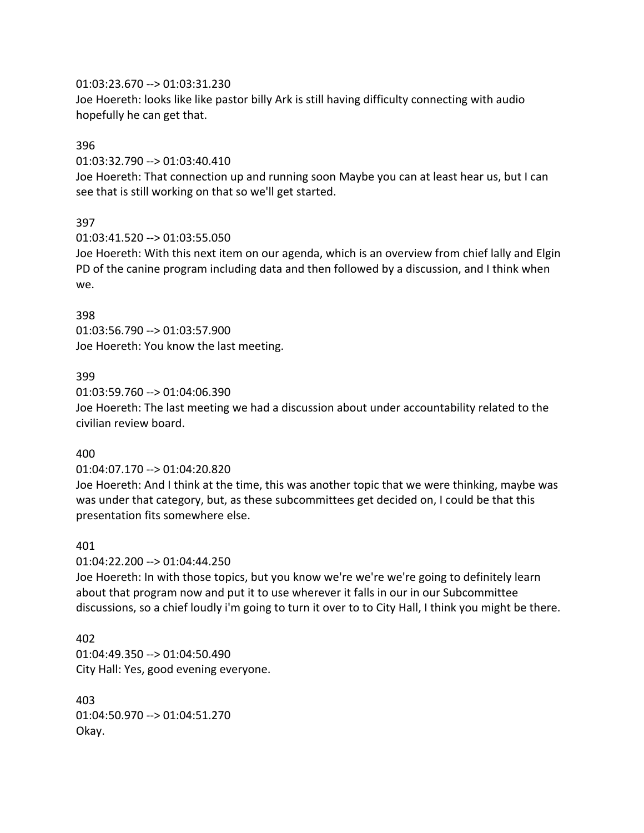### 01:03:23.670 --> 01:03:31.230

Joe Hoereth: looks like like pastor billy Ark is still having difficulty connecting with audio hopefully he can get that.

### 396

01:03:32.790 --> 01:03:40.410

Joe Hoereth: That connection up and running soon Maybe you can at least hear us, but I can see that is still working on that so we'll get started.

# 397

01:03:41.520 --> 01:03:55.050

Joe Hoereth: With this next item on our agenda, which is an overview from chief lally and Elgin PD of the canine program including data and then followed by a discussion, and I think when we.

## 398

01:03:56.790 --> 01:03:57.900 Joe Hoereth: You know the last meeting.

## 399

01:03:59.760 --> 01:04:06.390

Joe Hoereth: The last meeting we had a discussion about under accountability related to the civilian review board.

## 400

01:04:07.170 --> 01:04:20.820

Joe Hoereth: And I think at the time, this was another topic that we were thinking, maybe was was under that category, but, as these subcommittees get decided on, I could be that this presentation fits somewhere else.

## 401

01:04:22.200 --> 01:04:44.250

Joe Hoereth: In with those topics, but you know we're we're we're going to definitely learn about that program now and put it to use wherever it falls in our in our Subcommittee discussions, so a chief loudly i'm going to turn it over to to City Hall, I think you might be there.

402 01:04:49.350 --> 01:04:50.490 City Hall: Yes, good evening everyone.

403 01:04:50.970 --> 01:04:51.270 Okay.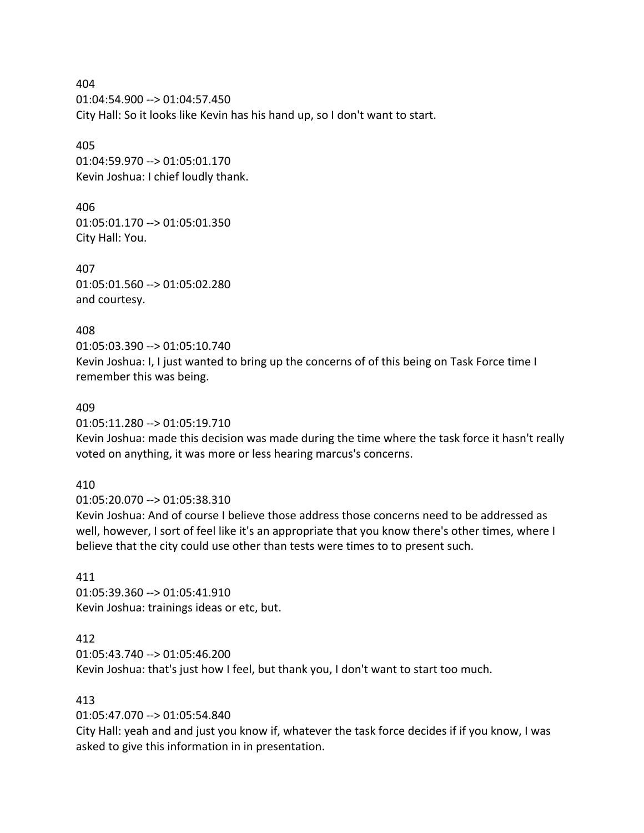404 01:04:54.900 --> 01:04:57.450 City Hall: So it looks like Kevin has his hand up, so I don't want to start.

405 01:04:59.970 --> 01:05:01.170 Kevin Joshua: I chief loudly thank.

406 01:05:01.170 --> 01:05:01.350 City Hall: You.

407 01:05:01.560 --> 01:05:02.280 and courtesy.

408 01:05:03.390 --> 01:05:10.740 Kevin Joshua: I, I just wanted to bring up the concerns of of this being on Task Force time I remember this was being.

#### 409

01:05:11.280 --> 01:05:19.710

Kevin Joshua: made this decision was made during the time where the task force it hasn't really voted on anything, it was more or less hearing marcus's concerns.

### 410

01:05:20.070 --> 01:05:38.310

Kevin Joshua: And of course I believe those address those concerns need to be addressed as well, however, I sort of feel like it's an appropriate that you know there's other times, where I believe that the city could use other than tests were times to to present such.

411

01:05:39.360 --> 01:05:41.910 Kevin Joshua: trainings ideas or etc, but.

## 412

01:05:43.740 --> 01:05:46.200 Kevin Joshua: that's just how I feel, but thank you, I don't want to start too much.

### 413

01:05:47.070 --> 01:05:54.840

City Hall: yeah and and just you know if, whatever the task force decides if if you know, I was asked to give this information in in presentation.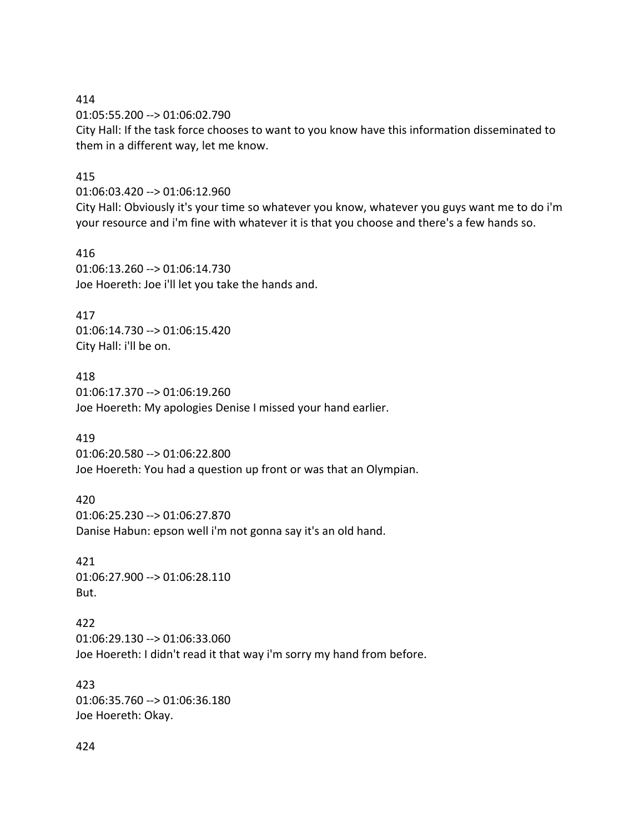414

01:05:55.200 --> 01:06:02.790 City Hall: If the task force chooses to want to you know have this information disseminated to them in a different way, let me know.

#### 415

01:06:03.420 --> 01:06:12.960

City Hall: Obviously it's your time so whatever you know, whatever you guys want me to do i'm your resource and i'm fine with whatever it is that you choose and there's a few hands so.

416 01:06:13.260 --> 01:06:14.730 Joe Hoereth: Joe i'll let you take the hands and.

417 01:06:14.730 --> 01:06:15.420 City Hall: i'll be on.

418 01:06:17.370 --> 01:06:19.260 Joe Hoereth: My apologies Denise I missed your hand earlier.

419

01:06:20.580 --> 01:06:22.800 Joe Hoereth: You had a question up front or was that an Olympian.

420 01:06:25.230 --> 01:06:27.870 Danise Habun: epson well i'm not gonna say it's an old hand.

421 01:06:27.900 --> 01:06:28.110 But.

422 01:06:29.130 --> 01:06:33.060 Joe Hoereth: I didn't read it that way i'm sorry my hand from before.

423 01:06:35.760 --> 01:06:36.180 Joe Hoereth: Okay.

424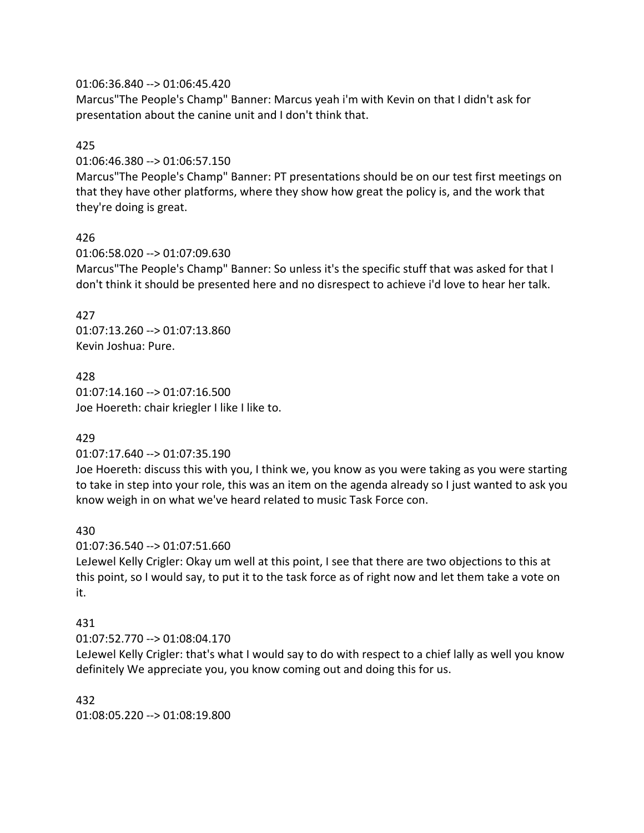### 01:06:36.840 --> 01:06:45.420

Marcus"The People's Champ" Banner: Marcus yeah i'm with Kevin on that I didn't ask for presentation about the canine unit and I don't think that.

### 425

01:06:46.380 --> 01:06:57.150

Marcus"The People's Champ" Banner: PT presentations should be on our test first meetings on that they have other platforms, where they show how great the policy is, and the work that they're doing is great.

## 426

01:06:58.020 --> 01:07:09.630 Marcus"The People's Champ" Banner: So unless it's the specific stuff that was asked for that I don't think it should be presented here and no disrespect to achieve i'd love to hear her talk.

427 01:07:13.260 --> 01:07:13.860 Kevin Joshua: Pure.

428 01:07:14.160 --> 01:07:16.500 Joe Hoereth: chair kriegler I like I like to.

## 429

## 01:07:17.640 --> 01:07:35.190

Joe Hoereth: discuss this with you, I think we, you know as you were taking as you were starting to take in step into your role, this was an item on the agenda already so I just wanted to ask you know weigh in on what we've heard related to music Task Force con.

## 430

01:07:36.540 --> 01:07:51.660

LeJewel Kelly Crigler: Okay um well at this point, I see that there are two objections to this at this point, so I would say, to put it to the task force as of right now and let them take a vote on it.

## 431

01:07:52.770 --> 01:08:04.170

LeJewel Kelly Crigler: that's what I would say to do with respect to a chief lally as well you know definitely We appreciate you, you know coming out and doing this for us.

## 432

01:08:05.220 --> 01:08:19.800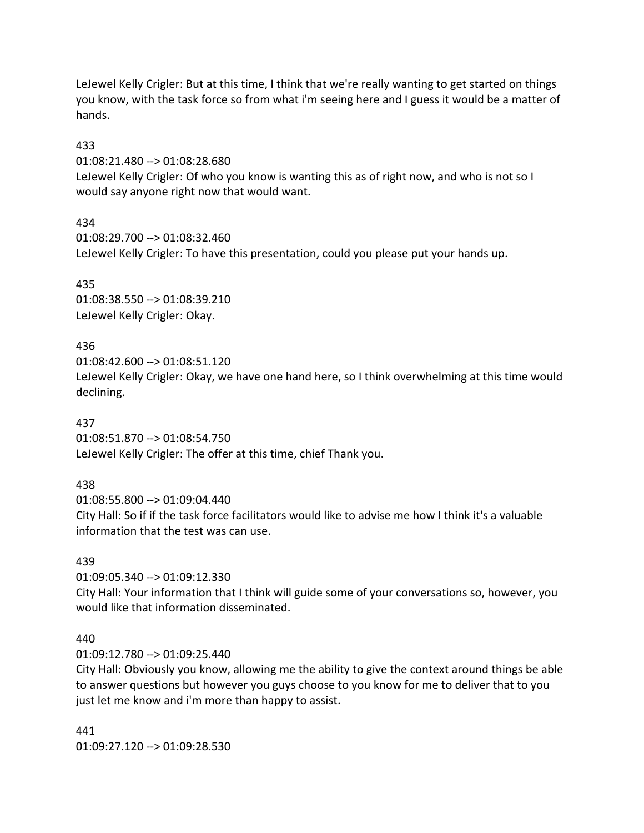LeJewel Kelly Crigler: But at this time, I think that we're really wanting to get started on things you know, with the task force so from what i'm seeing here and I guess it would be a matter of hands.

### 433

01:08:21.480 --> 01:08:28.680

LeJewel Kelly Crigler: Of who you know is wanting this as of right now, and who is not so I would say anyone right now that would want.

## 434

01:08:29.700 --> 01:08:32.460 LeJewel Kelly Crigler: To have this presentation, could you please put your hands up.

## 435

01:08:38.550 --> 01:08:39.210 LeJewel Kelly Crigler: Okay.

# 436

01:08:42.600 --> 01:08:51.120 LeJewel Kelly Crigler: Okay, we have one hand here, so I think overwhelming at this time would declining.

## 437

01:08:51.870 --> 01:08:54.750 LeJewel Kelly Crigler: The offer at this time, chief Thank you.

## 438

01:08:55.800 --> 01:09:04.440 City Hall: So if if the task force facilitators would like to advise me how I think it's a valuable information that the test was can use.

## 439

01:09:05.340 --> 01:09:12.330

City Hall: Your information that I think will guide some of your conversations so, however, you would like that information disseminated.

## 440

01:09:12.780 --> 01:09:25.440

City Hall: Obviously you know, allowing me the ability to give the context around things be able to answer questions but however you guys choose to you know for me to deliver that to you just let me know and i'm more than happy to assist.

# 441 01:09:27.120 --> 01:09:28.530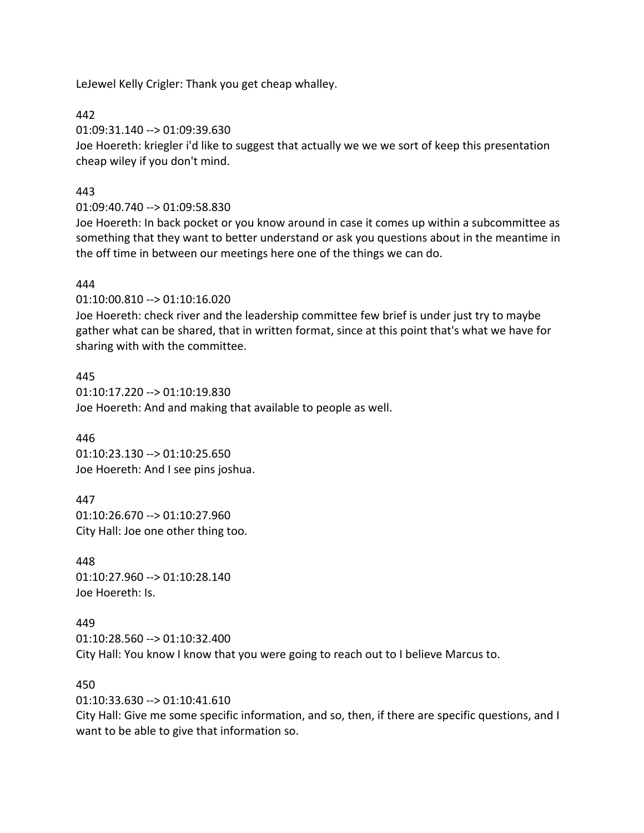LeJewel Kelly Crigler: Thank you get cheap whalley.

442

01:09:31.140 --> 01:09:39.630

Joe Hoereth: kriegler i'd like to suggest that actually we we we sort of keep this presentation cheap wiley if you don't mind.

## 443

01:09:40.740 --> 01:09:58.830

Joe Hoereth: In back pocket or you know around in case it comes up within a subcommittee as something that they want to better understand or ask you questions about in the meantime in the off time in between our meetings here one of the things we can do.

## 444

01:10:00.810 --> 01:10:16.020

Joe Hoereth: check river and the leadership committee few brief is under just try to maybe gather what can be shared, that in written format, since at this point that's what we have for sharing with with the committee.

### 445

01:10:17.220 --> 01:10:19.830 Joe Hoereth: And and making that available to people as well.

446 01:10:23.130 --> 01:10:25.650 Joe Hoereth: And I see pins joshua.

447 01:10:26.670 --> 01:10:27.960 City Hall: Joe one other thing too.

448 01:10:27.960 --> 01:10:28.140 Joe Hoereth: Is.

## 449

01:10:28.560 --> 01:10:32.400 City Hall: You know I know that you were going to reach out to I believe Marcus to.

## 450

01:10:33.630 --> 01:10:41.610

City Hall: Give me some specific information, and so, then, if there are specific questions, and I want to be able to give that information so.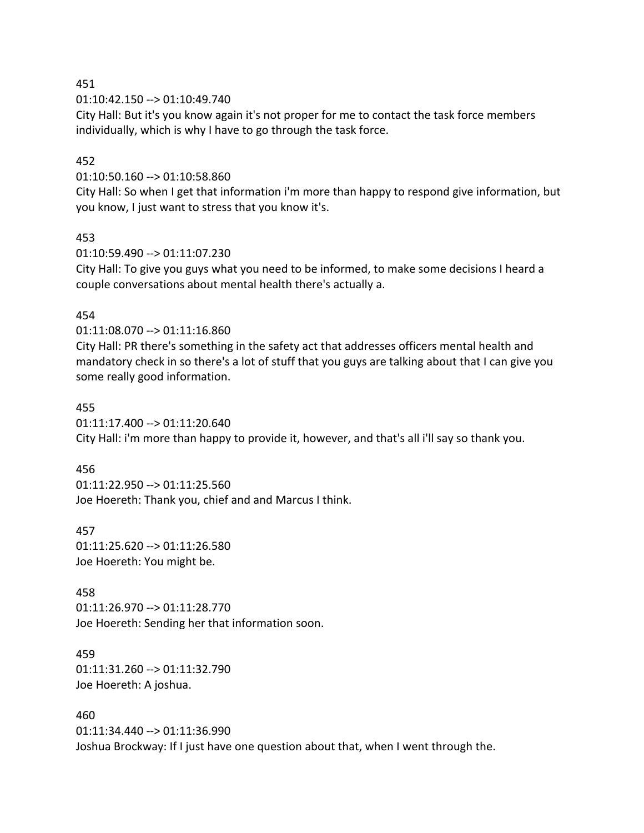451

01:10:42.150 --> 01:10:49.740

City Hall: But it's you know again it's not proper for me to contact the task force members individually, which is why I have to go through the task force.

### 452

01:10:50.160 --> 01:10:58.860

City Hall: So when I get that information i'm more than happy to respond give information, but you know, I just want to stress that you know it's.

### 453

01:10:59.490 --> 01:11:07.230

City Hall: To give you guys what you need to be informed, to make some decisions I heard a couple conversations about mental health there's actually a.

### 454

01:11:08.070 --> 01:11:16.860

City Hall: PR there's something in the safety act that addresses officers mental health and mandatory check in so there's a lot of stuff that you guys are talking about that I can give you some really good information.

### 455

01:11:17.400 --> 01:11:20.640

City Hall: i'm more than happy to provide it, however, and that's all i'll say so thank you.

### 456

01:11:22.950 --> 01:11:25.560 Joe Hoereth: Thank you, chief and and Marcus I think.

#### 457

01:11:25.620 --> 01:11:26.580 Joe Hoereth: You might be.

### 458

01:11:26.970 --> 01:11:28.770 Joe Hoereth: Sending her that information soon.

## 459 01:11:31.260 --> 01:11:32.790 Joe Hoereth: A joshua.

460 01:11:34.440 --> 01:11:36.990 Joshua Brockway: If I just have one question about that, when I went through the.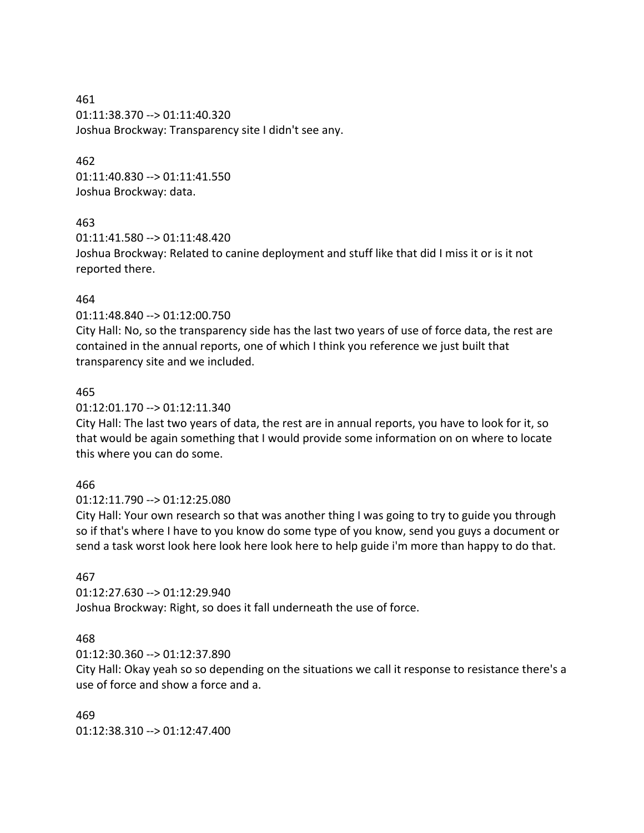461 01:11:38.370 --> 01:11:40.320 Joshua Brockway: Transparency site I didn't see any.

### 462

01:11:40.830 --> 01:11:41.550 Joshua Brockway: data.

## 463

01:11:41.580 --> 01:11:48.420 Joshua Brockway: Related to canine deployment and stuff like that did I miss it or is it not reported there.

## 464

01:11:48.840 --> 01:12:00.750

City Hall: No, so the transparency side has the last two years of use of force data, the rest are contained in the annual reports, one of which I think you reference we just built that transparency site and we included.

### 465

01:12:01.170 --> 01:12:11.340

City Hall: The last two years of data, the rest are in annual reports, you have to look for it, so that would be again something that I would provide some information on on where to locate this where you can do some.

## 466

01:12:11.790 --> 01:12:25.080

City Hall: Your own research so that was another thing I was going to try to guide you through so if that's where I have to you know do some type of you know, send you guys a document or send a task worst look here look here look here to help guide i'm more than happy to do that.

## 467

01:12:27.630 --> 01:12:29.940 Joshua Brockway: Right, so does it fall underneath the use of force.

## 468

01:12:30.360 --> 01:12:37.890

City Hall: Okay yeah so so depending on the situations we call it response to resistance there's a use of force and show a force and a.

469 01:12:38.310 --> 01:12:47.400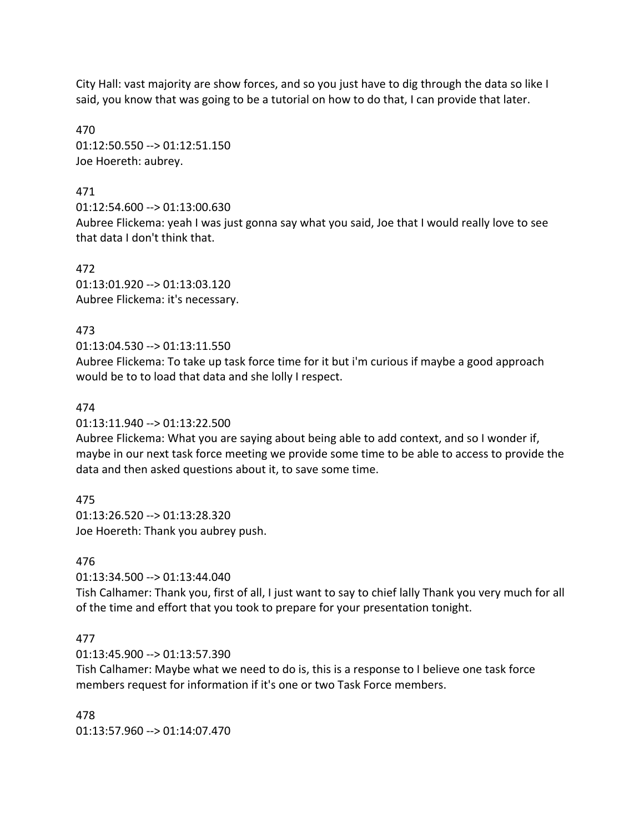City Hall: vast majority are show forces, and so you just have to dig through the data so like I said, you know that was going to be a tutorial on how to do that, I can provide that later.

470 01:12:50.550 --> 01:12:51.150 Joe Hoereth: aubrey.

### 471

01:12:54.600 --> 01:13:00.630 Aubree Flickema: yeah I was just gonna say what you said, Joe that I would really love to see that data I don't think that.

472 01:13:01.920 --> 01:13:03.120 Aubree Flickema: it's necessary.

### 473

01:13:04.530 --> 01:13:11.550

Aubree Flickema: To take up task force time for it but i'm curious if maybe a good approach would be to to load that data and she lolly I respect.

### 474

01:13:11.940 --> 01:13:22.500

Aubree Flickema: What you are saying about being able to add context, and so I wonder if, maybe in our next task force meeting we provide some time to be able to access to provide the data and then asked questions about it, to save some time.

## 475

01:13:26.520 --> 01:13:28.320 Joe Hoereth: Thank you aubrey push.

## 476

01:13:34.500 --> 01:13:44.040

Tish Calhamer: Thank you, first of all, I just want to say to chief lally Thank you very much for all of the time and effort that you took to prepare for your presentation tonight.

## 477

01:13:45.900 --> 01:13:57.390

Tish Calhamer: Maybe what we need to do is, this is a response to I believe one task force members request for information if it's one or two Task Force members.

478 01:13:57.960 --> 01:14:07.470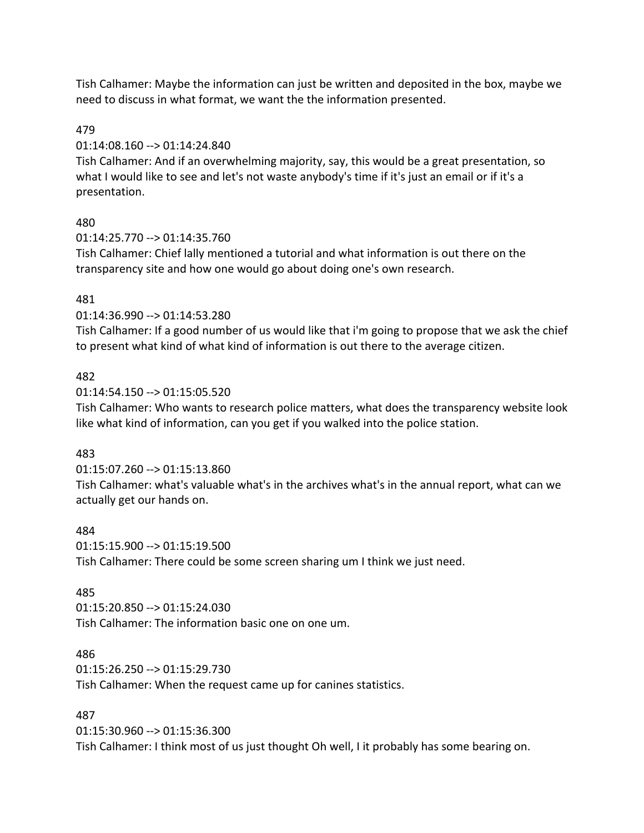Tish Calhamer: Maybe the information can just be written and deposited in the box, maybe we need to discuss in what format, we want the the information presented.

### 479

### 01:14:08.160 --> 01:14:24.840

Tish Calhamer: And if an overwhelming majority, say, this would be a great presentation, so what I would like to see and let's not waste anybody's time if it's just an email or if it's a presentation.

### 480

01:14:25.770 --> 01:14:35.760

Tish Calhamer: Chief lally mentioned a tutorial and what information is out there on the transparency site and how one would go about doing one's own research.

### 481

01:14:36.990 --> 01:14:53.280

Tish Calhamer: If a good number of us would like that i'm going to propose that we ask the chief to present what kind of what kind of information is out there to the average citizen.

### 482

01:14:54.150 --> 01:15:05.520

Tish Calhamer: Who wants to research police matters, what does the transparency website look like what kind of information, can you get if you walked into the police station.

### 483

01:15:07.260 --> 01:15:13.860

Tish Calhamer: what's valuable what's in the archives what's in the annual report, what can we actually get our hands on.

### 484

01:15:15.900 --> 01:15:19.500 Tish Calhamer: There could be some screen sharing um I think we just need.

### 485

01:15:20.850 --> 01:15:24.030 Tish Calhamer: The information basic one on one um.

### 486

01:15:26.250 --> 01:15:29.730 Tish Calhamer: When the request came up for canines statistics.

### 487

01:15:30.960 --> 01:15:36.300 Tish Calhamer: I think most of us just thought Oh well, I it probably has some bearing on.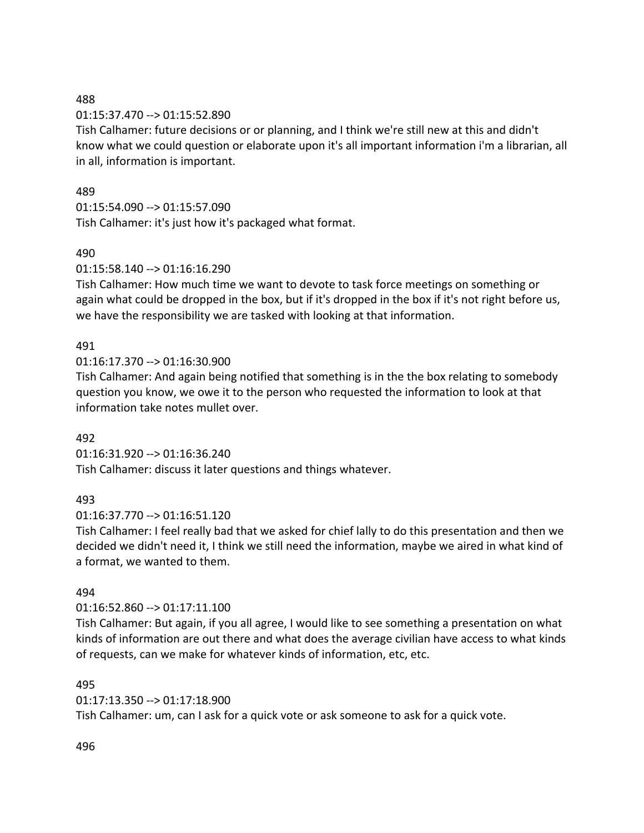### 488

## 01:15:37.470 --> 01:15:52.890

Tish Calhamer: future decisions or or planning, and I think we're still new at this and didn't know what we could question or elaborate upon it's all important information i'm a librarian, all in all, information is important.

## 489

# 01:15:54.090 --> 01:15:57.090

Tish Calhamer: it's just how it's packaged what format.

# 490

# 01:15:58.140 --> 01:16:16.290

Tish Calhamer: How much time we want to devote to task force meetings on something or again what could be dropped in the box, but if it's dropped in the box if it's not right before us, we have the responsibility we are tasked with looking at that information.

# 491

01:16:17.370 --> 01:16:30.900

Tish Calhamer: And again being notified that something is in the the box relating to somebody question you know, we owe it to the person who requested the information to look at that information take notes mullet over.

## 492

01:16:31.920 --> 01:16:36.240 Tish Calhamer: discuss it later questions and things whatever.

## 493

## 01:16:37.770 --> 01:16:51.120

Tish Calhamer: I feel really bad that we asked for chief lally to do this presentation and then we decided we didn't need it, I think we still need the information, maybe we aired in what kind of a format, we wanted to them.

## 494

## 01:16:52.860 --> 01:17:11.100

Tish Calhamer: But again, if you all agree, I would like to see something a presentation on what kinds of information are out there and what does the average civilian have access to what kinds of requests, can we make for whatever kinds of information, etc, etc.

## 495

01:17:13.350 --> 01:17:18.900

Tish Calhamer: um, can I ask for a quick vote or ask someone to ask for a quick vote.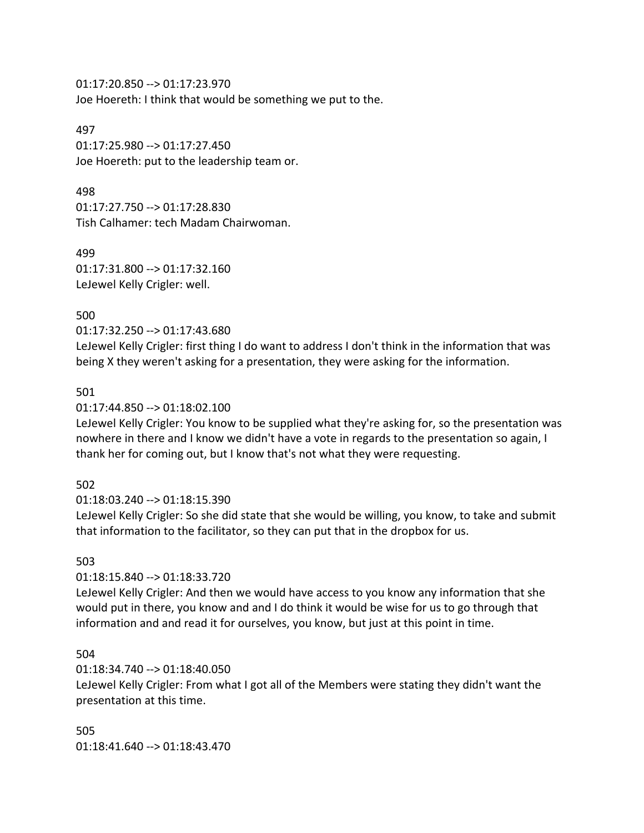01:17:20.850 --> 01:17:23.970 Joe Hoereth: I think that would be something we put to the.

#### 497

01:17:25.980 --> 01:17:27.450 Joe Hoereth: put to the leadership team or.

### 498

01:17:27.750 --> 01:17:28.830 Tish Calhamer: tech Madam Chairwoman.

499 01:17:31.800 --> 01:17:32.160 LeJewel Kelly Crigler: well.

### 500

01:17:32.250 --> 01:17:43.680

LeJewel Kelly Crigler: first thing I do want to address I don't think in the information that was being X they weren't asking for a presentation, they were asking for the information.

### 501

### 01:17:44.850 --> 01:18:02.100

LeJewel Kelly Crigler: You know to be supplied what they're asking for, so the presentation was nowhere in there and I know we didn't have a vote in regards to the presentation so again, I thank her for coming out, but I know that's not what they were requesting.

## 502

01:18:03.240 --> 01:18:15.390

LeJewel Kelly Crigler: So she did state that she would be willing, you know, to take and submit that information to the facilitator, so they can put that in the dropbox for us.

### 503

### 01:18:15.840 --> 01:18:33.720

LeJewel Kelly Crigler: And then we would have access to you know any information that she would put in there, you know and and I do think it would be wise for us to go through that information and and read it for ourselves, you know, but just at this point in time.

### 504

## 01:18:34.740 --> 01:18:40.050

LeJewel Kelly Crigler: From what I got all of the Members were stating they didn't want the presentation at this time.

505 01:18:41.640 --> 01:18:43.470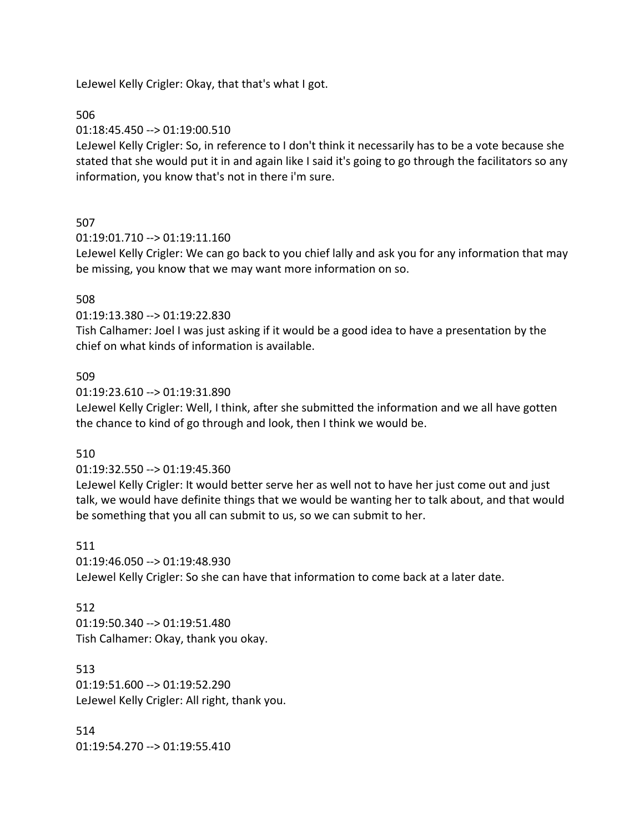LeJewel Kelly Crigler: Okay, that that's what I got.

506

01:18:45.450 --> 01:19:00.510

LeJewel Kelly Crigler: So, in reference to I don't think it necessarily has to be a vote because she stated that she would put it in and again like I said it's going to go through the facilitators so any information, you know that's not in there i'm sure.

### 507

01:19:01.710 --> 01:19:11.160

LeJewel Kelly Crigler: We can go back to you chief lally and ask you for any information that may be missing, you know that we may want more information on so.

### 508

01:19:13.380 --> 01:19:22.830

Tish Calhamer: Joel I was just asking if it would be a good idea to have a presentation by the chief on what kinds of information is available.

### 509

01:19:23.610 --> 01:19:31.890

LeJewel Kelly Crigler: Well, I think, after she submitted the information and we all have gotten the chance to kind of go through and look, then I think we would be.

### 510

01:19:32.550 --> 01:19:45.360

LeJewel Kelly Crigler: It would better serve her as well not to have her just come out and just talk, we would have definite things that we would be wanting her to talk about, and that would be something that you all can submit to us, so we can submit to her.

#### 511

01:19:46.050 --> 01:19:48.930 LeJewel Kelly Crigler: So she can have that information to come back at a later date.

### 512

01:19:50.340 --> 01:19:51.480 Tish Calhamer: Okay, thank you okay.

513 01:19:51.600 --> 01:19:52.290 LeJewel Kelly Crigler: All right, thank you.

514 01:19:54.270 --> 01:19:55.410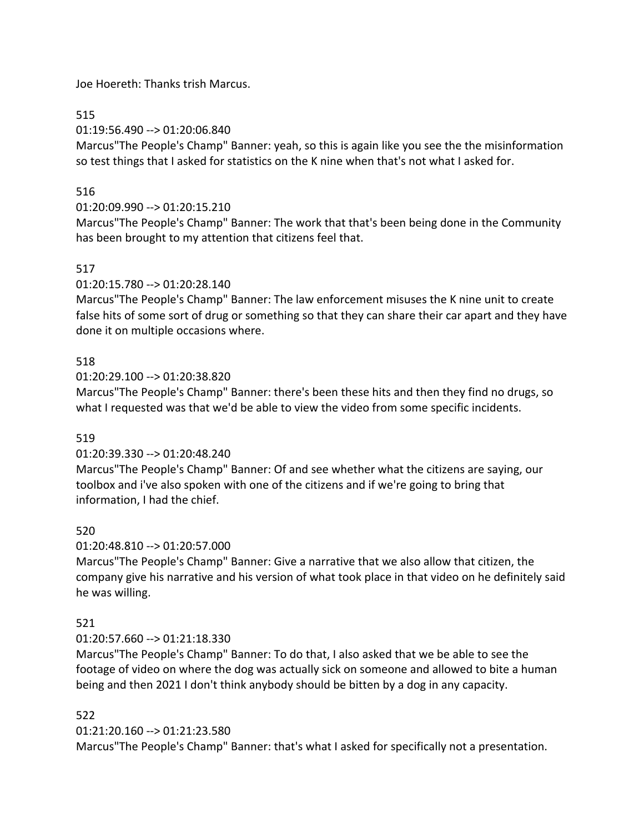Joe Hoereth: Thanks trish Marcus.

# 515

01:19:56.490 --> 01:20:06.840

Marcus"The People's Champ" Banner: yeah, so this is again like you see the the misinformation so test things that I asked for statistics on the K nine when that's not what I asked for.

# 516

# 01:20:09.990 --> 01:20:15.210

Marcus"The People's Champ" Banner: The work that that's been being done in the Community has been brought to my attention that citizens feel that.

# 517

01:20:15.780 --> 01:20:28.140

Marcus"The People's Champ" Banner: The law enforcement misuses the K nine unit to create false hits of some sort of drug or something so that they can share their car apart and they have done it on multiple occasions where.

# 518

01:20:29.100 --> 01:20:38.820

Marcus"The People's Champ" Banner: there's been these hits and then they find no drugs, so what I requested was that we'd be able to view the video from some specific incidents.

## 519

## 01:20:39.330 --> 01:20:48.240

Marcus"The People's Champ" Banner: Of and see whether what the citizens are saying, our toolbox and i've also spoken with one of the citizens and if we're going to bring that information, I had the chief.

## 520

01:20:48.810 --> 01:20:57.000

Marcus"The People's Champ" Banner: Give a narrative that we also allow that citizen, the company give his narrative and his version of what took place in that video on he definitely said he was willing.

# 521

## 01:20:57.660 --> 01:21:18.330

Marcus"The People's Champ" Banner: To do that, I also asked that we be able to see the footage of video on where the dog was actually sick on someone and allowed to bite a human being and then 2021 I don't think anybody should be bitten by a dog in any capacity.

# 522

## 01:21:20.160 --> 01:21:23.580

Marcus"The People's Champ" Banner: that's what I asked for specifically not a presentation.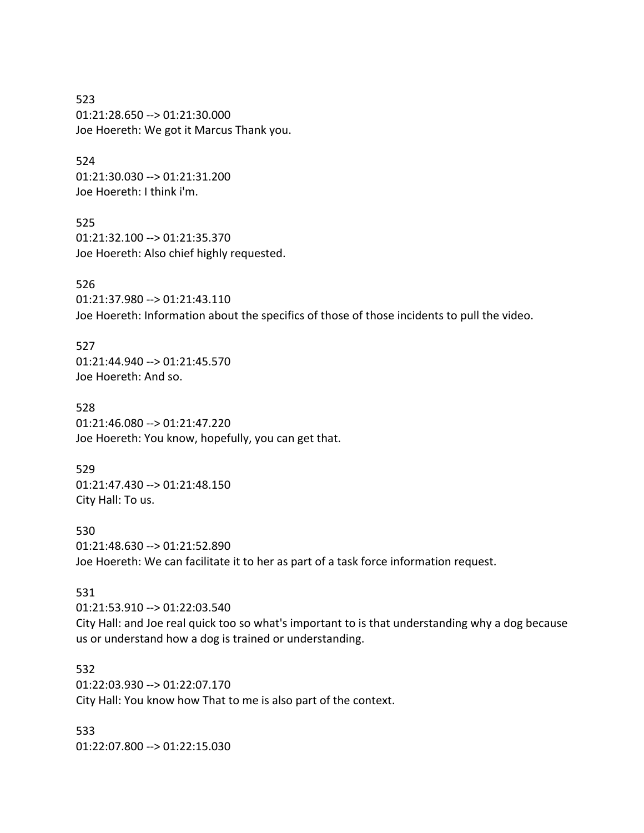523 01:21:28.650 --> 01:21:30.000 Joe Hoereth: We got it Marcus Thank you.

524 01:21:30.030 --> 01:21:31.200 Joe Hoereth: I think i'm.

525 01:21:32.100 --> 01:21:35.370 Joe Hoereth: Also chief highly requested.

526 01:21:37.980 --> 01:21:43.110 Joe Hoereth: Information about the specifics of those of those incidents to pull the video.

527 01:21:44.940 --> 01:21:45.570 Joe Hoereth: And so.

528 01:21:46.080 --> 01:21:47.220 Joe Hoereth: You know, hopefully, you can get that.

529 01:21:47.430 --> 01:21:48.150 City Hall: To us.

530 01:21:48.630 --> 01:21:52.890 Joe Hoereth: We can facilitate it to her as part of a task force information request.

### 531

01:21:53.910 --> 01:22:03.540 City Hall: and Joe real quick too so what's important to is that understanding why a dog because us or understand how a dog is trained or understanding.

532 01:22:03.930 --> 01:22:07.170 City Hall: You know how That to me is also part of the context.

533 01:22:07.800 --> 01:22:15.030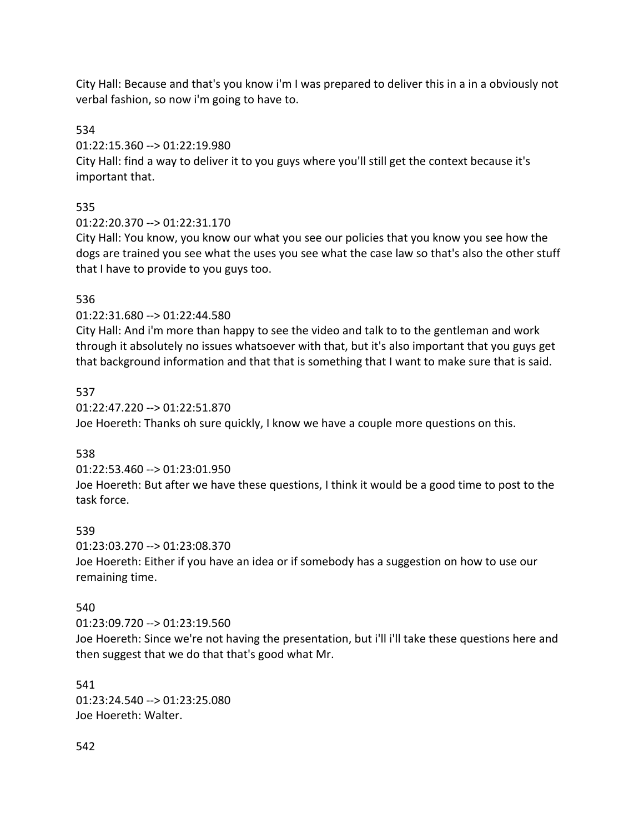City Hall: Because and that's you know i'm I was prepared to deliver this in a in a obviously not verbal fashion, so now i'm going to have to.

534

01:22:15.360 --> 01:22:19.980

City Hall: find a way to deliver it to you guys where you'll still get the context because it's important that.

# 535

01:22:20.370 --> 01:22:31.170

City Hall: You know, you know our what you see our policies that you know you see how the dogs are trained you see what the uses you see what the case law so that's also the other stuff that I have to provide to you guys too.

# 536

01:22:31.680 --> 01:22:44.580

City Hall: And i'm more than happy to see the video and talk to to the gentleman and work through it absolutely no issues whatsoever with that, but it's also important that you guys get that background information and that that is something that I want to make sure that is said.

# 537

01:22:47.220 --> 01:22:51.870 Joe Hoereth: Thanks oh sure quickly, I know we have a couple more questions on this.

# 538

01:22:53.460 --> 01:23:01.950

Joe Hoereth: But after we have these questions, I think it would be a good time to post to the task force.

# 539

01:23:03.270 --> 01:23:08.370

Joe Hoereth: Either if you have an idea or if somebody has a suggestion on how to use our remaining time.

# 540

01:23:09.720 --> 01:23:19.560

Joe Hoereth: Since we're not having the presentation, but i'll i'll take these questions here and then suggest that we do that that's good what Mr.

## 541

01:23:24.540 --> 01:23:25.080 Joe Hoereth: Walter.

## 542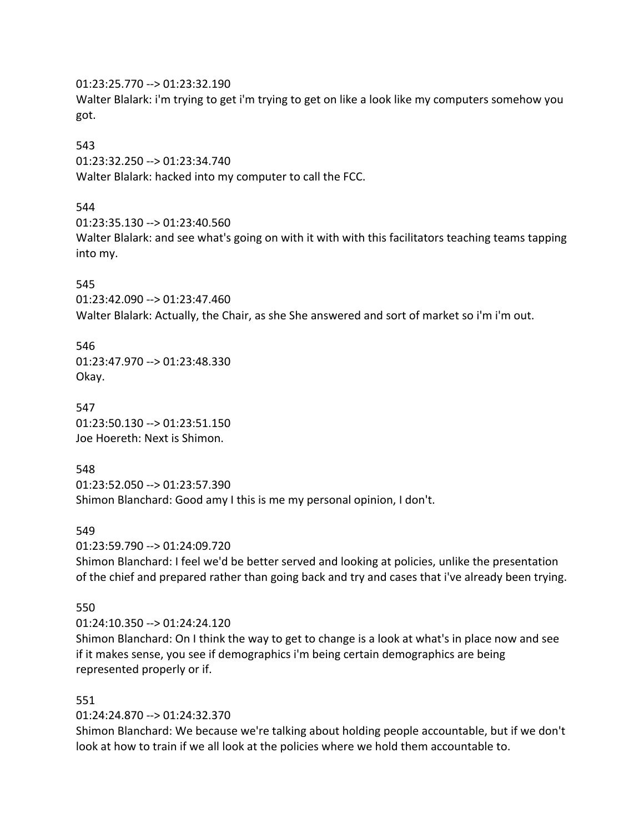01:23:25.770 --> 01:23:32.190

Walter Blalark: i'm trying to get i'm trying to get on like a look like my computers somehow you got.

## 543

01:23:32.250 --> 01:23:34.740 Walter Blalark: hacked into my computer to call the FCC.

# 544

01:23:35.130 --> 01:23:40.560

Walter Blalark: and see what's going on with it with with this facilitators teaching teams tapping into my.

# 545

01:23:42.090 --> 01:23:47.460 Walter Blalark: Actually, the Chair, as she She answered and sort of market so i'm i'm out.

546 01:23:47.970 --> 01:23:48.330 Okay.

547 01:23:50.130 --> 01:23:51.150 Joe Hoereth: Next is Shimon.

548

01:23:52.050 --> 01:23:57.390 Shimon Blanchard: Good amy I this is me my personal opinion, I don't.

# 549

01:23:59.790 --> 01:24:09.720

Shimon Blanchard: I feel we'd be better served and looking at policies, unlike the presentation of the chief and prepared rather than going back and try and cases that i've already been trying.

# 550

01:24:10.350 --> 01:24:24.120

Shimon Blanchard: On I think the way to get to change is a look at what's in place now and see if it makes sense, you see if demographics i'm being certain demographics are being represented properly or if.

# 551

# 01:24:24.870 --> 01:24:32.370

Shimon Blanchard: We because we're talking about holding people accountable, but if we don't look at how to train if we all look at the policies where we hold them accountable to.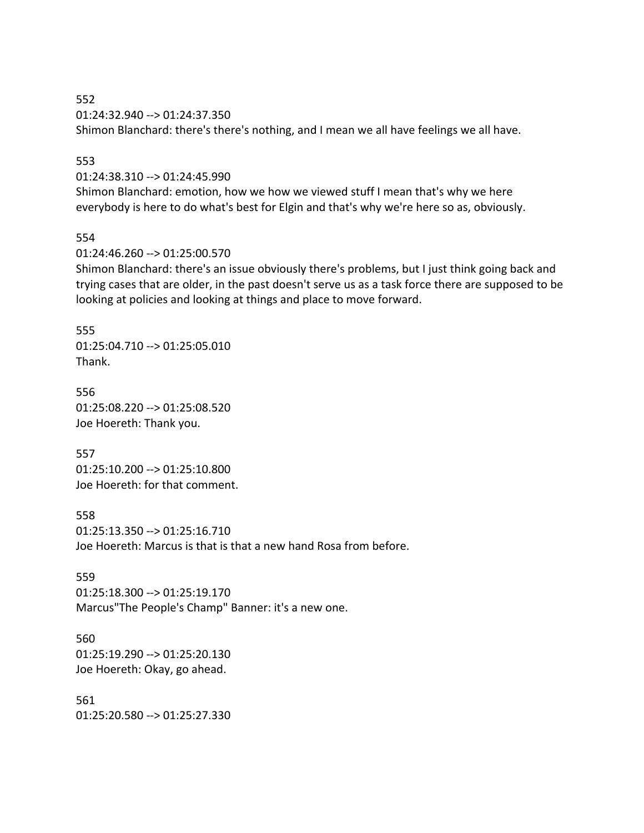552 01:24:32.940 --> 01:24:37.350 Shimon Blanchard: there's there's nothing, and I mean we all have feelings we all have.

#### 553

01:24:38.310 --> 01:24:45.990

Shimon Blanchard: emotion, how we how we viewed stuff I mean that's why we here everybody is here to do what's best for Elgin and that's why we're here so as, obviously.

#### 554

01:24:46.260 --> 01:25:00.570

Shimon Blanchard: there's an issue obviously there's problems, but I just think going back and trying cases that are older, in the past doesn't serve us as a task force there are supposed to be looking at policies and looking at things and place to move forward.

#### 555

01:25:04.710 --> 01:25:05.010 Thank.

556 01:25:08.220 --> 01:25:08.520 Joe Hoereth: Thank you.

557 01:25:10.200 --> 01:25:10.800 Joe Hoereth: for that comment.

558 01:25:13.350 --> 01:25:16.710 Joe Hoereth: Marcus is that is that a new hand Rosa from before.

559 01:25:18.300 --> 01:25:19.170 Marcus"The People's Champ" Banner: it's a new one.

560 01:25:19.290 --> 01:25:20.130 Joe Hoereth: Okay, go ahead.

561 01:25:20.580 --> 01:25:27.330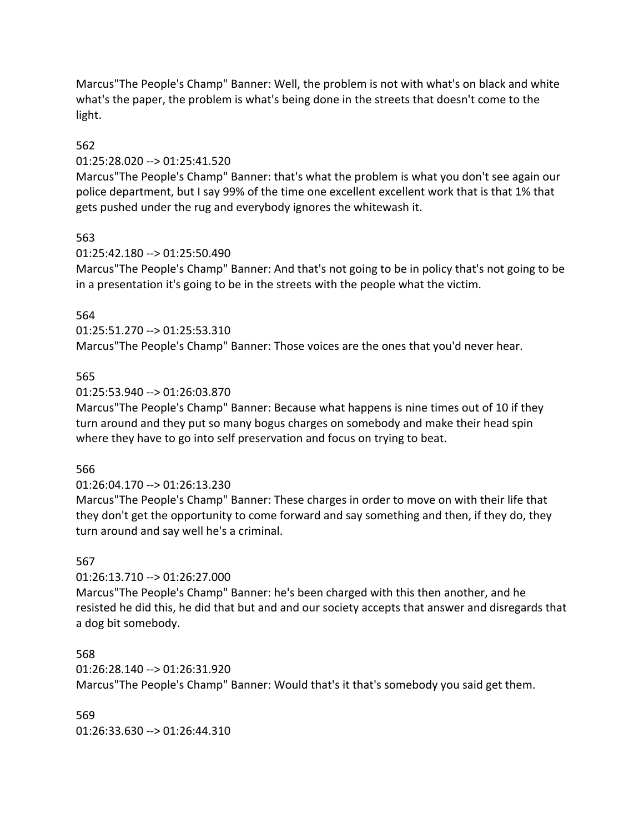Marcus"The People's Champ" Banner: Well, the problem is not with what's on black and white what's the paper, the problem is what's being done in the streets that doesn't come to the light.

### 562

### 01:25:28.020 --> 01:25:41.520

Marcus"The People's Champ" Banner: that's what the problem is what you don't see again our police department, but I say 99% of the time one excellent excellent work that is that 1% that gets pushed under the rug and everybody ignores the whitewash it.

### 563

### 01:25:42.180 --> 01:25:50.490

Marcus"The People's Champ" Banner: And that's not going to be in policy that's not going to be in a presentation it's going to be in the streets with the people what the victim.

### 564

01:25:51.270 --> 01:25:53.310

Marcus"The People's Champ" Banner: Those voices are the ones that you'd never hear.

### 565

### 01:25:53.940 --> 01:26:03.870

Marcus"The People's Champ" Banner: Because what happens is nine times out of 10 if they turn around and they put so many bogus charges on somebody and make their head spin where they have to go into self preservation and focus on trying to beat.

### 566

## 01:26:04.170 --> 01:26:13.230

Marcus"The People's Champ" Banner: These charges in order to move on with their life that they don't get the opportunity to come forward and say something and then, if they do, they turn around and say well he's a criminal.

### 567

## 01:26:13.710 --> 01:26:27.000

Marcus"The People's Champ" Banner: he's been charged with this then another, and he resisted he did this, he did that but and and our society accepts that answer and disregards that a dog bit somebody.

## 568

### 01:26:28.140 --> 01:26:31.920

Marcus"The People's Champ" Banner: Would that's it that's somebody you said get them.

569 01:26:33.630 --> 01:26:44.310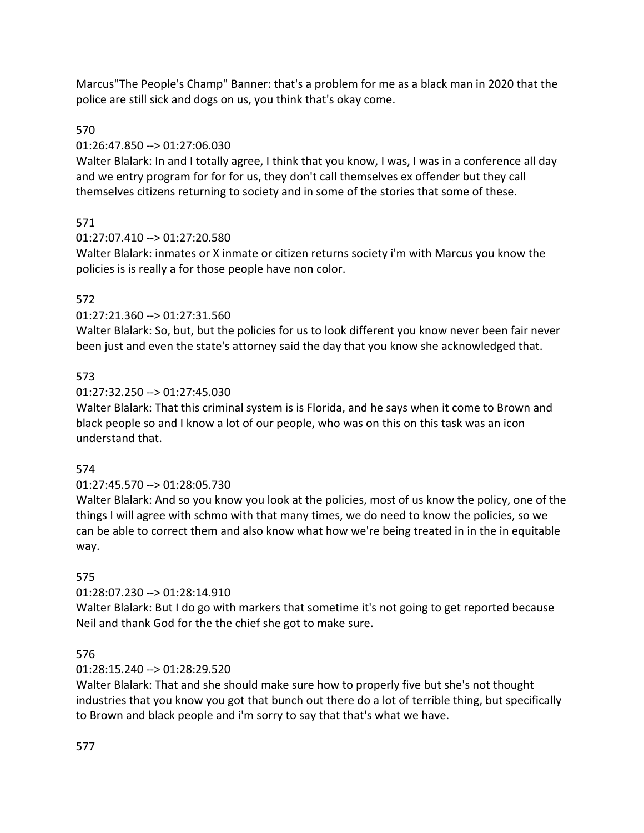Marcus"The People's Champ" Banner: that's a problem for me as a black man in 2020 that the police are still sick and dogs on us, you think that's okay come.

# 570

## 01:26:47.850 --> 01:27:06.030

Walter Blalark: In and I totally agree, I think that you know, I was, I was in a conference all day and we entry program for for for us, they don't call themselves ex offender but they call themselves citizens returning to society and in some of the stories that some of these.

# 571

# 01:27:07.410 --> 01:27:20.580

Walter Blalark: inmates or X inmate or citizen returns society i'm with Marcus you know the policies is is really a for those people have non color.

# 572

# 01:27:21.360 --> 01:27:31.560

Walter Blalark: So, but, but the policies for us to look different you know never been fair never been just and even the state's attorney said the day that you know she acknowledged that.

## 573

# 01:27:32.250 --> 01:27:45.030

Walter Blalark: That this criminal system is is Florida, and he says when it come to Brown and black people so and I know a lot of our people, who was on this on this task was an icon understand that.

## 574

# 01:27:45.570 --> 01:28:05.730

Walter Blalark: And so you know you look at the policies, most of us know the policy, one of the things I will agree with schmo with that many times, we do need to know the policies, so we can be able to correct them and also know what how we're being treated in in the in equitable way.

## 575

# 01:28:07.230 --> 01:28:14.910

Walter Blalark: But I do go with markers that sometime it's not going to get reported because Neil and thank God for the the chief she got to make sure.

## 576

# 01:28:15.240 --> 01:28:29.520

Walter Blalark: That and she should make sure how to properly five but she's not thought industries that you know you got that bunch out there do a lot of terrible thing, but specifically to Brown and black people and i'm sorry to say that that's what we have.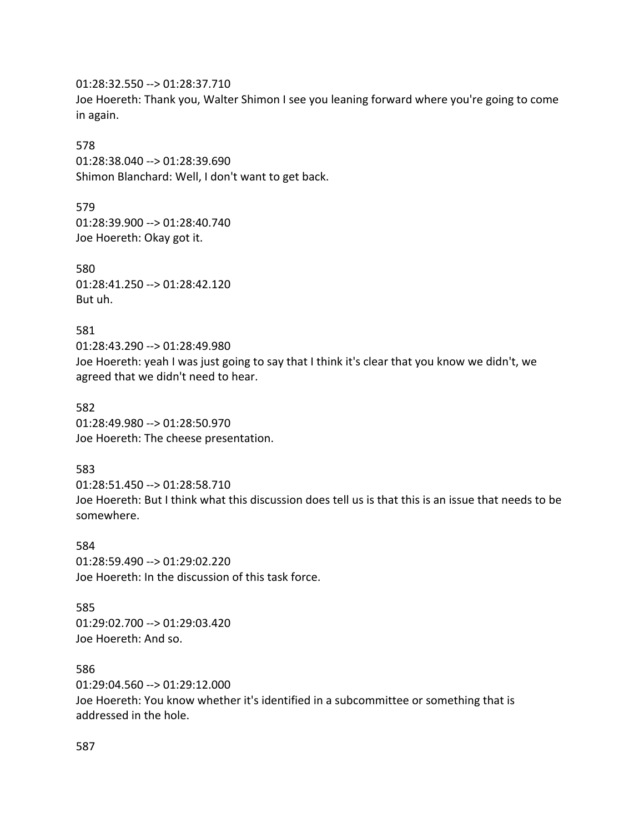01:28:32.550 --> 01:28:37.710 Joe Hoereth: Thank you, Walter Shimon I see you leaning forward where you're going to come in again.

#### 578

01:28:38.040 --> 01:28:39.690 Shimon Blanchard: Well, I don't want to get back.

579 01:28:39.900 --> 01:28:40.740 Joe Hoereth: Okay got it.

580 01:28:41.250 --> 01:28:42.120 But uh.

581

01:28:43.290 --> 01:28:49.980 Joe Hoereth: yeah I was just going to say that I think it's clear that you know we didn't, we agreed that we didn't need to hear.

582 01:28:49.980 --> 01:28:50.970 Joe Hoereth: The cheese presentation.

583

01:28:51.450 --> 01:28:58.710 Joe Hoereth: But I think what this discussion does tell us is that this is an issue that needs to be somewhere.

584 01:28:59.490 --> 01:29:02.220 Joe Hoereth: In the discussion of this task force.

585 01:29:02.700 --> 01:29:03.420 Joe Hoereth: And so.

586 01:29:04.560 --> 01:29:12.000 Joe Hoereth: You know whether it's identified in a subcommittee or something that is addressed in the hole.

587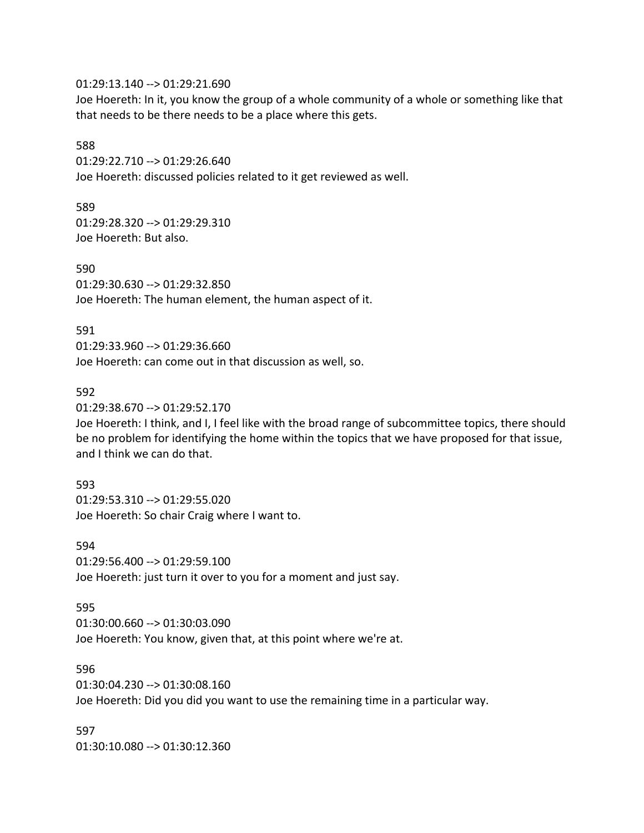01:29:13.140 --> 01:29:21.690

Joe Hoereth: In it, you know the group of a whole community of a whole or something like that that needs to be there needs to be a place where this gets.

#### 588

01:29:22.710 --> 01:29:26.640 Joe Hoereth: discussed policies related to it get reviewed as well.

589

01:29:28.320 --> 01:29:29.310 Joe Hoereth: But also.

590 01:29:30.630 --> 01:29:32.850 Joe Hoereth: The human element, the human aspect of it.

591 01:29:33.960 --> 01:29:36.660 Joe Hoereth: can come out in that discussion as well, so.

#### 592

01:29:38.670 --> 01:29:52.170

Joe Hoereth: I think, and I, I feel like with the broad range of subcommittee topics, there should be no problem for identifying the home within the topics that we have proposed for that issue, and I think we can do that.

#### 593

01:29:53.310 --> 01:29:55.020 Joe Hoereth: So chair Craig where I want to.

594 01:29:56.400 --> 01:29:59.100 Joe Hoereth: just turn it over to you for a moment and just say.

595

01:30:00.660 --> 01:30:03.090

Joe Hoereth: You know, given that, at this point where we're at.

596

01:30:04.230 --> 01:30:08.160

Joe Hoereth: Did you did you want to use the remaining time in a particular way.

597 01:30:10.080 --> 01:30:12.360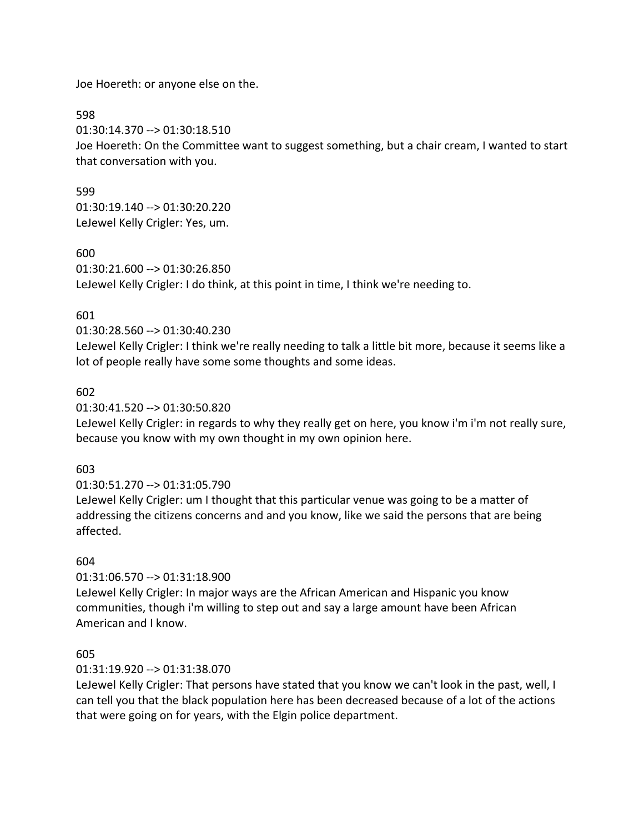Joe Hoereth: or anyone else on the.

598

01:30:14.370 --> 01:30:18.510

Joe Hoereth: On the Committee want to suggest something, but a chair cream, I wanted to start that conversation with you.

599 01:30:19.140 --> 01:30:20.220 LeJewel Kelly Crigler: Yes, um.

600

01:30:21.600 --> 01:30:26.850 LeJewel Kelly Crigler: I do think, at this point in time, I think we're needing to.

### 601

01:30:28.560 --> 01:30:40.230

LeJewel Kelly Crigler: I think we're really needing to talk a little bit more, because it seems like a lot of people really have some some thoughts and some ideas.

### 602

01:30:41.520 --> 01:30:50.820

LeJewel Kelly Crigler: in regards to why they really get on here, you know i'm i'm not really sure, because you know with my own thought in my own opinion here.

## 603

01:30:51.270 --> 01:31:05.790

LeJewel Kelly Crigler: um I thought that this particular venue was going to be a matter of addressing the citizens concerns and and you know, like we said the persons that are being affected.

## 604

01:31:06.570 --> 01:31:18.900

LeJewel Kelly Crigler: In major ways are the African American and Hispanic you know communities, though i'm willing to step out and say a large amount have been African American and I know.

## 605

### 01:31:19.920 --> 01:31:38.070

LeJewel Kelly Crigler: That persons have stated that you know we can't look in the past, well, I can tell you that the black population here has been decreased because of a lot of the actions that were going on for years, with the Elgin police department.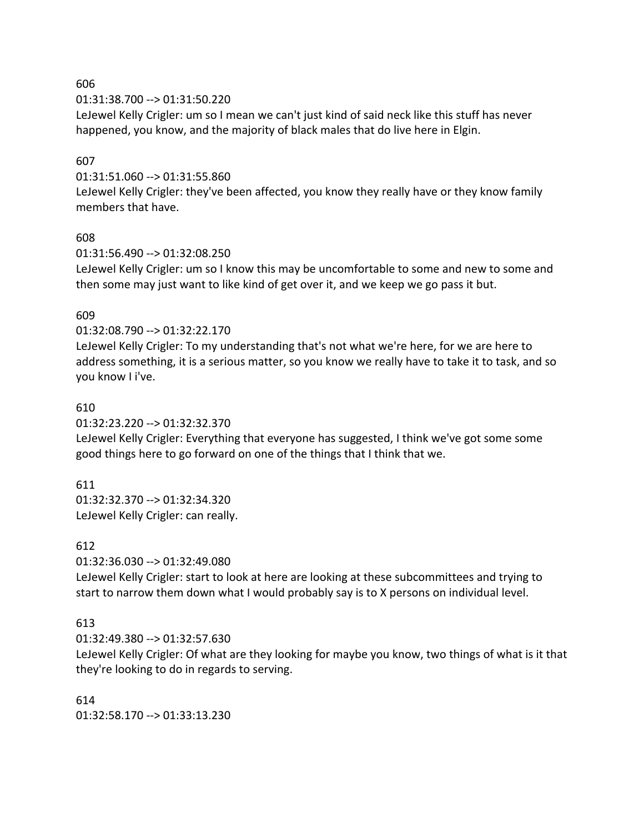606

01:31:38.700 --> 01:31:50.220

LeJewel Kelly Crigler: um so I mean we can't just kind of said neck like this stuff has never happened, you know, and the majority of black males that do live here in Elgin.

### 607

01:31:51.060 --> 01:31:55.860

LeJewel Kelly Crigler: they've been affected, you know they really have or they know family members that have.

### 608

01:31:56.490 --> 01:32:08.250

LeJewel Kelly Crigler: um so I know this may be uncomfortable to some and new to some and then some may just want to like kind of get over it, and we keep we go pass it but.

### 609

01:32:08.790 --> 01:32:22.170

LeJewel Kelly Crigler: To my understanding that's not what we're here, for we are here to address something, it is a serious matter, so you know we really have to take it to task, and so you know I i've.

### 610

01:32:23.220 --> 01:32:32.370

LeJewel Kelly Crigler: Everything that everyone has suggested, I think we've got some some good things here to go forward on one of the things that I think that we.

## 611

01:32:32.370 --> 01:32:34.320 LeJewel Kelly Crigler: can really.

### 612

01:32:36.030 --> 01:32:49.080

LeJewel Kelly Crigler: start to look at here are looking at these subcommittees and trying to start to narrow them down what I would probably say is to X persons on individual level.

## 613

01:32:49.380 --> 01:32:57.630

LeJewel Kelly Crigler: Of what are they looking for maybe you know, two things of what is it that they're looking to do in regards to serving.

### 614

01:32:58.170 --> 01:33:13.230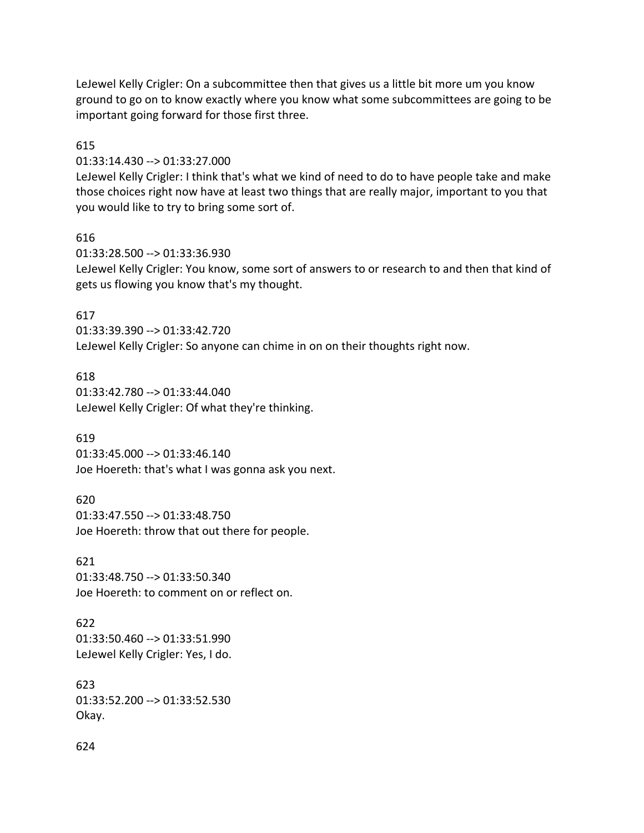LeJewel Kelly Crigler: On a subcommittee then that gives us a little bit more um you know ground to go on to know exactly where you know what some subcommittees are going to be important going forward for those first three.

### 615

01:33:14.430 --> 01:33:27.000

LeJewel Kelly Crigler: I think that's what we kind of need to do to have people take and make those choices right now have at least two things that are really major, important to you that you would like to try to bring some sort of.

### 616

01:33:28.500 --> 01:33:36.930 LeJewel Kelly Crigler: You know, some sort of answers to or research to and then that kind of gets us flowing you know that's my thought.

### 617

01:33:39.390 --> 01:33:42.720 LeJewel Kelly Crigler: So anyone can chime in on on their thoughts right now.

### 618

01:33:42.780 --> 01:33:44.040 LeJewel Kelly Crigler: Of what they're thinking.

### 619

01:33:45.000 --> 01:33:46.140 Joe Hoereth: that's what I was gonna ask you next.

620 01:33:47.550 --> 01:33:48.750 Joe Hoereth: throw that out there for people.

621 01:33:48.750 --> 01:33:50.340 Joe Hoereth: to comment on or reflect on.

622 01:33:50.460 --> 01:33:51.990 LeJewel Kelly Crigler: Yes, I do.

623 01:33:52.200 --> 01:33:52.530 Okay.

### 624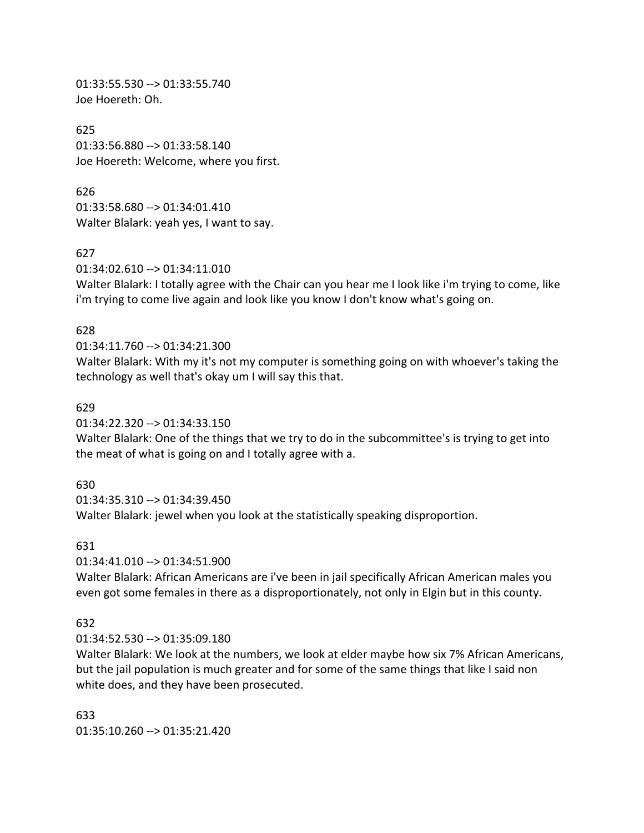01:33:55.530 --> 01:33:55.740 Joe Hoereth: Oh.

625 01:33:56.880 --> 01:33:58.140 Joe Hoereth: Welcome, where you first.

626 01:33:58.680 --> 01:34:01.410 Walter Blalark: yeah yes, I want to say.

627

01:34:02.610 --> 01:34:11.010

Walter Blalark: I totally agree with the Chair can you hear me I look like i'm trying to come, like i'm trying to come live again and look like you know I don't know what's going on.

#### 628

#### 01:34:11.760 --> 01:34:21.300

Walter Blalark: With my it's not my computer is something going on with whoever's taking the technology as well that's okay um I will say this that.

#### 629

01:34:22.320 --> 01:34:33.150

Walter Blalark: One of the things that we try to do in the subcommittee's is trying to get into the meat of what is going on and I totally agree with a.

### 630

01:34:35.310 --> 01:34:39.450 Walter Blalark: jewel when you look at the statistically speaking disproportion.

### 631

01:34:41.010 --> 01:34:51.900

Walter Blalark: African Americans are i've been in jail specifically African American males you even got some females in there as a disproportionately, not only in Elgin but in this county.

### 632

01:34:52.530 --> 01:35:09.180

Walter Blalark: We look at the numbers, we look at elder maybe how six 7% African Americans, but the jail population is much greater and for some of the same things that like I said non white does, and they have been prosecuted.

633  $01:35:10.260 \rightarrow 01:35:21.420$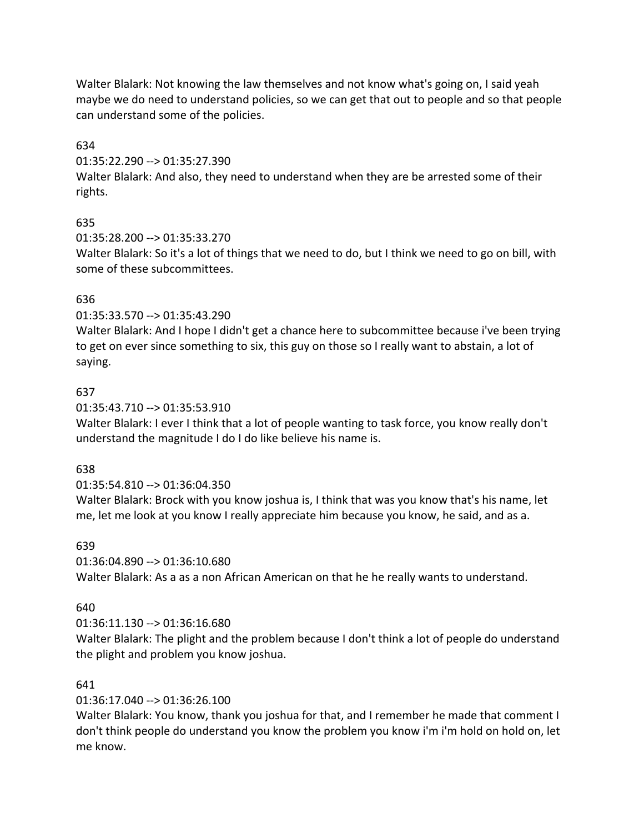Walter Blalark: Not knowing the law themselves and not know what's going on, I said yeah maybe we do need to understand policies, so we can get that out to people and so that people can understand some of the policies.

634

01:35:22.290 --> 01:35:27.390

Walter Blalark: And also, they need to understand when they are be arrested some of their rights.

# 635

01:35:28.200 --> 01:35:33.270

Walter Blalark: So it's a lot of things that we need to do, but I think we need to go on bill, with some of these subcommittees.

# 636

01:35:33.570 --> 01:35:43.290

Walter Blalark: And I hope I didn't get a chance here to subcommittee because i've been trying to get on ever since something to six, this guy on those so I really want to abstain, a lot of saying.

# 637

01:35:43.710 --> 01:35:53.910

Walter Blalark: I ever I think that a lot of people wanting to task force, you know really don't understand the magnitude I do I do like believe his name is.

## 638

## 01:35:54.810 --> 01:36:04.350

Walter Blalark: Brock with you know joshua is, I think that was you know that's his name, let me, let me look at you know I really appreciate him because you know, he said, and as a.

## 639

01:36:04.890 --> 01:36:10.680

Walter Blalark: As a as a non African American on that he he really wants to understand.

# 640

## 01:36:11.130 --> 01:36:16.680

Walter Blalark: The plight and the problem because I don't think a lot of people do understand the plight and problem you know joshua.

# 641

01:36:17.040 --> 01:36:26.100

Walter Blalark: You know, thank you joshua for that, and I remember he made that comment I don't think people do understand you know the problem you know i'm i'm hold on hold on, let me know.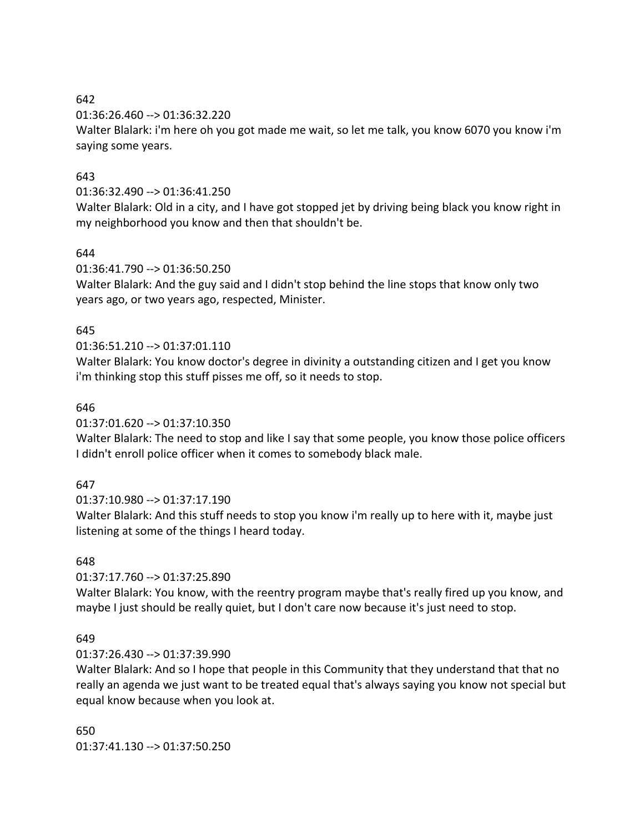### 642

01:36:26.460 --> 01:36:32.220

Walter Blalark: i'm here oh you got made me wait, so let me talk, you know 6070 you know i'm saying some years.

## 643

### 01:36:32.490 --> 01:36:41.250

Walter Blalark: Old in a city, and I have got stopped jet by driving being black you know right in my neighborhood you know and then that shouldn't be.

## 644

01:36:41.790 --> 01:36:50.250

Walter Blalark: And the guy said and I didn't stop behind the line stops that know only two years ago, or two years ago, respected, Minister.

## 645

# 01:36:51.210 --> 01:37:01.110

Walter Blalark: You know doctor's degree in divinity a outstanding citizen and I get you know i'm thinking stop this stuff pisses me off, so it needs to stop.

## 646

01:37:01.620 --> 01:37:10.350

Walter Blalark: The need to stop and like I say that some people, you know those police officers I didn't enroll police officer when it comes to somebody black male.

## 647

01:37:10.980 --> 01:37:17.190

Walter Blalark: And this stuff needs to stop you know i'm really up to here with it, maybe just listening at some of the things I heard today.

## 648

01:37:17.760 --> 01:37:25.890

Walter Blalark: You know, with the reentry program maybe that's really fired up you know, and maybe I just should be really quiet, but I don't care now because it's just need to stop.

## 649

01:37:26.430 --> 01:37:39.990

Walter Blalark: And so I hope that people in this Community that they understand that that no really an agenda we just want to be treated equal that's always saying you know not special but equal know because when you look at.

650 01:37:41.130 --> 01:37:50.250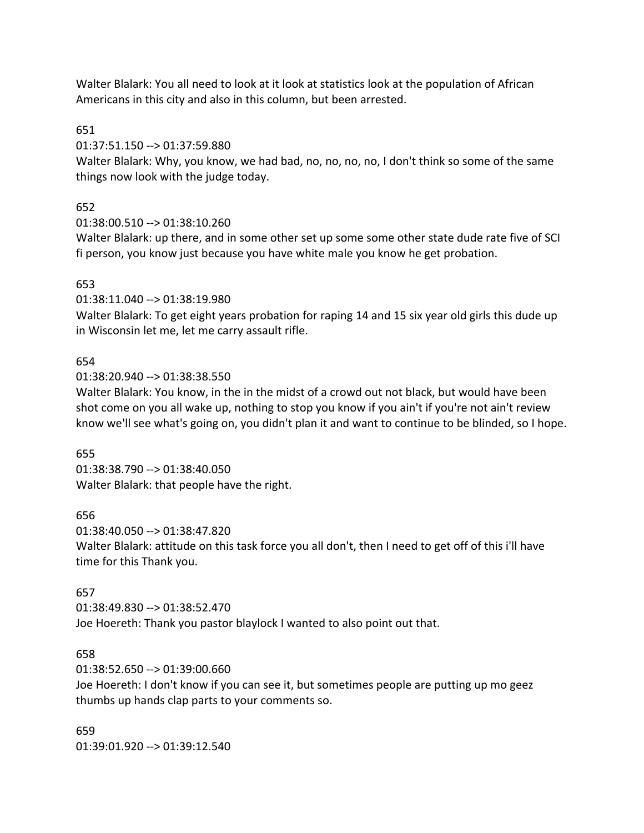Walter Blalark: You all need to look at it look at statistics look at the population of African Americans in this city and also in this column, but been arrested.

651

01:37:51.150 --> 01:37:59.880

Walter Blalark: Why, you know, we had bad, no, no, no, no, I don't think so some of the same things now look with the judge today.

652

01:38:00.510 --> 01:38:10.260

Walter Blalark: up there, and in some other set up some some other state dude rate five of SCI fi person, you know just because you have white male you know he get probation.

### 653

01:38:11.040 --> 01:38:19.980

Walter Blalark: To get eight years probation for raping 14 and 15 six year old girls this dude up in Wisconsin let me, let me carry assault rifle.

### 654

01:38:20.940 --> 01:38:38.550

Walter Blalark: You know, in the in the midst of a crowd out not black, but would have been shot come on you all wake up, nothing to stop you know if you ain't if you're not ain't review know we'll see what's going on, you didn't plan it and want to continue to be blinded, so I hope.

655

01:38:38.790 --> 01:38:40.050 Walter Blalark: that people have the right.

656

01:38:40.050 --> 01:38:47.820 Walter Blalark: attitude on this task force you all don't, then I need to get off of this i'll have time for this Thank you.

# 657

01:38:49.830 --> 01:38:52.470 Joe Hoereth: Thank you pastor blaylock I wanted to also point out that.

# 658

01:38:52.650 --> 01:39:00.660

Joe Hoereth: I don't know if you can see it, but sometimes people are putting up mo geez thumbs up hands clap parts to your comments so.

659 01:39:01.920 --> 01:39:12.540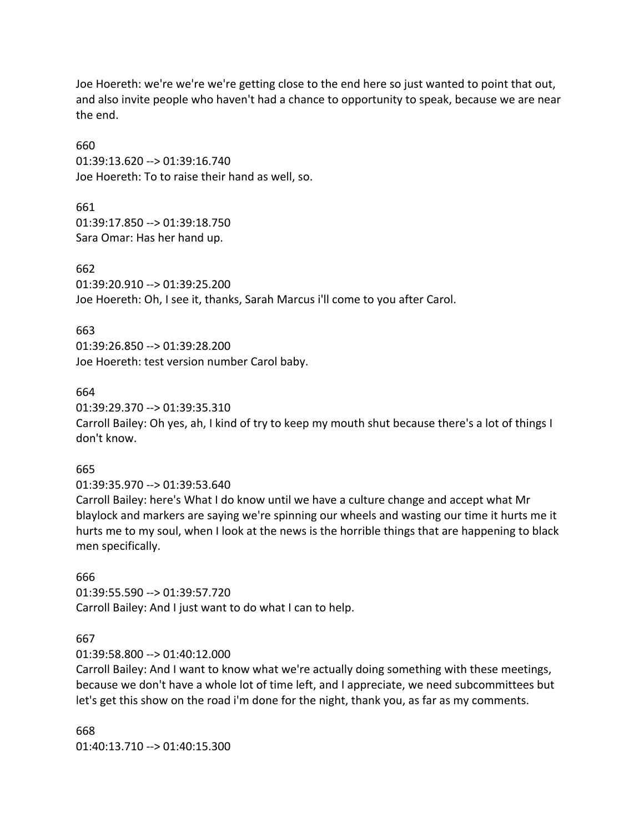Joe Hoereth: we're we're we're getting close to the end here so just wanted to point that out, and also invite people who haven't had a chance to opportunity to speak, because we are near the end.

660 01:39:13.620 --> 01:39:16.740 Joe Hoereth: To to raise their hand as well, so.

661 01:39:17.850 --> 01:39:18.750 Sara Omar: Has her hand up.

662 01:39:20.910 --> 01:39:25.200 Joe Hoereth: Oh, I see it, thanks, Sarah Marcus i'll come to you after Carol.

663 01:39:26.850 --> 01:39:28.200 Joe Hoereth: test version number Carol baby.

664

01:39:29.370 --> 01:39:35.310 Carroll Bailey: Oh yes, ah, I kind of try to keep my mouth shut because there's a lot of things I don't know.

665

01:39:35.970 --> 01:39:53.640

Carroll Bailey: here's What I do know until we have a culture change and accept what Mr blaylock and markers are saying we're spinning our wheels and wasting our time it hurts me it hurts me to my soul, when I look at the news is the horrible things that are happening to black men specifically.

666

01:39:55.590 --> 01:39:57.720 Carroll Bailey: And I just want to do what I can to help.

667

01:39:58.800 --> 01:40:12.000

Carroll Bailey: And I want to know what we're actually doing something with these meetings, because we don't have a whole lot of time left, and I appreciate, we need subcommittees but let's get this show on the road i'm done for the night, thank you, as far as my comments.

668 01:40:13.710 --> 01:40:15.300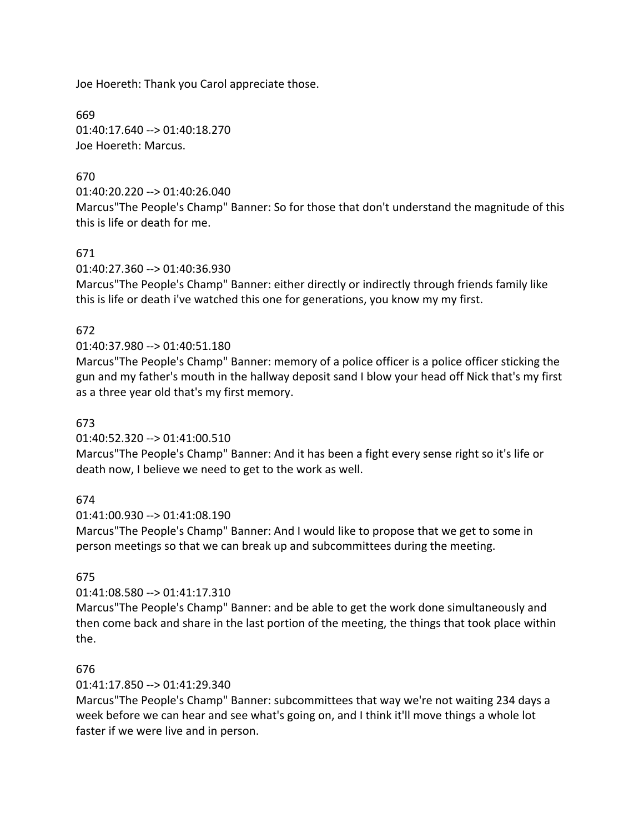Joe Hoereth: Thank you Carol appreciate those.

669 01:40:17.640 --> 01:40:18.270 Joe Hoereth: Marcus.

# 670

01:40:20.220 --> 01:40:26.040

Marcus"The People's Champ" Banner: So for those that don't understand the magnitude of this this is life or death for me.

# 671

01:40:27.360 --> 01:40:36.930

Marcus"The People's Champ" Banner: either directly or indirectly through friends family like this is life or death i've watched this one for generations, you know my my first.

# 672

### 01:40:37.980 --> 01:40:51.180

Marcus"The People's Champ" Banner: memory of a police officer is a police officer sticking the gun and my father's mouth in the hallway deposit sand I blow your head off Nick that's my first as a three year old that's my first memory.

### 673

### 01:40:52.320 --> 01:41:00.510

Marcus"The People's Champ" Banner: And it has been a fight every sense right so it's life or death now, I believe we need to get to the work as well.

### 674

01:41:00.930 --> 01:41:08.190

Marcus"The People's Champ" Banner: And I would like to propose that we get to some in person meetings so that we can break up and subcommittees during the meeting.

### 675

# 01:41:08.580 --> 01:41:17.310

Marcus"The People's Champ" Banner: and be able to get the work done simultaneously and then come back and share in the last portion of the meeting, the things that took place within the.

### 676

### 01:41:17.850 --> 01:41:29.340

Marcus"The People's Champ" Banner: subcommittees that way we're not waiting 234 days a week before we can hear and see what's going on, and I think it'll move things a whole lot faster if we were live and in person.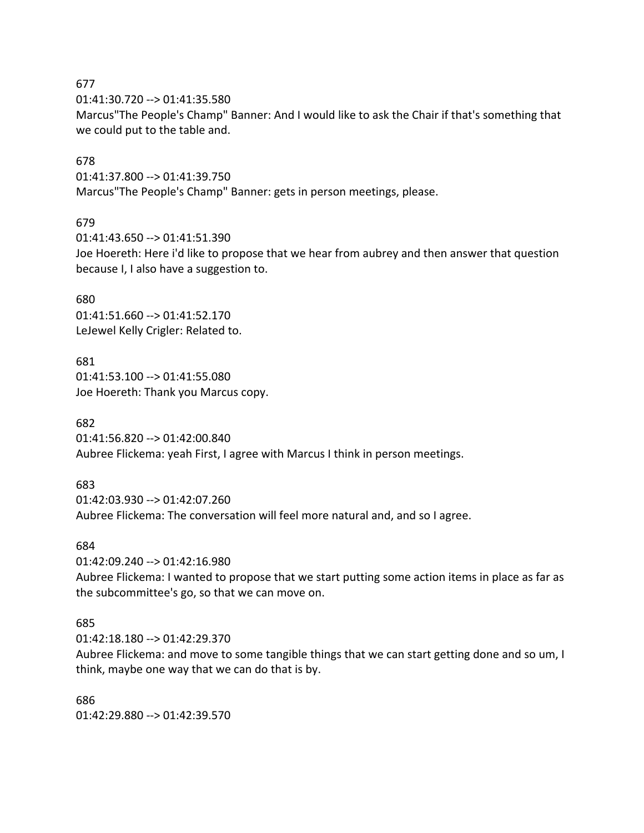01:41:30.720 --> 01:41:35.580

Marcus"The People's Champ" Banner: And I would like to ask the Chair if that's something that we could put to the table and.

### 678

01:41:37.800 --> 01:41:39.750 Marcus"The People's Champ" Banner: gets in person meetings, please.

### 679

01:41:43.650 --> 01:41:51.390 Joe Hoereth: Here i'd like to propose that we hear from aubrey and then answer that question because I, I also have a suggestion to.

### 680

01:41:51.660 --> 01:41:52.170 LeJewel Kelly Crigler: Related to.

### 681

01:41:53.100 --> 01:41:55.080 Joe Hoereth: Thank you Marcus copy.

# 682

01:41:56.820 --> 01:42:00.840 Aubree Flickema: yeah First, I agree with Marcus I think in person meetings.

# 683

01:42:03.930 --> 01:42:07.260 Aubree Flickema: The conversation will feel more natural and, and so I agree.

### 684

01:42:09.240 --> 01:42:16.980

Aubree Flickema: I wanted to propose that we start putting some action items in place as far as the subcommittee's go, so that we can move on.

# 685

01:42:18.180 --> 01:42:29.370

Aubree Flickema: and move to some tangible things that we can start getting done and so um, I think, maybe one way that we can do that is by.

### 686

01:42:29.880 --> 01:42:39.570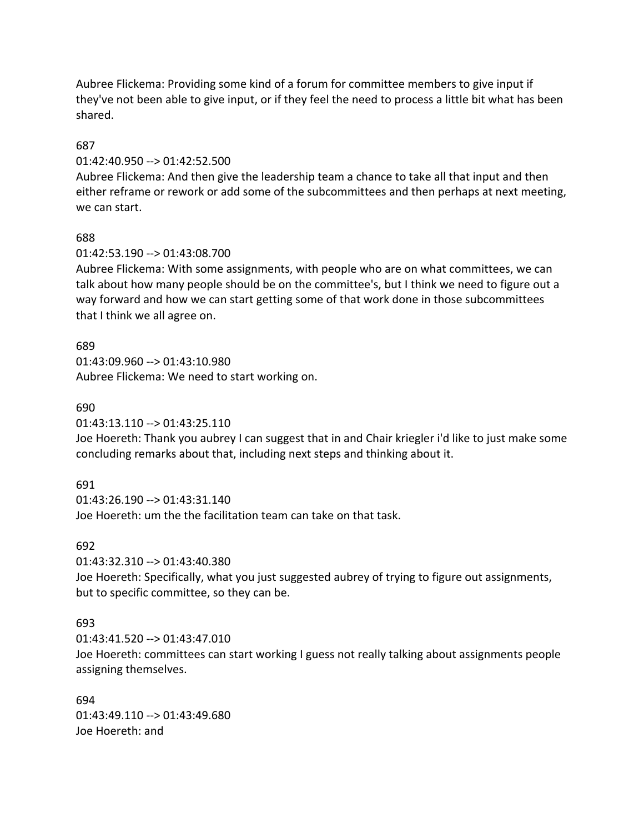Aubree Flickema: Providing some kind of a forum for committee members to give input if they've not been able to give input, or if they feel the need to process a little bit what has been shared.

### 687

### 01:42:40.950 --> 01:42:52.500

Aubree Flickema: And then give the leadership team a chance to take all that input and then either reframe or rework or add some of the subcommittees and then perhaps at next meeting, we can start.

### 688

### 01:42:53.190 --> 01:43:08.700

Aubree Flickema: With some assignments, with people who are on what committees, we can talk about how many people should be on the committee's, but I think we need to figure out a way forward and how we can start getting some of that work done in those subcommittees that I think we all agree on.

### 689

01:43:09.960 --> 01:43:10.980 Aubree Flickema: We need to start working on.

#### 690

01:43:13.110 --> 01:43:25.110

Joe Hoereth: Thank you aubrey I can suggest that in and Chair kriegler i'd like to just make some concluding remarks about that, including next steps and thinking about it.

### 691

 $01:43:26.190 \rightarrow 01:43:31.140$ Joe Hoereth: um the the facilitation team can take on that task.

### 692

01:43:32.310 --> 01:43:40.380

Joe Hoereth: Specifically, what you just suggested aubrey of trying to figure out assignments, but to specific committee, so they can be.

### 693

01:43:41.520 --> 01:43:47.010 Joe Hoereth: committees can start working I guess not really talking about assignments people assigning themselves.

694 01:43:49.110 --> 01:43:49.680 Joe Hoereth: and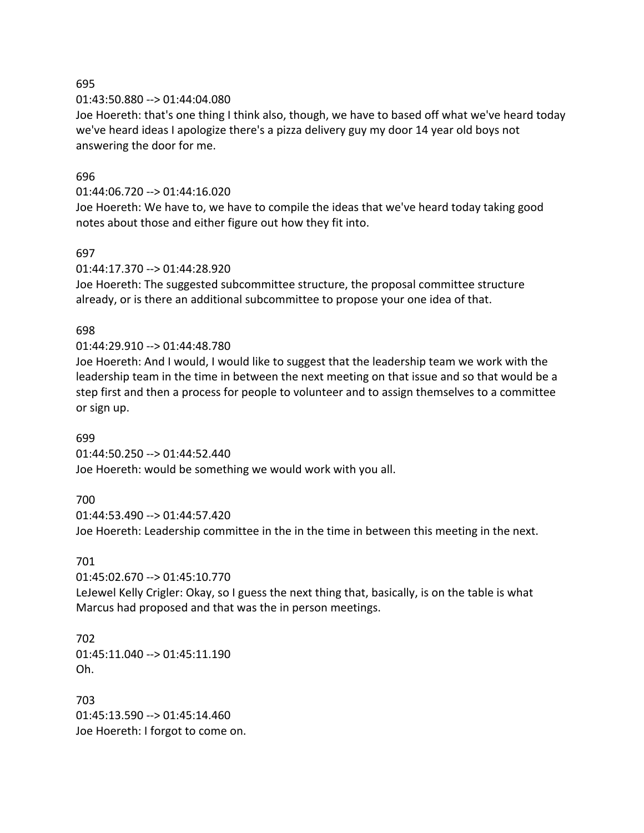01:43:50.880 --> 01:44:04.080

Joe Hoereth: that's one thing I think also, though, we have to based off what we've heard today we've heard ideas I apologize there's a pizza delivery guy my door 14 year old boys not answering the door for me.

### 696

#### 01:44:06.720 --> 01:44:16.020

Joe Hoereth: We have to, we have to compile the ideas that we've heard today taking good notes about those and either figure out how they fit into.

### 697

### 01:44:17.370 --> 01:44:28.920

Joe Hoereth: The suggested subcommittee structure, the proposal committee structure already, or is there an additional subcommittee to propose your one idea of that.

### 698

### 01:44:29.910 --> 01:44:48.780

Joe Hoereth: And I would, I would like to suggest that the leadership team we work with the leadership team in the time in between the next meeting on that issue and so that would be a step first and then a process for people to volunteer and to assign themselves to a committee or sign up.

### 699

01:44:50.250 --> 01:44:52.440 Joe Hoereth: would be something we would work with you all.

### 700

01:44:53.490 --> 01:44:57.420 Joe Hoereth: Leadership committee in the in the time in between this meeting in the next.

### 701

01:45:02.670 --> 01:45:10.770

LeJewel Kelly Crigler: Okay, so I guess the next thing that, basically, is on the table is what Marcus had proposed and that was the in person meetings.

702 01:45:11.040 --> 01:45:11.190 Oh.

703 01:45:13.590 --> 01:45:14.460 Joe Hoereth: I forgot to come on.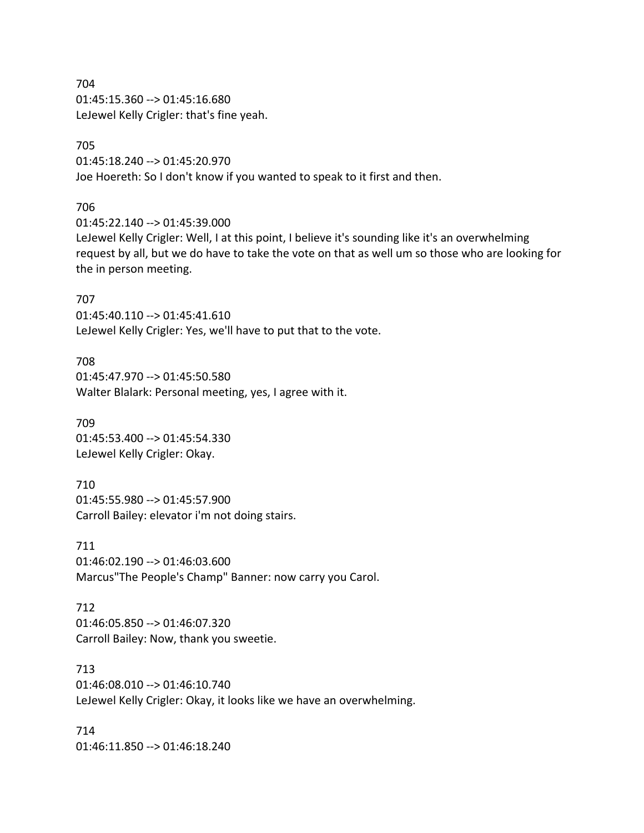704 01:45:15.360 --> 01:45:16.680 LeJewel Kelly Crigler: that's fine yeah.

# 705

01:45:18.240 --> 01:45:20.970 Joe Hoereth: So I don't know if you wanted to speak to it first and then.

### 706

01:45:22.140 --> 01:45:39.000

LeJewel Kelly Crigler: Well, I at this point, I believe it's sounding like it's an overwhelming request by all, but we do have to take the vote on that as well um so those who are looking for the in person meeting.

### 707

01:45:40.110 --> 01:45:41.610 LeJewel Kelly Crigler: Yes, we'll have to put that to the vote.

708 01:45:47.970 --> 01:45:50.580 Walter Blalark: Personal meeting, yes, I agree with it.

709 01:45:53.400 --> 01:45:54.330 LeJewel Kelly Crigler: Okay.

# 710 01:45:55.980 --> 01:45:57.900 Carroll Bailey: elevator i'm not doing stairs.

711 01:46:02.190 --> 01:46:03.600 Marcus"The People's Champ" Banner: now carry you Carol.

# 712 01:46:05.850 --> 01:46:07.320 Carroll Bailey: Now, thank you sweetie.

713 01:46:08.010 --> 01:46:10.740 LeJewel Kelly Crigler: Okay, it looks like we have an overwhelming.

714 01:46:11.850 --> 01:46:18.240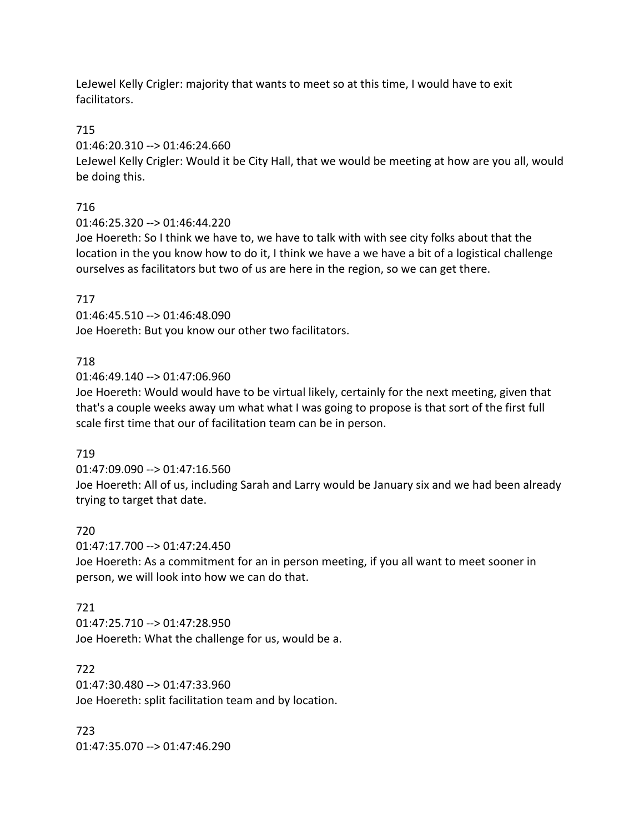LeJewel Kelly Crigler: majority that wants to meet so at this time, I would have to exit facilitators.

# 715

01:46:20.310 --> 01:46:24.660

LeJewel Kelly Crigler: Would it be City Hall, that we would be meeting at how are you all, would be doing this.

# 716

01:46:25.320 --> 01:46:44.220

Joe Hoereth: So I think we have to, we have to talk with with see city folks about that the location in the you know how to do it, I think we have a we have a bit of a logistical challenge ourselves as facilitators but two of us are here in the region, so we can get there.

# 717

01:46:45.510 --> 01:46:48.090 Joe Hoereth: But you know our other two facilitators.

# 718

01:46:49.140 --> 01:47:06.960

Joe Hoereth: Would would have to be virtual likely, certainly for the next meeting, given that that's a couple weeks away um what what I was going to propose is that sort of the first full scale first time that our of facilitation team can be in person.

# 719

01:47:09.090 --> 01:47:16.560

Joe Hoereth: All of us, including Sarah and Larry would be January six and we had been already trying to target that date.

# 720

01:47:17.700 --> 01:47:24.450

Joe Hoereth: As a commitment for an in person meeting, if you all want to meet sooner in person, we will look into how we can do that.

# 721

01:47:25.710 --> 01:47:28.950 Joe Hoereth: What the challenge for us, would be a.

# 722

01:47:30.480 --> 01:47:33.960 Joe Hoereth: split facilitation team and by location.

723 01:47:35.070 --> 01:47:46.290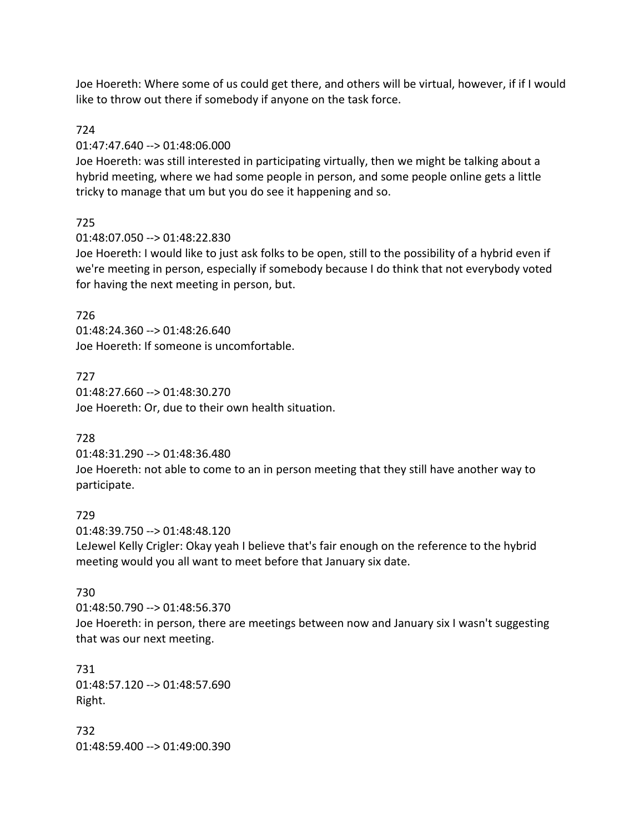Joe Hoereth: Where some of us could get there, and others will be virtual, however, if if I would like to throw out there if somebody if anyone on the task force.

### 724

#### 01:47:47.640 --> 01:48:06.000

Joe Hoereth: was still interested in participating virtually, then we might be talking about a hybrid meeting, where we had some people in person, and some people online gets a little tricky to manage that um but you do see it happening and so.

### 725

01:48:07.050 --> 01:48:22.830

Joe Hoereth: I would like to just ask folks to be open, still to the possibility of a hybrid even if we're meeting in person, especially if somebody because I do think that not everybody voted for having the next meeting in person, but.

### 726

01:48:24.360 --> 01:48:26.640 Joe Hoereth: If someone is uncomfortable.

### 727

01:48:27.660 --> 01:48:30.270 Joe Hoereth: Or, due to their own health situation.

# 728

01:48:31.290 --> 01:48:36.480

Joe Hoereth: not able to come to an in person meeting that they still have another way to participate.

### 729

01:48:39.750 --> 01:48:48.120 LeJewel Kelly Crigler: Okay yeah I believe that's fair enough on the reference to the hybrid meeting would you all want to meet before that January six date.

### 730

01:48:50.790 --> 01:48:56.370 Joe Hoereth: in person, there are meetings between now and January six I wasn't suggesting that was our next meeting.

731 01:48:57.120 --> 01:48:57.690 Right.

732 01:48:59.400 --> 01:49:00.390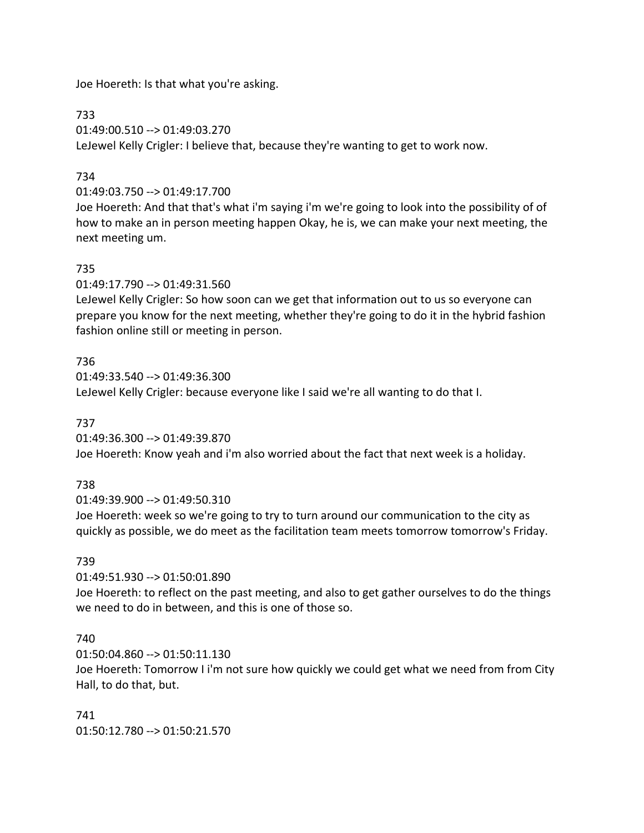Joe Hoereth: Is that what you're asking.

733

01:49:00.510 --> 01:49:03.270 LeJewel Kelly Crigler: I believe that, because they're wanting to get to work now.

# 734

01:49:03.750 --> 01:49:17.700

Joe Hoereth: And that that's what i'm saying i'm we're going to look into the possibility of of how to make an in person meeting happen Okay, he is, we can make your next meeting, the next meeting um.

### 735

01:49:17.790 --> 01:49:31.560

LeJewel Kelly Crigler: So how soon can we get that information out to us so everyone can prepare you know for the next meeting, whether they're going to do it in the hybrid fashion fashion online still or meeting in person.

### 736

01:49:33.540 --> 01:49:36.300 LeJewel Kelly Crigler: because everyone like I said we're all wanting to do that I.

737

01:49:36.300 --> 01:49:39.870 Joe Hoereth: Know yeah and i'm also worried about the fact that next week is a holiday.

# 738

01:49:39.900 --> 01:49:50.310

Joe Hoereth: week so we're going to try to turn around our communication to the city as quickly as possible, we do meet as the facilitation team meets tomorrow tomorrow's Friday.

### 739

01:49:51.930 --> 01:50:01.890

Joe Hoereth: to reflect on the past meeting, and also to get gather ourselves to do the things we need to do in between, and this is one of those so.

### 740

01:50:04.860 --> 01:50:11.130

Joe Hoereth: Tomorrow I i'm not sure how quickly we could get what we need from from City Hall, to do that, but.

741

01:50:12.780 --> 01:50:21.570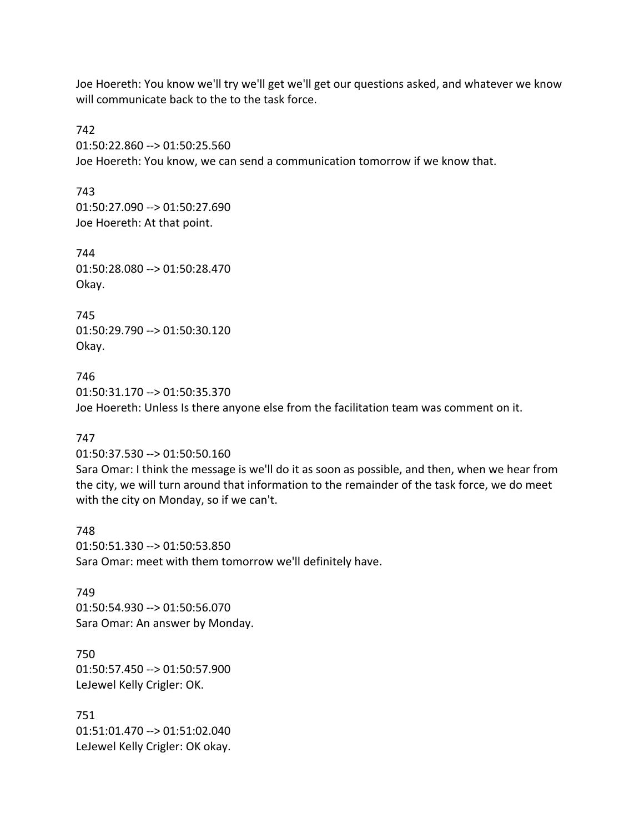Joe Hoereth: You know we'll try we'll get we'll get our questions asked, and whatever we know will communicate back to the to the task force.

742 01:50:22.860 --> 01:50:25.560 Joe Hoereth: You know, we can send a communication tomorrow if we know that.

743 01:50:27.090 --> 01:50:27.690 Joe Hoereth: At that point.

744 01:50:28.080 --> 01:50:28.470 Okay.

745 01:50:29.790 --> 01:50:30.120 Okay.

746 01:50:31.170 --> 01:50:35.370 Joe Hoereth: Unless Is there anyone else from the facilitation team was comment on it.

### 747

01:50:37.530 --> 01:50:50.160

Sara Omar: I think the message is we'll do it as soon as possible, and then, when we hear from the city, we will turn around that information to the remainder of the task force, we do meet with the city on Monday, so if we can't.

748 01:50:51.330 --> 01:50:53.850 Sara Omar: meet with them tomorrow we'll definitely have.

749 01:50:54.930 --> 01:50:56.070 Sara Omar: An answer by Monday.

750 01:50:57.450 --> 01:50:57.900 LeJewel Kelly Crigler: OK.

751 01:51:01.470 --> 01:51:02.040 LeJewel Kelly Crigler: OK okay.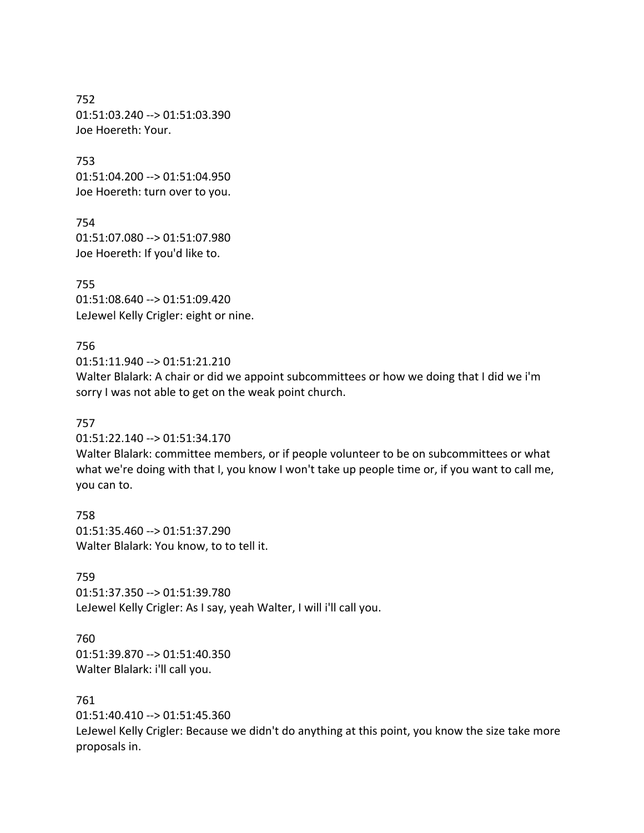752 01:51:03.240 --> 01:51:03.390 Joe Hoereth: Your.

753 01:51:04.200 --> 01:51:04.950 Joe Hoereth: turn over to you.

754 01:51:07.080 --> 01:51:07.980 Joe Hoereth: If you'd like to.

755 01:51:08.640 --> 01:51:09.420 LeJewel Kelly Crigler: eight or nine.

### 756

 $01:51:11.940 \rightarrow 01:51:21.210$ 

Walter Blalark: A chair or did we appoint subcommittees or how we doing that I did we i'm sorry I was not able to get on the weak point church.

### 757

01:51:22.140 --> 01:51:34.170

Walter Blalark: committee members, or if people volunteer to be on subcommittees or what what we're doing with that I, you know I won't take up people time or, if you want to call me, you can to.

758 01:51:35.460 --> 01:51:37.290 Walter Blalark: You know, to to tell it.

759 01:51:37.350 --> 01:51:39.780 LeJewel Kelly Crigler: As I say, yeah Walter, I will i'll call you.

760 01:51:39.870 --> 01:51:40.350 Walter Blalark: i'll call you.

### 761

01:51:40.410 --> 01:51:45.360

LeJewel Kelly Crigler: Because we didn't do anything at this point, you know the size take more proposals in.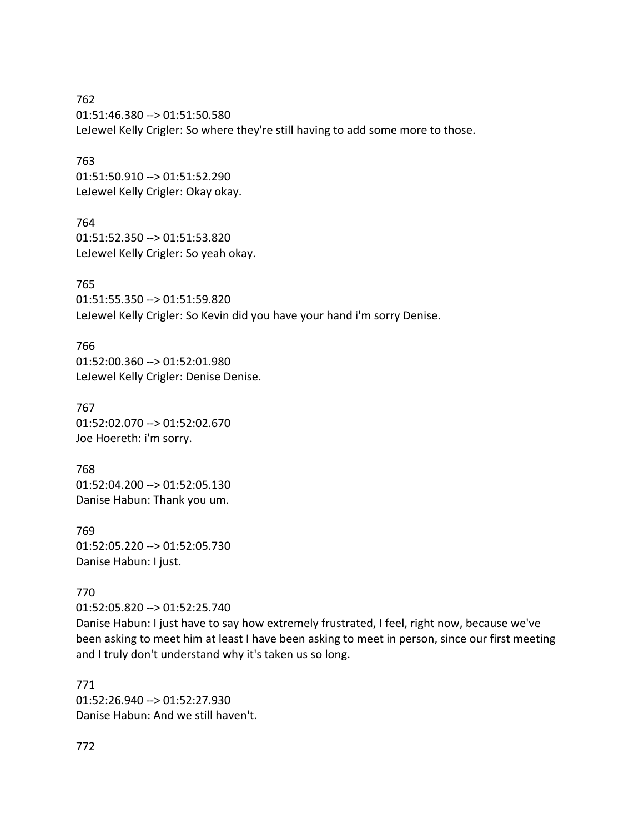762 01:51:46.380 --> 01:51:50.580 LeJewel Kelly Crigler: So where they're still having to add some more to those.

763 01:51:50.910 --> 01:51:52.290 LeJewel Kelly Crigler: Okay okay.

764 01:51:52.350 --> 01:51:53.820 LeJewel Kelly Crigler: So yeah okay.

765 01:51:55.350 --> 01:51:59.820 LeJewel Kelly Crigler: So Kevin did you have your hand i'm sorry Denise.

766 01:52:00.360 --> 01:52:01.980 LeJewel Kelly Crigler: Denise Denise.

767 01:52:02.070 --> 01:52:02.670 Joe Hoereth: i'm sorry.

768 01:52:04.200 --> 01:52:05.130 Danise Habun: Thank you um.

769 01:52:05.220 --> 01:52:05.730 Danise Habun: I just.

### 770

01:52:05.820 --> 01:52:25.740

Danise Habun: I just have to say how extremely frustrated, I feel, right now, because we've been asking to meet him at least I have been asking to meet in person, since our first meeting and I truly don't understand why it's taken us so long.

771 01:52:26.940 --> 01:52:27.930 Danise Habun: And we still haven't.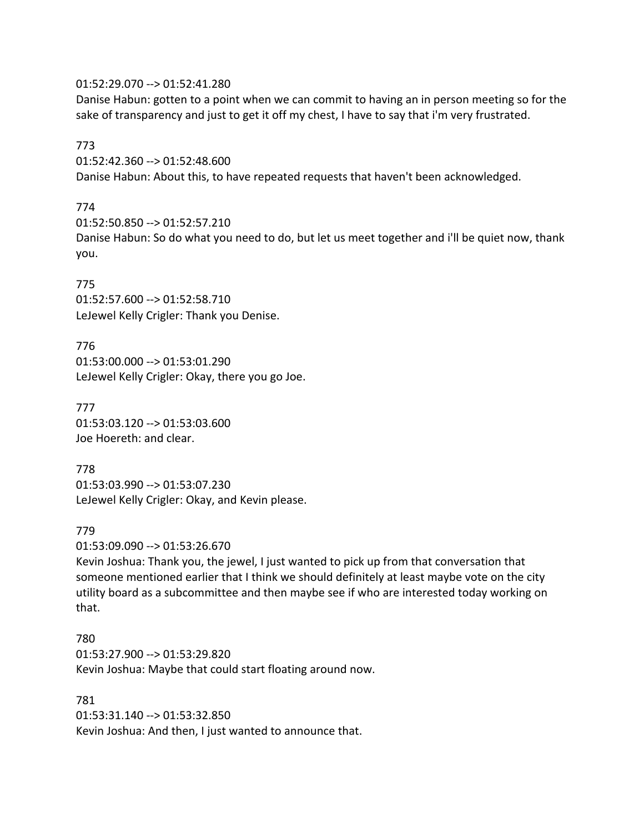01:52:29.070 --> 01:52:41.280

Danise Habun: gotten to a point when we can commit to having an in person meeting so for the sake of transparency and just to get it off my chest, I have to say that i'm very frustrated.

773

01:52:42.360 --> 01:52:48.600 Danise Habun: About this, to have repeated requests that haven't been acknowledged.

# 774

01:52:50.850 --> 01:52:57.210

Danise Habun: So do what you need to do, but let us meet together and i'll be quiet now, thank you.

# 775

01:52:57.600 --> 01:52:58.710 LeJewel Kelly Crigler: Thank you Denise.

776 01:53:00.000 --> 01:53:01.290 LeJewel Kelly Crigler: Okay, there you go Joe.

777 01:53:03.120 --> 01:53:03.600 Joe Hoereth: and clear.

778 01:53:03.990 --> 01:53:07.230 LeJewel Kelly Crigler: Okay, and Kevin please.

# 779

01:53:09.090 --> 01:53:26.670

Kevin Joshua: Thank you, the jewel, I just wanted to pick up from that conversation that someone mentioned earlier that I think we should definitely at least maybe vote on the city utility board as a subcommittee and then maybe see if who are interested today working on that.

780 01:53:27.900 --> 01:53:29.820 Kevin Joshua: Maybe that could start floating around now.

781 01:53:31.140 --> 01:53:32.850 Kevin Joshua: And then, I just wanted to announce that.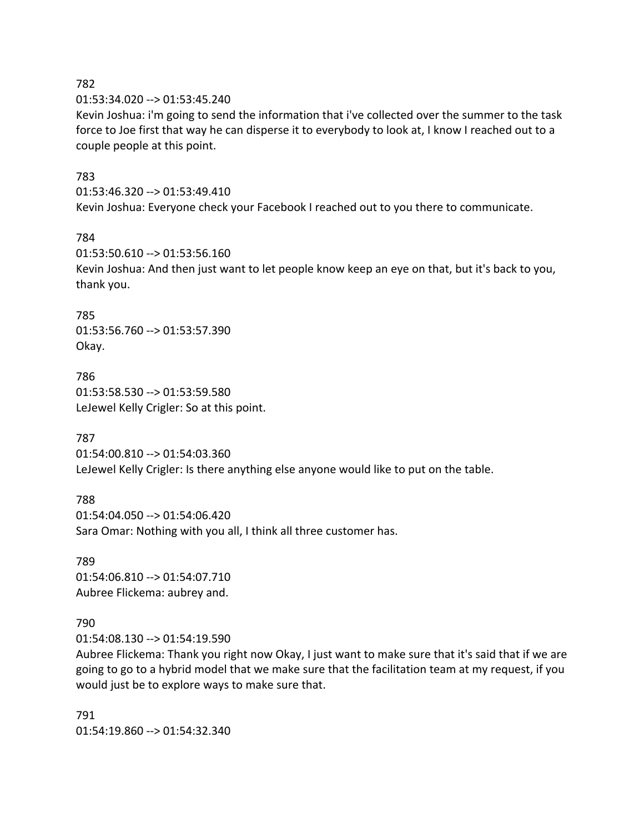01:53:34.020 --> 01:53:45.240

Kevin Joshua: i'm going to send the information that i've collected over the summer to the task force to Joe first that way he can disperse it to everybody to look at, I know I reached out to a couple people at this point.

### 783

01:53:46.320 --> 01:53:49.410

Kevin Joshua: Everyone check your Facebook I reached out to you there to communicate.

### 784

01:53:50.610 --> 01:53:56.160 Kevin Joshua: And then just want to let people know keep an eye on that, but it's back to you, thank you.

785 01:53:56.760 --> 01:53:57.390 Okay.

786 01:53:58.530 --> 01:53:59.580 LeJewel Kelly Crigler: So at this point.

# 787

01:54:00.810 --> 01:54:03.360 LeJewel Kelly Crigler: Is there anything else anyone would like to put on the table.

788 01:54:04.050 --> 01:54:06.420 Sara Omar: Nothing with you all, I think all three customer has.

789 01:54:06.810 --> 01:54:07.710 Aubree Flickema: aubrey and.

# 790

01:54:08.130 --> 01:54:19.590

Aubree Flickema: Thank you right now Okay, I just want to make sure that it's said that if we are going to go to a hybrid model that we make sure that the facilitation team at my request, if you would just be to explore ways to make sure that.

791 01:54:19.860 --> 01:54:32.340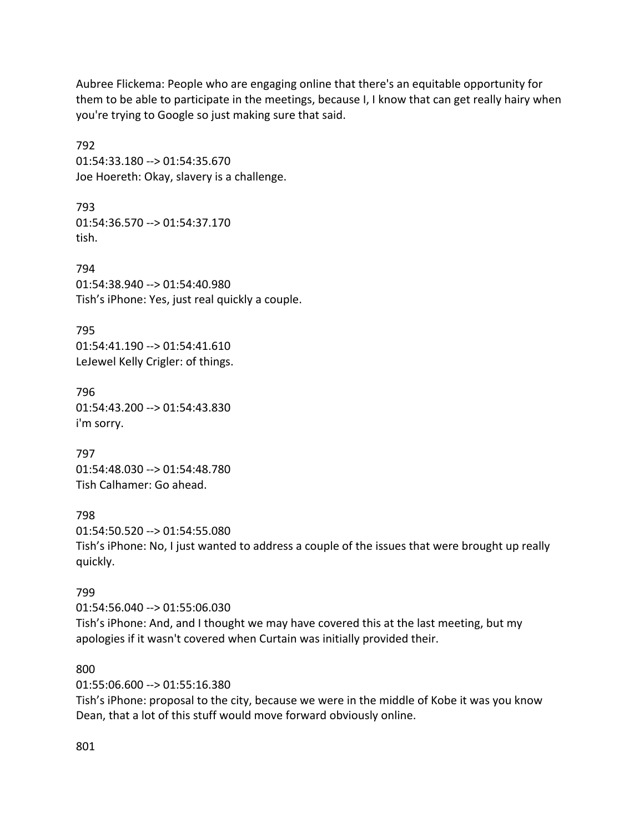Aubree Flickema: People who are engaging online that there's an equitable opportunity for them to be able to participate in the meetings, because I, I know that can get really hairy when you're trying to Google so just making sure that said.

792 01:54:33.180 --> 01:54:35.670 Joe Hoereth: Okay, slavery is a challenge.

793 01:54:36.570 --> 01:54:37.170 tish.

794 01:54:38.940 --> 01:54:40.980 Tish's iPhone: Yes, just real quickly a couple.

795 01:54:41.190 --> 01:54:41.610 LeJewel Kelly Crigler: of things.

796 01:54:43.200 --> 01:54:43.830 i'm sorry.

797 01:54:48.030 --> 01:54:48.780 Tish Calhamer: Go ahead.

798

01:54:50.520 --> 01:54:55.080 Tish's iPhone: No, I just wanted to address a couple of the issues that were brought up really quickly.

# 799

01:54:56.040 --> 01:55:06.030 Tish's iPhone: And, and I thought we may have covered this at the last meeting, but my apologies if it wasn't covered when Curtain was initially provided their.

800

01:55:06.600 --> 01:55:16.380

Tish's iPhone: proposal to the city, because we were in the middle of Kobe it was you know Dean, that a lot of this stuff would move forward obviously online.

801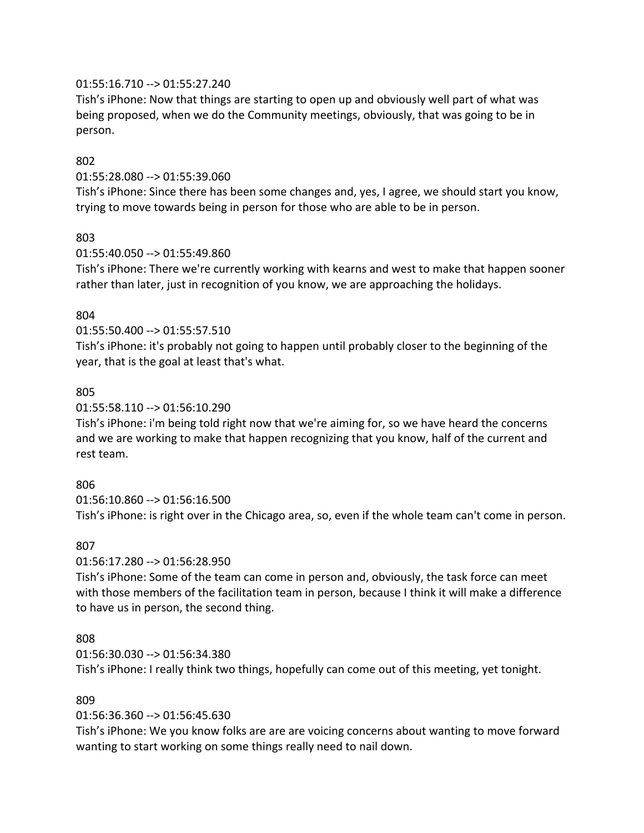### 01:55:16.710 --> 01:55:27.240

Tish's iPhone: Now that things are starting to open up and obviously well part of what was being proposed, when we do the Community meetings, obviously, that was going to be in person.

### 802

01:55:28.080 --> 01:55:39.060

Tish's iPhone: Since there has been some changes and, yes, I agree, we should start you know, trying to move towards being in person for those who are able to be in person.

### 803

01:55:40.050 --> 01:55:49.860

Tish's iPhone: There we're currently working with kearns and west to make that happen sooner rather than later, just in recognition of you know, we are approaching the holidays.

### 804

01:55:50.400 --> 01:55:57.510

Tish's iPhone: it's probably not going to happen until probably closer to the beginning of the year, that is the goal at least that's what.

### 805

01:55:58.110 --> 01:56:10.290

Tish's iPhone: i'm being told right now that we're aiming for, so we have heard the concerns and we are working to make that happen recognizing that you know, half of the current and rest team.

# 806

01:56:10.860 --> 01:56:16.500 Tish's iPhone: is right over in the Chicago area, so, even if the whole team can't come in person.

### 807

01:56:17.280 --> 01:56:28.950

Tish's iPhone: Some of the team can come in person and, obviously, the task force can meet with those members of the facilitation team in person, because I think it will make a difference to have us in person, the second thing.

### 808

01:56:30.030 --> 01:56:34.380

Tish's iPhone: I really think two things, hopefully can come out of this meeting, yet tonight.

### 809

01:56:36.360 --> 01:56:45.630

Tish's iPhone: We you know folks are are are voicing concerns about wanting to move forward wanting to start working on some things really need to nail down.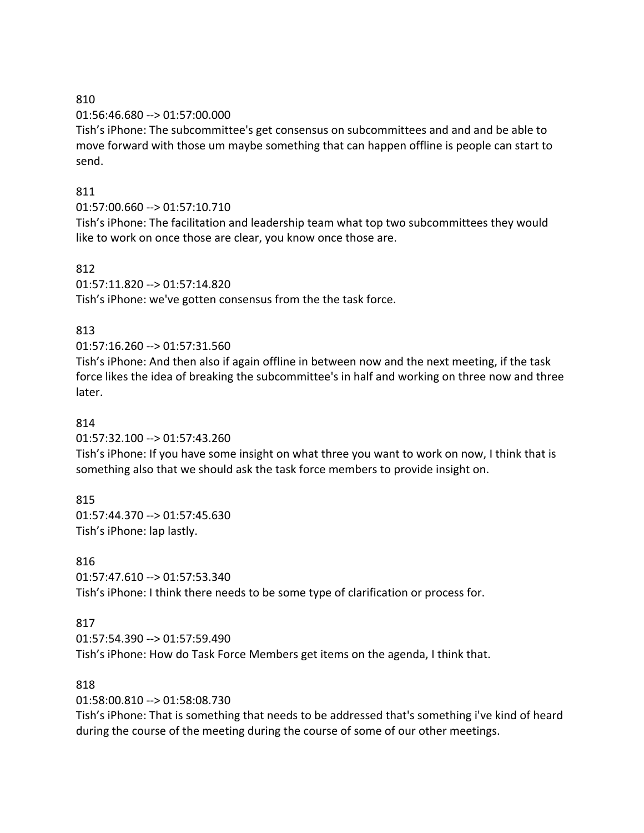01:56:46.680 --> 01:57:00.000

Tish's iPhone: The subcommittee's get consensus on subcommittees and and and be able to move forward with those um maybe something that can happen offline is people can start to send.

# 811

# 01:57:00.660 --> 01:57:10.710

Tish's iPhone: The facilitation and leadership team what top two subcommittees they would like to work on once those are clear, you know once those are.

# 812

01:57:11.820 --> 01:57:14.820

Tish's iPhone: we've gotten consensus from the the task force.

# 813

# 01:57:16.260 --> 01:57:31.560

Tish's iPhone: And then also if again offline in between now and the next meeting, if the task force likes the idea of breaking the subcommittee's in half and working on three now and three later.

# 814

01:57:32.100 --> 01:57:43.260

Tish's iPhone: If you have some insight on what three you want to work on now, I think that is something also that we should ask the task force members to provide insight on.

# 815

01:57:44.370 --> 01:57:45.630 Tish's iPhone: lap lastly.

# 816

01:57:47.610 --> 01:57:53.340 Tish's iPhone: I think there needs to be some type of clarification or process for.

# 817

01:57:54.390 --> 01:57:59.490 Tish's iPhone: How do Task Force Members get items on the agenda, I think that.

# 818

01:58:00.810 --> 01:58:08.730

Tish's iPhone: That is something that needs to be addressed that's something i've kind of heard during the course of the meeting during the course of some of our other meetings.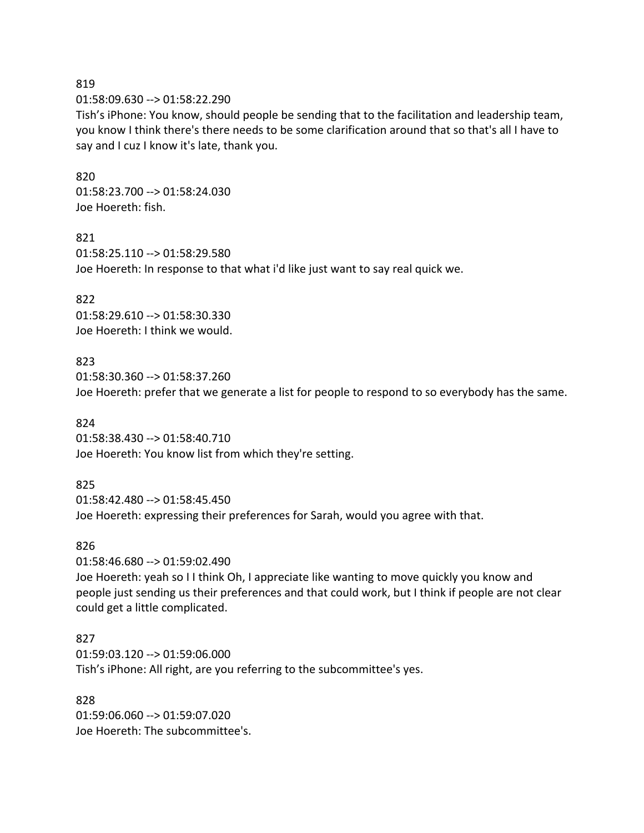01:58:09.630 --> 01:58:22.290

Tish's iPhone: You know, should people be sending that to the facilitation and leadership team, you know I think there's there needs to be some clarification around that so that's all I have to say and I cuz I know it's late, thank you.

#### 820

01:58:23.700 --> 01:58:24.030 Joe Hoereth: fish.

#### 821

01:58:25.110 --> 01:58:29.580 Joe Hoereth: In response to that what i'd like just want to say real quick we.

### 822

01:58:29.610 --> 01:58:30.330 Joe Hoereth: I think we would.

### 823

01:58:30.360 --> 01:58:37.260 Joe Hoereth: prefer that we generate a list for people to respond to so everybody has the same.

### 824

01:58:38.430 --> 01:58:40.710 Joe Hoereth: You know list from which they're setting.

# 825

01:58:42.480 --> 01:58:45.450 Joe Hoereth: expressing their preferences for Sarah, would you agree with that.

### 826

01:58:46.680 --> 01:59:02.490

Joe Hoereth: yeah so I I think Oh, I appreciate like wanting to move quickly you know and people just sending us their preferences and that could work, but I think if people are not clear could get a little complicated.

### 827

01:59:03.120 --> 01:59:06.000 Tish's iPhone: All right, are you referring to the subcommittee's yes.

### 828

01:59:06.060 --> 01:59:07.020 Joe Hoereth: The subcommittee's.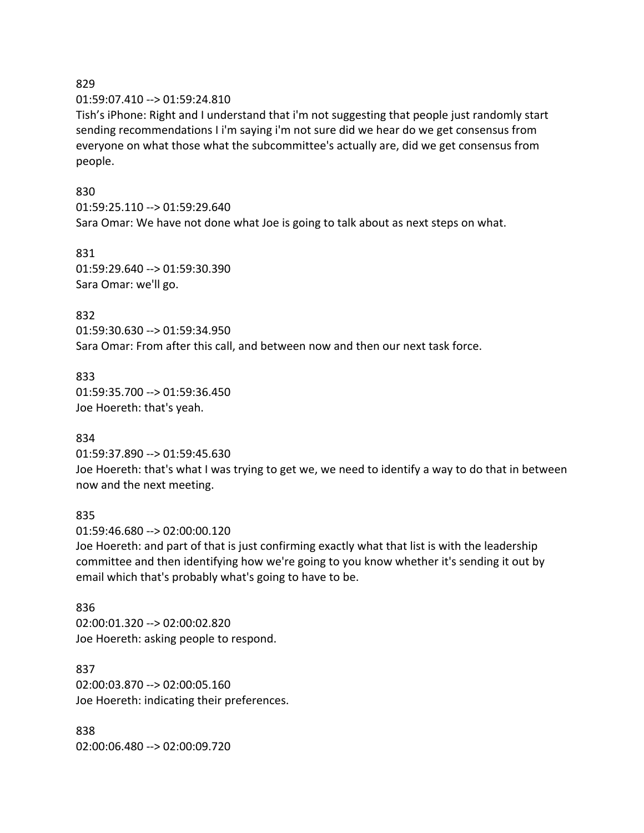#### 01:59:07.410 --> 01:59:24.810

Tish's iPhone: Right and I understand that i'm not suggesting that people just randomly start sending recommendations I i'm saying i'm not sure did we hear do we get consensus from everyone on what those what the subcommittee's actually are, did we get consensus from people.

#### 830

01:59:25.110 --> 01:59:29.640 Sara Omar: We have not done what Joe is going to talk about as next steps on what.

831 01:59:29.640 --> 01:59:30.390 Sara Omar: we'll go.

832 01:59:30.630 --> 01:59:34.950 Sara Omar: From after this call, and between now and then our next task force.

833 01:59:35.700 --> 01:59:36.450 Joe Hoereth: that's yeah.

### 834

01:59:37.890 --> 01:59:45.630 Joe Hoereth: that's what I was trying to get we, we need to identify a way to do that in between now and the next meeting.

#### 835

01:59:46.680 --> 02:00:00.120

Joe Hoereth: and part of that is just confirming exactly what that list is with the leadership committee and then identifying how we're going to you know whether it's sending it out by email which that's probably what's going to have to be.

836 02:00:01.320 --> 02:00:02.820 Joe Hoereth: asking people to respond.

837 02:00:03.870 --> 02:00:05.160 Joe Hoereth: indicating their preferences.

838 02:00:06.480 --> 02:00:09.720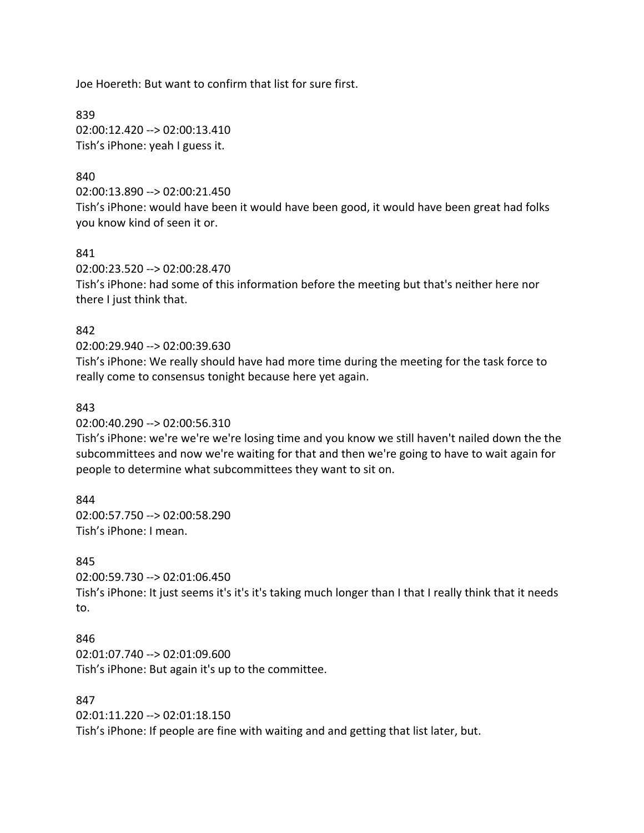Joe Hoereth: But want to confirm that list for sure first.

839 02:00:12.420 --> 02:00:13.410 Tish's iPhone: yeah I guess it.

### 840

02:00:13.890 --> 02:00:21.450

Tish's iPhone: would have been it would have been good, it would have been great had folks you know kind of seen it or.

841

02:00:23.520 --> 02:00:28.470 Tish's iPhone: had some of this information before the meeting but that's neither here nor there I just think that.

### 842

#### 02:00:29.940 --> 02:00:39.630

Tish's iPhone: We really should have had more time during the meeting for the task force to really come to consensus tonight because here yet again.

### 843

02:00:40.290 --> 02:00:56.310

Tish's iPhone: we're we're we're losing time and you know we still haven't nailed down the the subcommittees and now we're waiting for that and then we're going to have to wait again for people to determine what subcommittees they want to sit on.

### 844

02:00:57.750 --> 02:00:58.290 Tish's iPhone: I mean.

### 845

02:00:59.730 --> 02:01:06.450 Tish's iPhone: It just seems it's it's it's taking much longer than I that I really think that it needs to.

### 846

02:01:07.740 --> 02:01:09.600 Tish's iPhone: But again it's up to the committee.

### 847

02:01:11.220 --> 02:01:18.150 Tish's iPhone: If people are fine with waiting and and getting that list later, but.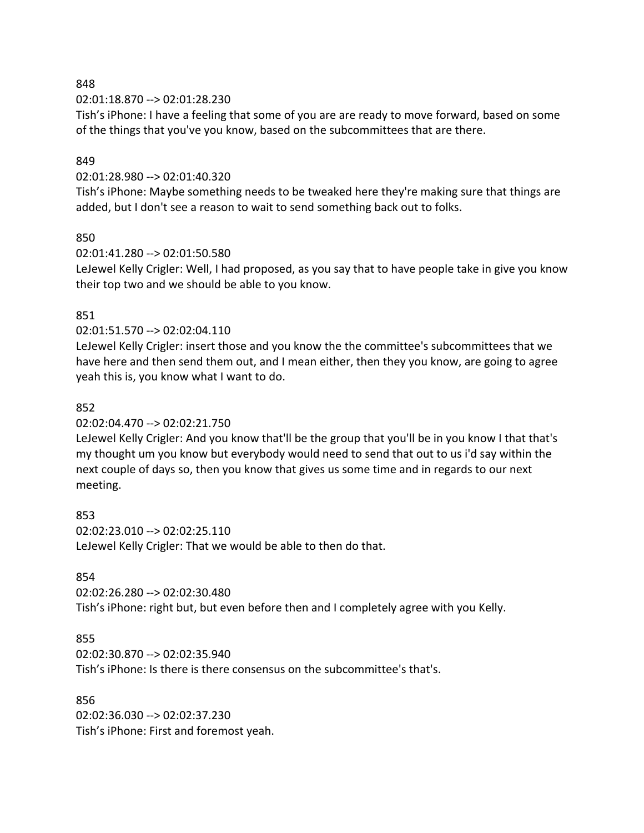02:01:18.870 --> 02:01:28.230

Tish's iPhone: I have a feeling that some of you are are ready to move forward, based on some of the things that you've you know, based on the subcommittees that are there.

### 849

### 02:01:28.980 --> 02:01:40.320

Tish's iPhone: Maybe something needs to be tweaked here they're making sure that things are added, but I don't see a reason to wait to send something back out to folks.

### 850

### 02:01:41.280 --> 02:01:50.580

LeJewel Kelly Crigler: Well, I had proposed, as you say that to have people take in give you know their top two and we should be able to you know.

### 851

### 02:01:51.570 --> 02:02:04.110

LeJewel Kelly Crigler: insert those and you know the the committee's subcommittees that we have here and then send them out, and I mean either, then they you know, are going to agree yeah this is, you know what I want to do.

### 852

02:02:04.470 --> 02:02:21.750

LeJewel Kelly Crigler: And you know that'll be the group that you'll be in you know I that that's my thought um you know but everybody would need to send that out to us i'd say within the next couple of days so, then you know that gives us some time and in regards to our next meeting.

853 02:02:23.010 --> 02:02:25.110 LeJewel Kelly Crigler: That we would be able to then do that.

# 854

02:02:26.280 --> 02:02:30.480 Tish's iPhone: right but, but even before then and I completely agree with you Kelly.

# 855

02:02:30.870 --> 02:02:35.940 Tish's iPhone: Is there is there consensus on the subcommittee's that's.

### 856

02:02:36.030 --> 02:02:37.230 Tish's iPhone: First and foremost yeah.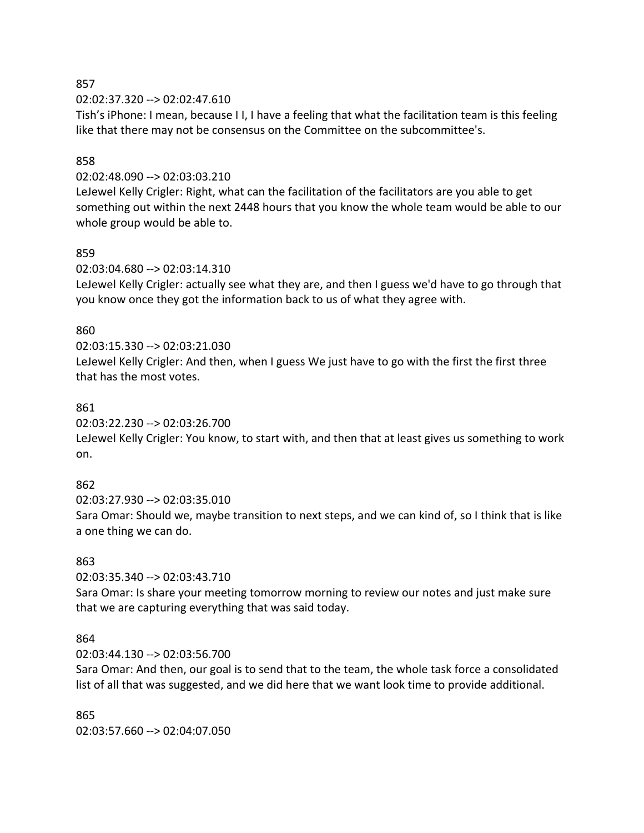02:02:37.320 --> 02:02:47.610

Tish's iPhone: I mean, because I I, I have a feeling that what the facilitation team is this feeling like that there may not be consensus on the Committee on the subcommittee's.

### 858

### 02:02:48.090 --> 02:03:03.210

LeJewel Kelly Crigler: Right, what can the facilitation of the facilitators are you able to get something out within the next 2448 hours that you know the whole team would be able to our whole group would be able to.

### 859

02:03:04.680 --> 02:03:14.310

LeJewel Kelly Crigler: actually see what they are, and then I guess we'd have to go through that you know once they got the information back to us of what they agree with.

### 860

### 02:03:15.330 --> 02:03:21.030

LeJewel Kelly Crigler: And then, when I guess We just have to go with the first the first three that has the most votes.

### 861

02:03:22.230 --> 02:03:26.700

LeJewel Kelly Crigler: You know, to start with, and then that at least gives us something to work on.

# 862

02:03:27.930 --> 02:03:35.010

Sara Omar: Should we, maybe transition to next steps, and we can kind of, so I think that is like a one thing we can do.

### 863

02:03:35.340 --> 02:03:43.710

Sara Omar: Is share your meeting tomorrow morning to review our notes and just make sure that we are capturing everything that was said today.

### 864

02:03:44.130 --> 02:03:56.700

Sara Omar: And then, our goal is to send that to the team, the whole task force a consolidated list of all that was suggested, and we did here that we want look time to provide additional.

865 02:03:57.660 --> 02:04:07.050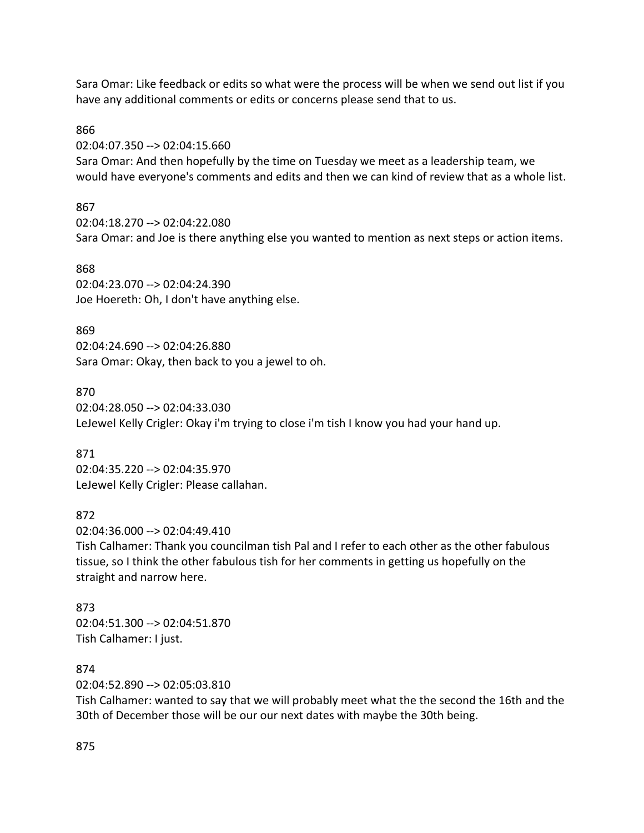Sara Omar: Like feedback or edits so what were the process will be when we send out list if you have any additional comments or edits or concerns please send that to us.

#### 866

02:04:07.350 --> 02:04:15.660

Sara Omar: And then hopefully by the time on Tuesday we meet as a leadership team, we would have everyone's comments and edits and then we can kind of review that as a whole list.

### 867

02:04:18.270 --> 02:04:22.080 Sara Omar: and Joe is there anything else you wanted to mention as next steps or action items.

#### 868

02:04:23.070 --> 02:04:24.390 Joe Hoereth: Oh, I don't have anything else.

### 869

02:04:24.690 --> 02:04:26.880 Sara Omar: Okay, then back to you a jewel to oh.

### 870

02:04:28.050 --> 02:04:33.030 LeJewel Kelly Crigler: Okay i'm trying to close i'm tish I know you had your hand up.

### 871

02:04:35.220 --> 02:04:35.970 LeJewel Kelly Crigler: Please callahan.

# 872

02:04:36.000 --> 02:04:49.410

Tish Calhamer: Thank you councilman tish Pal and I refer to each other as the other fabulous tissue, so I think the other fabulous tish for her comments in getting us hopefully on the straight and narrow here.

### 873 02:04:51.300 --> 02:04:51.870 Tish Calhamer: I just.

### 874

02:04:52.890 --> 02:05:03.810

Tish Calhamer: wanted to say that we will probably meet what the the second the 16th and the 30th of December those will be our our next dates with maybe the 30th being.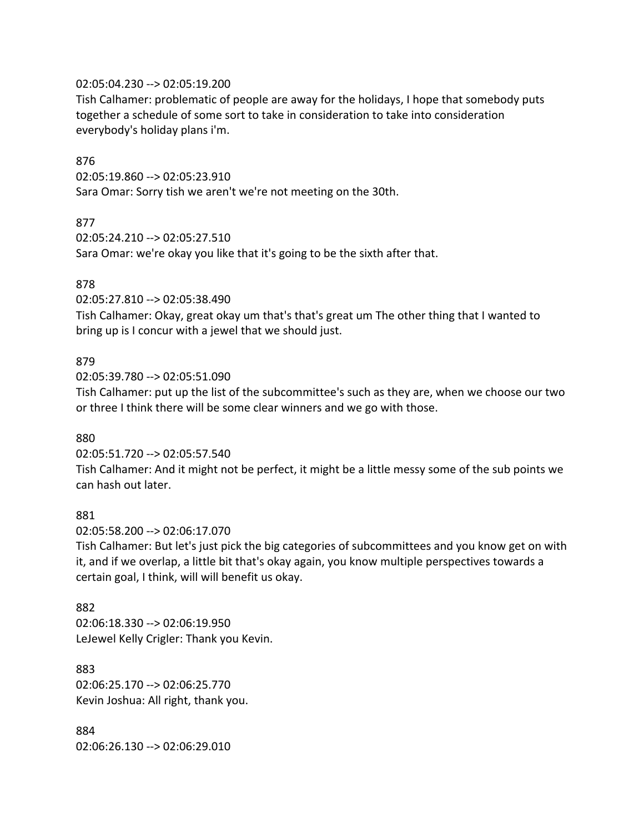#### 02:05:04.230 --> 02:05:19.200

Tish Calhamer: problematic of people are away for the holidays, I hope that somebody puts together a schedule of some sort to take in consideration to take into consideration everybody's holiday plans i'm.

#### 876

02:05:19.860 --> 02:05:23.910 Sara Omar: Sorry tish we aren't we're not meeting on the 30th.

### 877

02:05:24.210 --> 02:05:27.510 Sara Omar: we're okay you like that it's going to be the sixth after that.

### 878

02:05:27.810 --> 02:05:38.490

Tish Calhamer: Okay, great okay um that's that's great um The other thing that I wanted to bring up is I concur with a jewel that we should just.

#### 879

02:05:39.780 --> 02:05:51.090

Tish Calhamer: put up the list of the subcommittee's such as they are, when we choose our two or three I think there will be some clear winners and we go with those.

#### 880

02:05:51.720 --> 02:05:57.540

Tish Calhamer: And it might not be perfect, it might be a little messy some of the sub points we can hash out later.

#### 881

02:05:58.200 --> 02:06:17.070

Tish Calhamer: But let's just pick the big categories of subcommittees and you know get on with it, and if we overlap, a little bit that's okay again, you know multiple perspectives towards a certain goal, I think, will will benefit us okay.

#### 882

02:06:18.330 --> 02:06:19.950 LeJewel Kelly Crigler: Thank you Kevin.

883 02:06:25.170 --> 02:06:25.770 Kevin Joshua: All right, thank you.

884 02:06:26.130 --> 02:06:29.010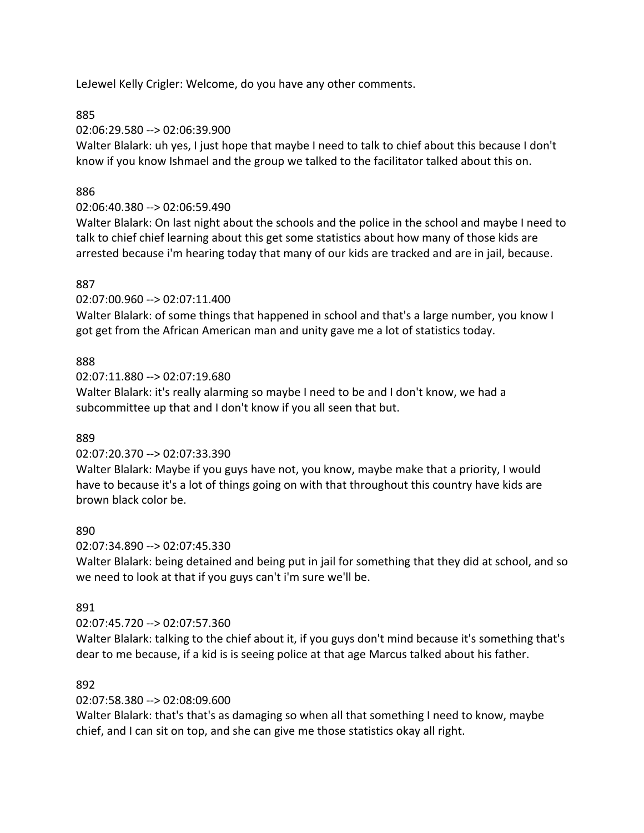LeJewel Kelly Crigler: Welcome, do you have any other comments.

# 885

02:06:29.580 --> 02:06:39.900

Walter Blalark: uh yes, I just hope that maybe I need to talk to chief about this because I don't know if you know Ishmael and the group we talked to the facilitator talked about this on.

# 886

# 02:06:40.380 --> 02:06:59.490

Walter Blalark: On last night about the schools and the police in the school and maybe I need to talk to chief chief learning about this get some statistics about how many of those kids are arrested because i'm hearing today that many of our kids are tracked and are in jail, because.

# 887

02:07:00.960 --> 02:07:11.400

Walter Blalark: of some things that happened in school and that's a large number, you know I got get from the African American man and unity gave me a lot of statistics today.

# 888

02:07:11.880 --> 02:07:19.680

Walter Blalark: it's really alarming so maybe I need to be and I don't know, we had a subcommittee up that and I don't know if you all seen that but.

# 889

# 02:07:20.370 --> 02:07:33.390

Walter Blalark: Maybe if you guys have not, you know, maybe make that a priority, I would have to because it's a lot of things going on with that throughout this country have kids are brown black color be.

# 890

02:07:34.890 --> 02:07:45.330

Walter Blalark: being detained and being put in jail for something that they did at school, and so we need to look at that if you guys can't i'm sure we'll be.

# 891

# 02:07:45.720 --> 02:07:57.360

Walter Blalark: talking to the chief about it, if you guys don't mind because it's something that's dear to me because, if a kid is is seeing police at that age Marcus talked about his father.

# 892

# 02:07:58.380 --> 02:08:09.600

Walter Blalark: that's that's as damaging so when all that something I need to know, maybe chief, and I can sit on top, and she can give me those statistics okay all right.